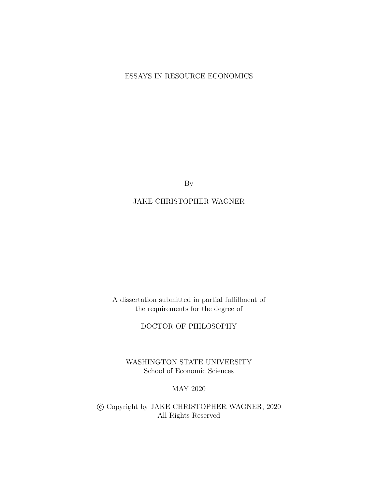## ESSAYS IN RESOURCE ECONOMICS

By

## JAKE CHRISTOPHER WAGNER

A dissertation submitted in partial fulfillment of the requirements for the degree of

DOCTOR OF PHILOSOPHY

WASHINGTON STATE UNIVERSITY School of Economic Sciences

#### MAY 2020

 c Copyright by JAKE CHRISTOPHER WAGNER, 2020 All Rights Reserved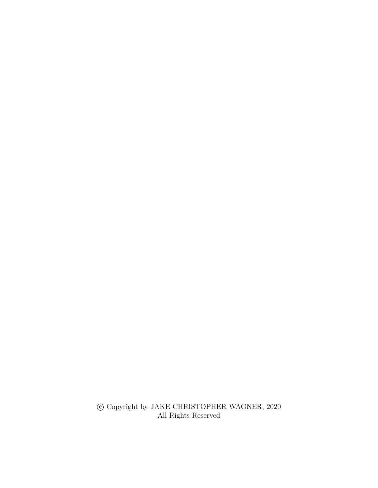$\copyright$  Copyright by JAKE CHRISTOPHER WAGNER,  $2020$ All Rights Reserved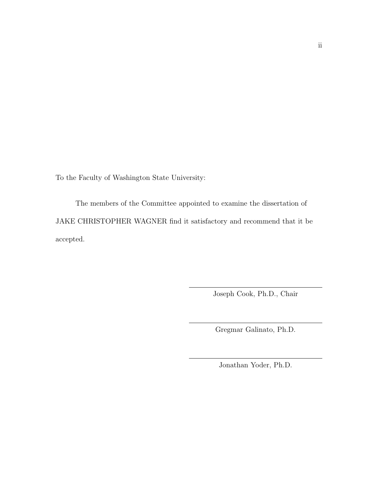To the Faculty of Washington State University:

The members of the Committee appointed to examine the dissertation of JAKE CHRISTOPHER WAGNER find it satisfactory and recommend that it be accepted.

Joseph Cook, Ph.D., Chair

Gregmar Galinato, Ph.D.

Jonathan Yoder, Ph.D.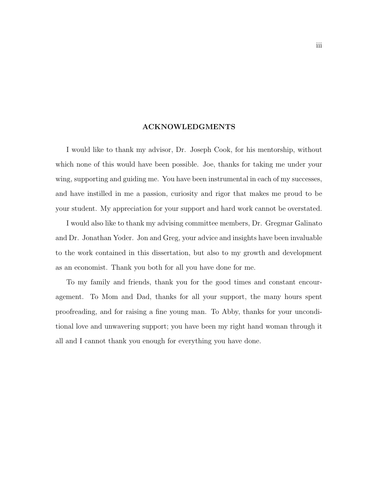#### ACKNOWLEDGMENTS

<span id="page-3-0"></span>I would like to thank my advisor, Dr. Joseph Cook, for his mentorship, without which none of this would have been possible. Joe, thanks for taking me under your wing, supporting and guiding me. You have been instrumental in each of my successes, and have instilled in me a passion, curiosity and rigor that makes me proud to be your student. My appreciation for your support and hard work cannot be overstated.

I would also like to thank my advising committee members, Dr. Gregmar Galinato and Dr. Jonathan Yoder. Jon and Greg, your advice and insights have been invaluable to the work contained in this dissertation, but also to my growth and development as an economist. Thank you both for all you have done for me.

To my family and friends, thank you for the good times and constant encouragement. To Mom and Dad, thanks for all your support, the many hours spent proofreading, and for raising a fine young man. To Abby, thanks for your unconditional love and unwavering support; you have been my right hand woman through it all and I cannot thank you enough for everything you have done.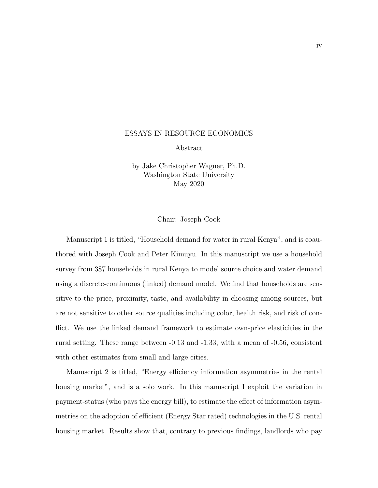#### <span id="page-4-0"></span>ESSAYS IN RESOURCE ECONOMICS

Abstract

by Jake Christopher Wagner, Ph.D. Washington State University May 2020

#### Chair: Joseph Cook

Manuscript 1 is titled, "Household demand for water in rural Kenya", and is coauthored with Joseph Cook and Peter Kimuyu. In this manuscript we use a household survey from 387 households in rural Kenya to model source choice and water demand using a discrete-continuous (linked) demand model. We find that households are sensitive to the price, proximity, taste, and availability in choosing among sources, but are not sensitive to other source qualities including color, health risk, and risk of conflict. We use the linked demand framework to estimate own-price elasticities in the rural setting. These range between -0.13 and -1.33, with a mean of -0.56, consistent with other estimates from small and large cities.

Manuscript 2 is titled, "Energy efficiency information asymmetries in the rental housing market", and is a solo work. In this manuscript I exploit the variation in payment-status (who pays the energy bill), to estimate the effect of information asymmetries on the adoption of efficient (Energy Star rated) technologies in the U.S. rental housing market. Results show that, contrary to previous findings, landlords who pay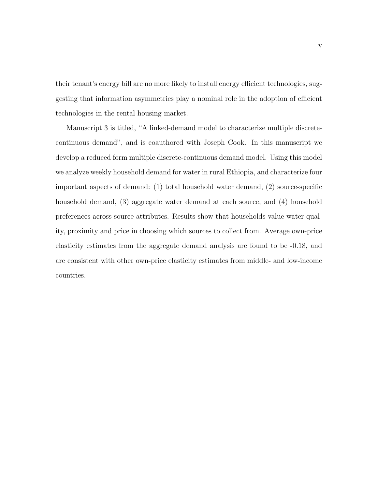their tenant's energy bill are no more likely to install energy efficient technologies, suggesting that information asymmetries play a nominal role in the adoption of efficient technologies in the rental housing market.

Manuscript 3 is titled, "A linked-demand model to characterize multiple discretecontinuous demand", and is coauthored with Joseph Cook. In this manuscript we develop a reduced form multiple discrete-continuous demand model. Using this model we analyze weekly household demand for water in rural Ethiopia, and characterize four important aspects of demand: (1) total household water demand, (2) source-specific household demand, (3) aggregate water demand at each source, and (4) household preferences across source attributes. Results show that households value water quality, proximity and price in choosing which sources to collect from. Average own-price elasticity estimates from the aggregate demand analysis are found to be -0.18, and are consistent with other own-price elasticity estimates from middle- and low-income countries.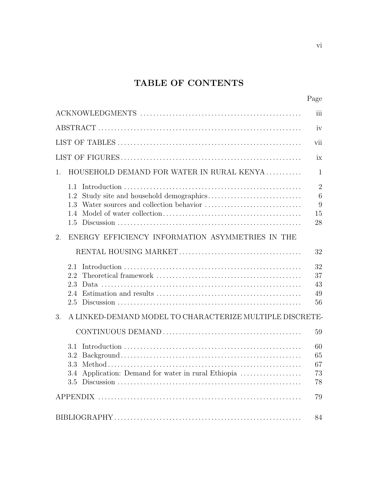# TABLE OF CONTENTS

vi

|                                                                                    | iii                                               |
|------------------------------------------------------------------------------------|---------------------------------------------------|
|                                                                                    | iv                                                |
|                                                                                    | vii                                               |
|                                                                                    | ix                                                |
| HOUSEHOLD DEMAND FOR WATER IN RURAL KENYA<br>1.                                    | $\mathbf{1}$                                      |
| 1.1<br>1.2<br>1.3<br>1.4<br>1.5                                                    | $\overline{2}$<br>$\overline{6}$<br>9<br>15<br>28 |
| ENERGY EFFICIENCY INFORMATION ASYMMETRIES IN THE<br>2.                             |                                                   |
|                                                                                    | 32                                                |
| 2.1<br>2.2<br>2.3<br>2.4<br>2.5                                                    | 32<br>37<br>43<br>49<br>56                        |
| A LINKED-DEMAND MODEL TO CHARACTERIZE MULTIPLE DISCRETE-<br>3.                     |                                                   |
|                                                                                    | 59                                                |
| 3.1<br>3.2<br>3.3<br>Application: Demand for water in rural Ethiopia<br>3.4<br>3.5 | 60<br>65<br>67<br>73<br>78                        |
|                                                                                    | 79                                                |
|                                                                                    |                                                   |
|                                                                                    | 84                                                |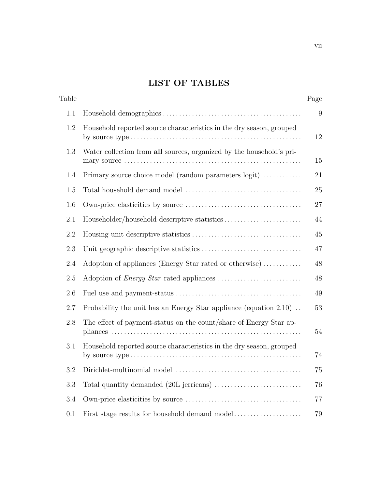# LIST OF TABLES

<span id="page-7-0"></span>

| Table |                                                                       | Page |
|-------|-----------------------------------------------------------------------|------|
| 1.1   |                                                                       | 9    |
| 1.2   | Household reported source characteristics in the dry season, grouped  | 12   |
| 1.3   | Water collection from all sources, organized by the household's pri-  | 15   |
| 1.4   | Primary source choice model (random parameters logit)                 | 21   |
| 1.5   |                                                                       | 25   |
| 1.6   |                                                                       | 27   |
| 2.1   |                                                                       | 44   |
| 2.2   |                                                                       | 45   |
| 2.3   |                                                                       | 47   |
| 2.4   | Adoption of appliances (Energy Star rated or otherwise)               | 48   |
| 2.5   |                                                                       | 48   |
| 2.6   |                                                                       | 49   |
| 2.7   | Probability the unit has an Energy Star appliance (equation $2.10$ ). | 53   |
| 2.8   | The effect of payment-status on the count/share of Energy Star ap-    | 54   |
| 3.1   | Household reported source characteristics in the dry season, grouped  | 74   |
| 3.2   |                                                                       | 75   |
| 3.3   |                                                                       | 76   |
| 3.4   |                                                                       | 77   |
| 0.1   | First stage results for household demand model                        | 79   |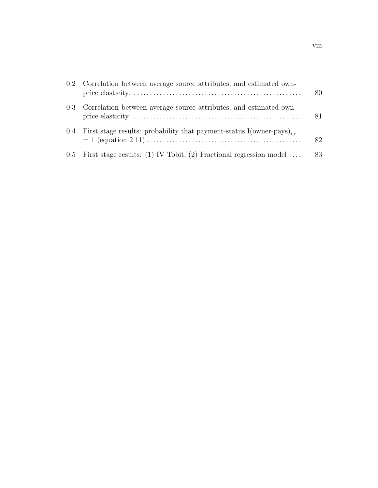|     | 0.2 Correlation between average source attributes, and estimated own-             | 80 |
|-----|-----------------------------------------------------------------------------------|----|
|     | 0.3 Correlation between average source attributes, and estimated own-             | 81 |
| 0.4 | First stage results: probability that payment-status I(owner-pays) <sub>i.e</sub> | 82 |
|     | 0.5 First stage results: (1) IV Tobit, (2) Fractional regression model            | 83 |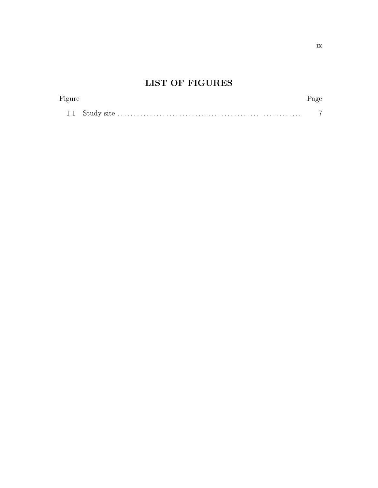# LIST OF FIGURES

<span id="page-9-0"></span>

| Figure | Page |
|--------|------|
|        |      |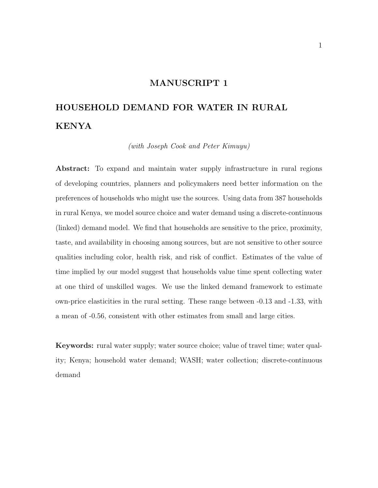### MANUSCRIPT 1

# <span id="page-10-0"></span>HOUSEHOLD DEMAND FOR WATER IN RURAL KENYA

(with Joseph Cook and Peter Kimuyu)

Abstract: To expand and maintain water supply infrastructure in rural regions of developing countries, planners and policymakers need better information on the preferences of households who might use the sources. Using data from 387 households in rural Kenya, we model source choice and water demand using a discrete-continuous (linked) demand model. We find that households are sensitive to the price, proximity, taste, and availability in choosing among sources, but are not sensitive to other source qualities including color, health risk, and risk of conflict. Estimates of the value of time implied by our model suggest that households value time spent collecting water at one third of unskilled wages. We use the linked demand framework to estimate own-price elasticities in the rural setting. These range between -0.13 and -1.33, with a mean of -0.56, consistent with other estimates from small and large cities.

Keywords: rural water supply; water source choice; value of travel time; water quality; Kenya; household water demand; WASH; water collection; discrete-continuous demand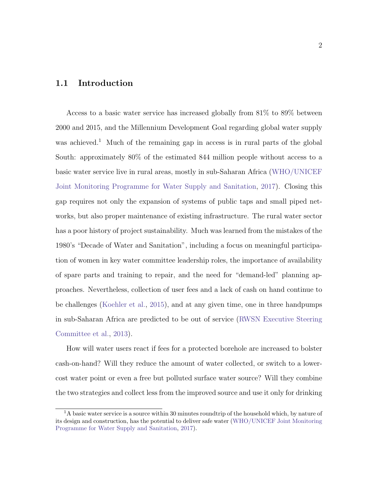## <span id="page-11-0"></span>1.1 Introduction

Access to a basic water service has increased globally from 81% to 89% between 2000 and 2015, and the Millennium Development Goal regarding global water supply was achieved.<sup>[1](#page-11-1)</sup> Much of the remaining gap in access is in rural parts of the global South: approximately 80% of the estimated 844 million people without access to a basic water service live in rural areas, mostly in sub-Saharan Africa [\(WHO/UNICEF](#page-105-0) [Joint Monitoring Programme for Water Supply and Sanitation,](#page-105-0) [2017\)](#page-105-0). Closing this gap requires not only the expansion of systems of public taps and small piped networks, but also proper maintenance of existing infrastructure. The rural water sector has a poor history of project sustainability. Much was learned from the mistakes of the 1980's "Decade of Water and Sanitation", including a focus on meaningful participation of women in key water committee leadership roles, the importance of availability of spare parts and training to repair, and the need for "demand-led" planning approaches. Nevertheless, collection of user fees and a lack of cash on hand continue to be challenges [\(Koehler et al.,](#page-98-0) [2015\)](#page-98-0), and at any given time, one in three handpumps in sub-Saharan Africa are predicted to be out of service [\(RWSN Executive Steering](#page-102-0) [Committee et al.,](#page-102-0) [2013\)](#page-102-0).

How will water users react if fees for a protected borehole are increased to bolster cash-on-hand? Will they reduce the amount of water collected, or switch to a lowercost water point or even a free but polluted surface water source? Will they combine the two strategies and collect less from the improved source and use it only for drinking

<span id="page-11-1"></span> $1<sup>1</sup>A$  basic water service is a source within 30 minutes roundtrip of the household which, by nature of its design and construction, has the potential to deliver safe water [\(WHO/UNICEF Joint Monitoring](#page-105-0) [Programme for Water Supply and Sanitation,](#page-105-0) [2017\)](#page-105-0).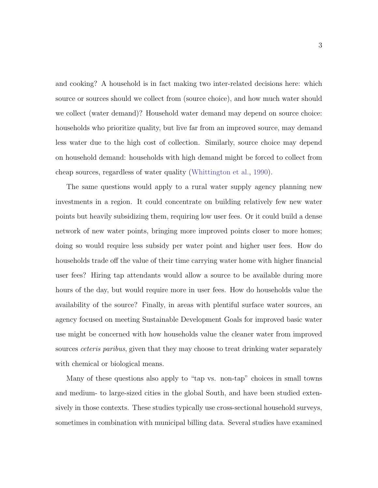and cooking? A household is in fact making two inter-related decisions here: which source or sources should we collect from (source choice), and how much water should we collect (water demand)? Household water demand may depend on source choice: households who prioritize quality, but live far from an improved source, may demand less water due to the high cost of collection. Similarly, source choice may depend on household demand: households with high demand might be forced to collect from cheap sources, regardless of water quality [\(Whittington et al.,](#page-105-1) [1990\)](#page-105-1).

The same questions would apply to a rural water supply agency planning new investments in a region. It could concentrate on building relatively few new water points but heavily subsidizing them, requiring low user fees. Or it could build a dense network of new water points, bringing more improved points closer to more homes; doing so would require less subsidy per water point and higher user fees. How do households trade off the value of their time carrying water home with higher financial user fees? Hiring tap attendants would allow a source to be available during more hours of the day, but would require more in user fees. How do households value the availability of the source? Finally, in areas with plentiful surface water sources, an agency focused on meeting Sustainable Development Goals for improved basic water use might be concerned with how households value the cleaner water from improved sources *ceteris paribus*, given that they may choose to treat drinking water separately with chemical or biological means.

Many of these questions also apply to "tap vs. non-tap" choices in small towns and medium- to large-sized cities in the global South, and have been studied extensively in those contexts. These studies typically use cross-sectional household surveys, sometimes in combination with municipal billing data. Several studies have examined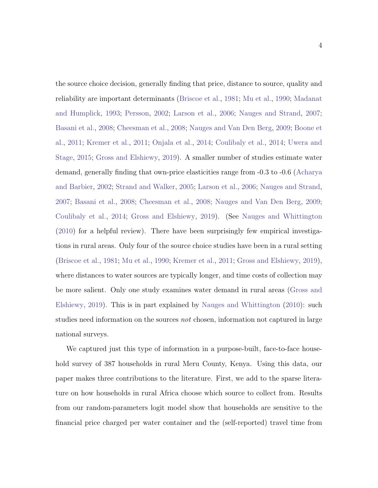the source choice decision, generally finding that price, distance to source, quality and reliability are important determinants [\(Briscoe et al.,](#page-95-0) [1981;](#page-95-0) [Mu et al.,](#page-100-0) [1990;](#page-100-0) [Madanat](#page-99-0) [and Humplick,](#page-99-0) [1993;](#page-99-0) [Persson,](#page-102-1) [2002;](#page-102-1) [Larson et al.,](#page-99-1) [2006;](#page-99-1) [Nauges and Strand,](#page-101-0) [2007;](#page-101-0) [Basani et al.,](#page-93-1) [2008;](#page-93-1) [Cheesman et al.,](#page-95-1) [2008;](#page-95-1) [Nauges and Van Den Berg,](#page-101-1) [2009;](#page-101-1) [Boone et](#page-94-0) [al.,](#page-94-0) [2011;](#page-94-0) [Kremer et al.,](#page-99-2) [2011;](#page-99-2) [Onjala et al.,](#page-101-2) [2014;](#page-101-2) [Coulibaly et al.,](#page-95-2) [2014;](#page-95-2) [Uwera and](#page-103-0) [Stage,](#page-103-0) [2015;](#page-103-0) [Gross and Elshiewy,](#page-97-0) [2019\)](#page-97-0). A smaller number of studies estimate water demand, generally finding that own-price elasticities range from -0.3 to -0.6 [\(Acharya](#page-93-2) [and Barbier,](#page-93-2) [2002;](#page-93-2) [Strand and Walker,](#page-103-1) [2005;](#page-103-1) [Larson et al.,](#page-99-1) [2006;](#page-99-1) [Nauges and Strand,](#page-101-0) [2007;](#page-101-0) [Basani et al.,](#page-93-1) [2008;](#page-93-1) [Cheesman et al.,](#page-95-1) [2008;](#page-95-1) [Nauges and Van Den Berg,](#page-101-1) [2009;](#page-101-1) [Coulibaly et al.,](#page-95-2) [2014;](#page-95-2) [Gross and Elshiewy,](#page-97-0) [2019\)](#page-97-0). (See [Nauges and Whittington](#page-101-3) [\(2010\)](#page-101-3) for a helpful review). There have been surprisingly few empirical investigations in rural areas. Only four of the source choice studies have been in a rural setting [\(Briscoe et al.,](#page-95-0) [1981;](#page-95-0) [Mu et al.,](#page-100-0) [1990;](#page-100-0) [Kremer et al.,](#page-99-2) [2011;](#page-99-2) [Gross and Elshiewy,](#page-97-0) [2019\)](#page-97-0), where distances to water sources are typically longer, and time costs of collection may be more salient. Only one study examines water demand in rural areas [\(Gross and](#page-97-0) [Elshiewy,](#page-97-0) [2019\)](#page-97-0). This is in part explained by [Nauges and Whittington](#page-101-3) [\(2010\)](#page-101-3): such studies need information on the sources *not* chosen, information not captured in large national surveys.

We captured just this type of information in a purpose-built, face-to-face household survey of 387 households in rural Meru County, Kenya. Using this data, our paper makes three contributions to the literature. First, we add to the sparse literature on how households in rural Africa choose which source to collect from. Results from our random-parameters logit model show that households are sensitive to the financial price charged per water container and the (self-reported) travel time from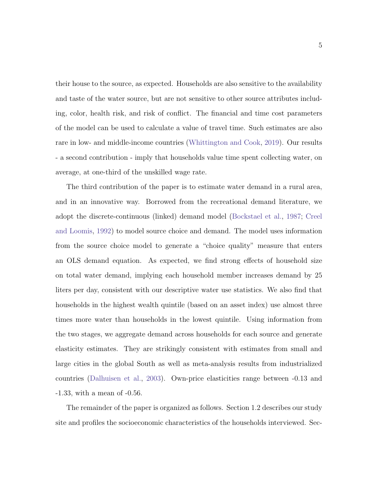their house to the source, as expected. Households are also sensitive to the availability and taste of the water source, but are not sensitive to other source attributes including, color, health risk, and risk of conflict. The financial and time cost parameters of the model can be used to calculate a value of travel time. Such estimates are also rare in low- and middle-income countries [\(Whittington and Cook,](#page-104-0) [2019\)](#page-104-0). Our results - a second contribution - imply that households value time spent collecting water, on average, at one-third of the unskilled wage rate.

The third contribution of the paper is to estimate water demand in a rural area, and in an innovative way. Borrowed from the recreational demand literature, we adopt the discrete-continuous (linked) demand model [\(Bockstael et al.,](#page-94-1) [1987;](#page-94-1) [Creel](#page-96-0) [and Loomis,](#page-96-0) [1992\)](#page-96-0) to model source choice and demand. The model uses information from the source choice model to generate a "choice quality" measure that enters an OLS demand equation. As expected, we find strong effects of household size on total water demand, implying each household member increases demand by 25 liters per day, consistent with our descriptive water use statistics. We also find that households in the highest wealth quintile (based on an asset index) use almost three times more water than households in the lowest quintile. Using information from the two stages, we aggregate demand across households for each source and generate elasticity estimates. They are strikingly consistent with estimates from small and large cities in the global South as well as meta-analysis results from industrialized countries [\(Dalhuisen et al.,](#page-96-1) [2003\)](#page-96-1). Own-price elasticities range between -0.13 and -1.33, with a mean of -0.56.

The remainder of the paper is organized as follows. Section [1.2](#page-15-0) describes our study site and profiles the socioeconomic characteristics of the households interviewed. Sec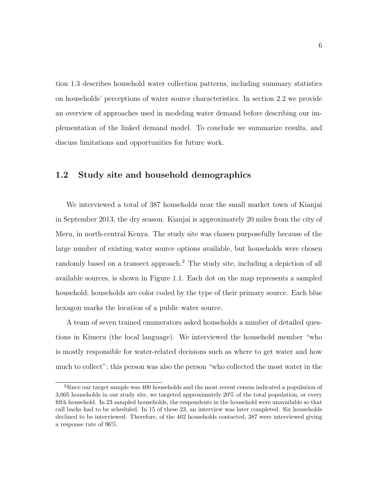tion [1.3](#page-18-0) describes household water collection patterns, including summary statistics on households' perceptions of water source characteristics. In section [2.2](#page-46-0) we provide an overview of approaches used in modeling water demand before describing our implementation of the linked demand model. To conclude we summarize results, and discuss limitations and opportunities for future work.

#### <span id="page-15-0"></span>1.2 Study site and household demographics

We interviewed a total of 387 households near the small market town of Kianjai in September 2013, the dry season. Kianjai is approximately 20 miles from the city of Meru, in north-central Kenya. The study site was chosen purposefully because of the large number of existing water source options available, but households were chosen randomly based on a transect approach.<sup>[2](#page-15-1)</sup> The study site, including a depiction of all available sources, is shown in Figure [1.1.](#page-16-0) Each dot on the map represents a sampled household; households are color coded by the type of their primary source. Each blue hexagon marks the location of a public water source.

A team of seven trained enumerators asked households a number of detailed questions in Kimeru (the local language). We interviewed the household member "who is mostly responsible for water-related decisions such as where to get water and how much to collect"; this person was also the person "who collected the most water in the

<span id="page-15-1"></span><sup>2</sup>Since our target sample was 400 households and the most recent census indicated a population of 3,005 households in our study site, we targeted approximately 20% of the total population, or every fifth household. In 23 sampled households, the respondents in the household were unavailable so that call backs had to be scheduled. In 15 of these 23, an interview was later completed. Six households declined to be interviewed. Therefore, of the 402 households contacted, 387 were interviewed giving a response rate of 96%.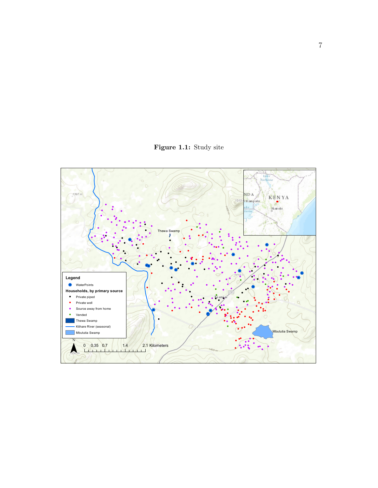Figure 1.1: Study site

<span id="page-16-0"></span>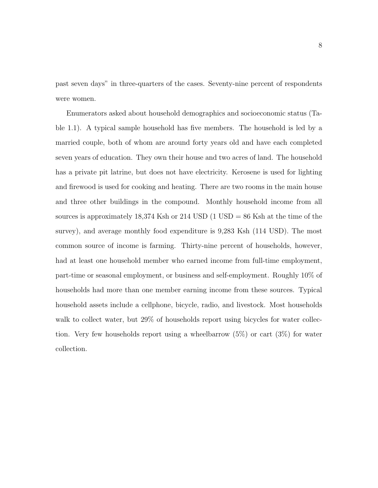past seven days" in three-quarters of the cases. Seventy-nine percent of respondents were women.

Enumerators asked about household demographics and socioeconomic status (Table [1.1\)](#page-18-1). A typical sample household has five members. The household is led by a married couple, both of whom are around forty years old and have each completed seven years of education. They own their house and two acres of land. The household has a private pit latrine, but does not have electricity. Kerosene is used for lighting and firewood is used for cooking and heating. There are two rooms in the main house and three other buildings in the compound. Monthly household income from all sources is approximately  $18,374$  Ksh or  $214$  USD  $(1 \text{ USD} = 86 \text{ Ksh at the time of the})$ survey), and average monthly food expenditure is 9,283 Ksh (114 USD). The most common source of income is farming. Thirty-nine percent of households, however, had at least one household member who earned income from full-time employment, part-time or seasonal employment, or business and self-employment. Roughly 10% of households had more than one member earning income from these sources. Typical household assets include a cellphone, bicycle, radio, and livestock. Most households walk to collect water, but  $29\%$  of households report using bicycles for water collection. Very few households report using a wheelbarrow  $(5\%)$  or cart  $(3\%)$  for water collection.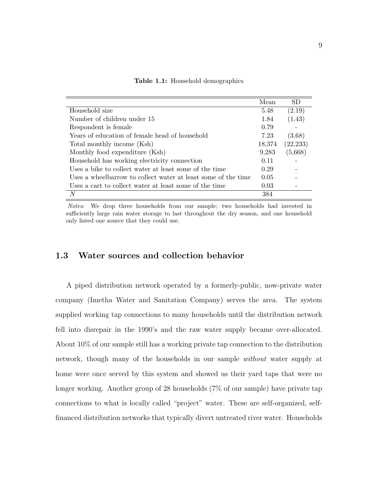|                                                               | Mean   | SD.       |
|---------------------------------------------------------------|--------|-----------|
| Household size                                                | 5.48   | (2.19)    |
| Number of children under 15                                   | 1.84   | (1.43)    |
| Respondent is female.                                         | 0.79   |           |
| Years of education of female head of household                | 7.23   | (3.68)    |
| Total monthly income (Ksh)                                    | 18,374 | (22, 233) |
| Monthly food expenditure (Ksh)                                | 9,283  | (5,668)   |
| Household has working electricity connection                  | 0.11   |           |
| Uses a bike to collect water at least some of the time        | 0.29   |           |
| Uses a wheelbarrow to collect water at least some of the time | 0.05   |           |
| Uses a cart to collect water at least some of the time        | 0.03   |           |
| N                                                             | 384    |           |

<span id="page-18-1"></span>Table 1.1: Household demographics

Notes: We drop three households from our sample; two households had invested in sufficiently large rain water storage to last throughout the dry season, and one household only listed one source that they could use.

#### <span id="page-18-0"></span>1.3 Water sources and collection behavior

A piped distribution network operated by a formerly-public, now-private water company (Imetha Water and Sanitation Company) serves the area. The system supplied working tap connections to many households until the distribution network fell into disrepair in the 1990's and the raw water supply became over-allocated. About 10% of our sample still has a working private tap connection to the distribution network, though many of the households in our sample without water supply at home were once served by this system and showed us their yard taps that were no longer working. Another group of 28 households (7% of our sample) have private tap connections to what is locally called "project" water. These are self-organized, selffinanced distribution networks that typically divert untreated river water. Households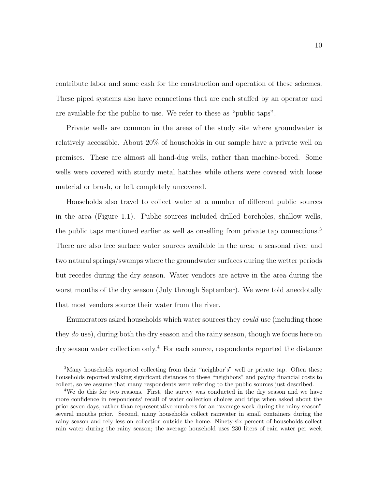contribute labor and some cash for the construction and operation of these schemes. These piped systems also have connections that are each staffed by an operator and are available for the public to use. We refer to these as "public taps".

Private wells are common in the areas of the study site where groundwater is relatively accessible. About 20% of households in our sample have a private well on premises. These are almost all hand-dug wells, rather than machine-bored. Some wells were covered with sturdy metal hatches while others were covered with loose material or brush, or left completely uncovered.

Households also travel to collect water at a number of different public sources in the area (Figure [1.1\)](#page-16-0). Public sources included drilled boreholes, shallow wells, the public taps mentioned earlier as well as onselling from private tap connections.[3](#page-19-0) There are also free surface water sources available in the area: a seasonal river and two natural springs/swamps where the groundwater surfaces during the wetter periods but recedes during the dry season. Water vendors are active in the area during the worst months of the dry season (July through September). We were told anecdotally that most vendors source their water from the river.

Enumerators asked households which water sources they could use (including those they do use), during both the dry season and the rainy season, though we focus here on dry season water collection only.[4](#page-19-1) For each source, respondents reported the distance

<span id="page-19-0"></span><sup>&</sup>lt;sup>3</sup>Many households reported collecting from their "neighbor's" well or private tap. Often these households reported walking significant distances to these "neighbors" and paying financial costs to collect, so we assume that many respondents were referring to the public sources just described.

<span id="page-19-1"></span><sup>&</sup>lt;sup>4</sup>We do this for two reasons. First, the survey was conducted in the dry season and we have more confidence in respondents' recall of water collection choices and trips when asked about the prior seven days, rather than representative numbers for an "average week during the rainy season" several months prior. Second, many households collect rainwater in small containers during the rainy season and rely less on collection outside the home. Ninety-six percent of households collect rain water during the rainy season; the average household uses 230 liters of rain water per week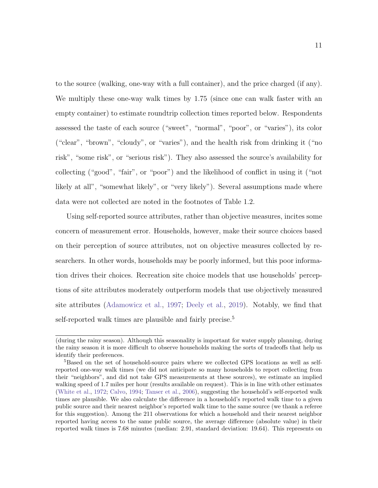to the source (walking, one-way with a full container), and the price charged (if any). We multiply these one-way walk times by 1.75 (since one can walk faster with an empty container) to estimate roundtrip collection times reported below. Respondents assessed the taste of each source ("sweet", "normal", "poor", or "varies"), its color ("clear", "brown", "cloudy", or "varies"), and the health risk from drinking it ("no risk", "some risk", or "serious risk"). They also assessed the source's availability for collecting ("good", "fair", or "poor") and the likelihood of conflict in using it ("not likely at all", "somewhat likely", or "very likely"). Several assumptions made where data were not collected are noted in the footnotes of Table [1.2.](#page-21-0)

Using self-reported source attributes, rather than objective measures, incites some concern of measurement error. Households, however, make their source choices based on their perception of source attributes, not on objective measures collected by researchers. In other words, households may be poorly informed, but this poor information drives their choices. Recreation site choice models that use households' perceptions of site attributes moderately outperform models that use objectively measured site attributes [\(Adamowicz et al.,](#page-93-3) [1997;](#page-93-3) [Deely et al.,](#page-96-2) [2019\)](#page-96-2). Notably, we find that self-reported walk times are plausible and fairly precise.<sup>[5](#page-20-0)</sup>

<sup>(</sup>during the rainy season). Although this seasonality is important for water supply planning, during the rainy season it is more difficult to observe households making the sorts of tradeoffs that help us identify their preferences.

<span id="page-20-0"></span><sup>&</sup>lt;sup>5</sup>Based on the set of household-source pairs where we collected GPS locations as well as selfreported one-way walk times (we did not anticipate so many households to report collecting from their "neighbors", and did not take GPS measurements at these sources), we estimate an implied walking speed of 1.7 miles per hour (results available on request). This is in line with other estimates [\(White et al.,](#page-104-1) [1972;](#page-104-1) [Calvo,](#page-95-3) [1994;](#page-95-3) [Tanser et al.,](#page-103-2) [2006\)](#page-103-2), suggesting the household's self-reported walk times are plausible. We also calculate the difference in a household's reported walk time to a given public source and their nearest neighbor's reported walk time to the same source (we thank a referee for this suggestion). Among the 211 observations for which a household and their nearest neighbor reported having access to the same public source, the average difference (absolute value) in their reported walk times is 7.68 minutes (median: 2.91, standard deviation: 19.64). This represents on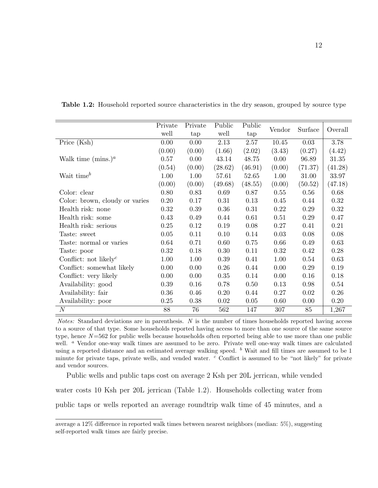|                                                | Private<br>well | Private<br>tap | Public<br>well | Public<br>tap | Vendor | Surface  | Overall |
|------------------------------------------------|-----------------|----------------|----------------|---------------|--------|----------|---------|
| Price (Ksh)                                    | 0.00            | 0.00           | 2.13           | 2.57          | 10.45  | 0.03     | 3.78    |
|                                                | (0.00)          | (0.00)         | (1.66)         | (2.02)        | (3.43) | (0.27)   | (4.42)  |
| Walk time $(\text{mins.})^a$                   | 0.57            | 0.00           | 43.14          | 48.75         | 0.00   | 96.89    | 31.35   |
|                                                | (0.54)          | (0.00)         | (28.62)        | (46.91)       | (0.00) | (71.37)  | (41.28) |
| Wait time $^b$                                 | 1.00            | 1.00           | 57.61          | 52.65         | 1.00   | 31.00    | 33.97   |
|                                                | (0.00)          | (0.00)         | (49.68)        | (48.55)       | (0.00) | (50.52)  | (47.18) |
| Color: clear                                   | 0.80            | 0.83           | 0.69           | 0.87          | 0.55   | 0.56     | 0.68    |
| Color: brown, cloudy or varies                 | 0.20            | 0.17           | 0.31           | 0.13          | 0.45   | 0.44     | 0.32    |
| Health risk: none                              | 0.32            | 0.39           | 0.36           | 0.31          | 0.22   | 0.29     | 0.32    |
| Health risk: some                              | 0.43            | 0.49           | 0.44           | 0.61          | 0.51   | $0.29\,$ | 0.47    |
| Health risk: serious                           | $0.25\,$        | 0.12           | 0.19           | 0.08          | 0.27   | 0.41     | 0.21    |
| Taste: sweet                                   | 0.05            | 0.11           | 0.10           | 0.14          | 0.03   | 0.08     | 0.08    |
| Taste: normal or varies                        | 0.64            | 0.71           | 0.60           | 0.75          | 0.66   | 0.49     | 0.63    |
| Taste: poor                                    | 0.32            | 0.18           | 0.30           | 0.11          | 0.32   | 0.42     | 0.28    |
| Conflict: not likely <sup><math>c</math></sup> | 1.00            | 1.00           | 0.39           | 0.41          | 1.00   | 0.54     | 0.63    |
| Conflict: somewhat likely                      | 0.00            | 0.00           | 0.26           | 0.44          | 0.00   | 0.29     | 0.19    |
| Conflict: very likely                          | 0.00            | 0.00           | 0.35           | 0.14          | 0.00   | 0.16     | 0.18    |
| Availability: good                             | 0.39            | 0.16           | 0.78           | 0.50          | 0.13   | 0.98     | 0.54    |
| Availability: fair                             | 0.36            | 0.46           | 0.20           | 0.44          | 0.27   | 0.02     | 0.26    |
| Availability: poor                             | 0.25            | 0.38           | 0.02           | 0.05          | 0.60   | 0.00     | 0.20    |
| N                                              | 88              | 76             | 562            | 147           | 307    | 85       | 1,267   |

<span id="page-21-0"></span>Table 1.2: Household reported source characteristics in the dry season, grouped by source type

Notes: Standard deviations are in parenthesis. N is the number of times households reported having access to a source of that type. Some households reported having access to more than one source of the same source type, hence  $N = 562$  for public wells because households often reported being able to use more than one public well. <sup>a</sup> Vendor one-way walk times are assumed to be zero. Private well one-way walk times are calculated using a reported distance and an estimated average walking speed.  $<sup>b</sup>$  Wait and fill times are assumed to be 1</sup> minute for private taps, private wells, and vended water. <sup>c</sup> Conflict is assumed to be "not likely" for private and vendor sources.

Public wells and public taps cost on average 2 Ksh per 20L jerrican, while vended water costs 10 Ksh per 20L jerrican (Table [1.2\)](#page-21-0). Households collecting water from public taps or wells reported an average roundtrip walk time of 45 minutes, and a

average a 12% difference in reported walk times between nearest neighbors (median: 5%), suggesting self-reported walk times are fairly precise.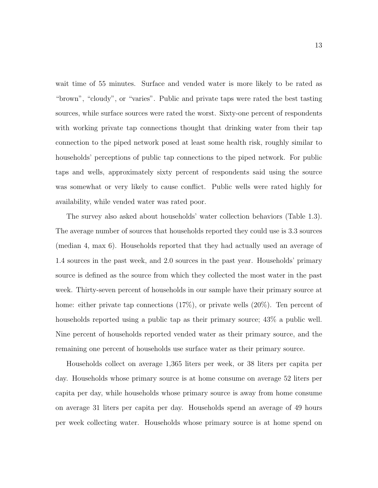wait time of 55 minutes. Surface and vended water is more likely to be rated as "brown", "cloudy", or "varies". Public and private taps were rated the best tasting sources, while surface sources were rated the worst. Sixty-one percent of respondents with working private tap connections thought that drinking water from their tap connection to the piped network posed at least some health risk, roughly similar to households' perceptions of public tap connections to the piped network. For public taps and wells, approximately sixty percent of respondents said using the source was somewhat or very likely to cause conflict. Public wells were rated highly for availability, while vended water was rated poor.

The survey also asked about households' water collection behaviors (Table [1.3\)](#page-24-1). The average number of sources that households reported they could use is 3.3 sources (median 4, max 6). Households reported that they had actually used an average of 1.4 sources in the past week, and 2.0 sources in the past year. Households' primary source is defined as the source from which they collected the most water in the past week. Thirty-seven percent of households in our sample have their primary source at home: either private tap connections  $(17\%)$ , or private wells  $(20\%)$ . Ten percent of households reported using a public tap as their primary source;  $43\%$  a public well. Nine percent of households reported vended water as their primary source, and the remaining one percent of households use surface water as their primary source.

Households collect on average 1,365 liters per week, or 38 liters per capita per day. Households whose primary source is at home consume on average 52 liters per capita per day, while households whose primary source is away from home consume on average 31 liters per capita per day. Households spend an average of 49 hours per week collecting water. Households whose primary source is at home spend on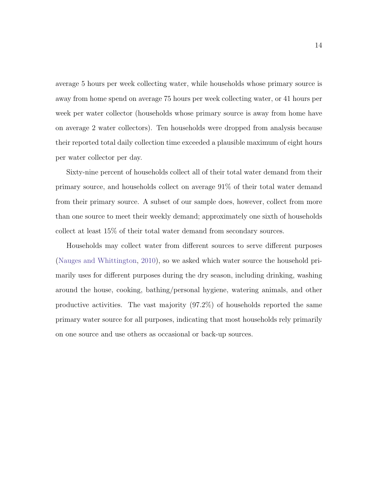average 5 hours per week collecting water, while households whose primary source is away from home spend on average 75 hours per week collecting water, or 41 hours per week per water collector (households whose primary source is away from home have on average 2 water collectors). Ten households were dropped from analysis because their reported total daily collection time exceeded a plausible maximum of eight hours per water collector per day.

Sixty-nine percent of households collect all of their total water demand from their primary source, and households collect on average 91% of their total water demand from their primary source. A subset of our sample does, however, collect from more than one source to meet their weekly demand; approximately one sixth of households collect at least 15% of their total water demand from secondary sources.

Households may collect water from different sources to serve different purposes [\(Nauges and Whittington,](#page-101-3) [2010\)](#page-101-3), so we asked which water source the household primarily uses for different purposes during the dry season, including drinking, washing around the house, cooking, bathing/personal hygiene, watering animals, and other productive activities. The vast majority (97.2%) of households reported the same primary water source for all purposes, indicating that most households rely primarily on one source and use others as occasional or back-up sources.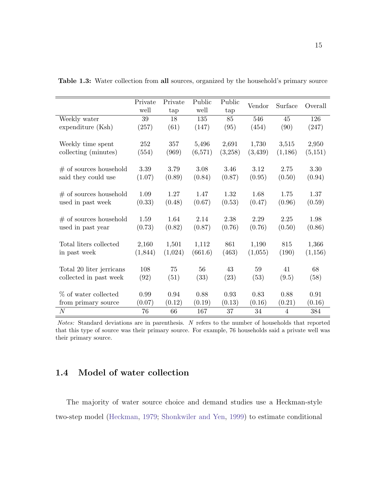|                          | Private<br>well | Private<br>tap | Public<br>well | Public<br>tap | Vendor  | Surface        | Overall  |
|--------------------------|-----------------|----------------|----------------|---------------|---------|----------------|----------|
| Weekly water             | 39              | 18             | 135            | 85            | 546     | 45             | 126      |
| expenditure (Ksh)        | (257)           | (61)           | (147)          | (95)          | (454)   | (90)           | (247)    |
| Weekly time spent        | 252             | 357            | 5,496          | 2,691         | 1,730   | 3,515          | 2,950    |
| collecting (minutes)     | (554)           | (969)          | (6,571)        | (3,258)       | (3,439) | (1,186)        | (5,151)  |
| $#$ of sources household | 3.39            | 3.79           | 3.08           | 3.46          | 3.12    | 2.75           | 3.30     |
| said they could use      | (1.07)          | (0.89)         | (0.84)         | (0.87)        | (0.95)  | (0.50)         | (0.94)   |
| $#$ of sources household | 1.09            | 1.27           | 1.47           | 1.32          | 1.68    | 1.75           | 1.37     |
| used in past week        | (0.33)          | (0.48)         | (0.67)         | (0.53)        | (0.47)  | (0.96)         | (0.59)   |
| $#$ of sources household | 1.59            | 1.64           | 2.14           | 2.38          | 2.29    | 2.25           | 1.98     |
| used in past year        | (0.73)          | (0.82)         | (0.87)         | (0.76)        | (0.76)  | (0.50)         | (0.86)   |
| Total liters collected   | 2,160           | 1,501          | 1,112          | 861           | 1,190   | 815            | 1,366    |
| in past week             | (1,844)         | (1,024)        | (661.6)        | (463)         | (1,055) | (190)          | (1, 156) |
| Total 20 liter jerricans | 108             | 75             | 56             | 43            | 59      | 41             | 68       |
| collected in past week   | (92)            | (51)           | (33)           | (23)          | (53)    | (9.5)          | (58)     |
| % of water collected     | 0.99            | 0.94           | 0.88           | 0.93          | 0.83    | 0.88           | 0.91     |
| from primary source      | (0.07)          | (0.12)         | (0.19)         | (0.13)        | (0.16)  | (0.21)         | (0.16)   |
| $\overline{N}$           | 76              | 66             | 167            | 37            | 34      | $\overline{4}$ | 384      |

<span id="page-24-1"></span>Table 1.3: Water collection from all sources, organized by the household's primary source

Notes: Standard deviations are in parenthesis. N refers to the number of households that reported that this type of source was their primary source. For example, 76 households said a private well was their primary source.

# <span id="page-24-0"></span>1.4 Model of water collection

The majority of water source choice and demand studies use a Heckman-style two-step model [\(Heckman,](#page-98-1) [1979;](#page-98-1) [Shonkwiler and Yen,](#page-102-2) [1999\)](#page-102-2) to estimate conditional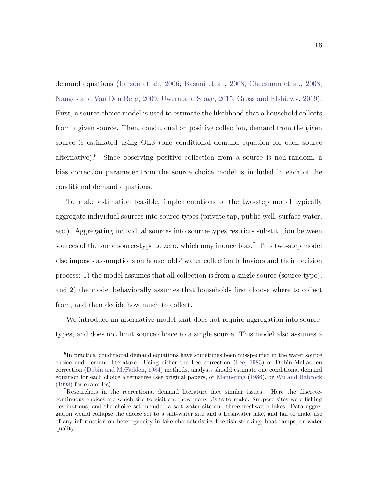demand equations [\(Larson et al.,](#page-99-1) [2006;](#page-99-1) [Basani et al.,](#page-93-1) [2008;](#page-93-1) [Cheesman et al.,](#page-95-1) [2008;](#page-95-1) [Nauges and Van Den Berg,](#page-101-1) [2009;](#page-101-1) [Uwera and Stage,](#page-103-0) [2015;](#page-103-0) [Gross and Elshiewy,](#page-97-0) [2019\)](#page-97-0). First, a source choice model is used to estimate the likelihood that a household collects from a given source. Then, conditional on positive collection, demand from the given source is estimated using OLS (one conditional demand equation for each source alternative).<sup>[6](#page-25-0)</sup> Since observing positive collection from a source is non-random, a bias correction parameter from the source choice model is included in each of the conditional demand equations.

To make estimation feasible, implementations of the two-step model typically aggregate individual sources into source-types (private tap, public well, surface water, etc.). Aggregating individual sources into source-types restricts substitution between sources of the same source-type to zero, which may induce bias.<sup>[7](#page-25-1)</sup> This two-step model also imposes assumptions on households' water collection behaviors and their decision process: 1) the model assumes that all collection is from a single source (source-type), and 2) the model behaviorally assumes that households first choose where to collect from, and then decide how much to collect.

We introduce an alternative model that does not require aggregation into sourcetypes, and does not limit source choice to a single source. This model also assumes a

<span id="page-25-0"></span><sup>&</sup>lt;sup>6</sup>In practice, conditional demand equations have sometimes been misspecified in the water source choice and demand literature. Using either the Lee correction [\(Lee,](#page-99-3) [1983\)](#page-99-3) or Dubin-McFadden correction [\(Dubin and McFadden,](#page-96-3) [1984\)](#page-96-3) methods, analysts should estimate one conditional demand equation for each choice alternative (see original papers, or [Mannering](#page-99-4) [\(1986\)](#page-99-4), or [Wu and Babcock](#page-105-2) [\(1998\)](#page-105-2) for examples).

<span id="page-25-1"></span><sup>7</sup>Researchers in the recreational demand literature face similar issues. Here the discretecontinuous choices are which site to visit and how many visits to make. Suppose sites were fishing destinations, and the choice set included a salt-water site and three freshwater lakes. Data aggregation would collapse the choice set to a salt-water site and a freshwater lake, and fail to make use of any information on heterogeneity in lake characteristics like fish stocking, boat ramps, or water quality.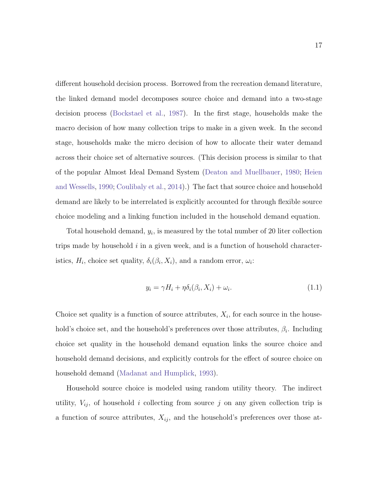different household decision process. Borrowed from the recreation demand literature, the linked demand model decomposes source choice and demand into a two-stage decision process [\(Bockstael et al.,](#page-94-1) [1987\)](#page-94-1). In the first stage, households make the macro decision of how many collection trips to make in a given week. In the second stage, households make the micro decision of how to allocate their water demand across their choice set of alternative sources. (This decision process is similar to that of the popular Almost Ideal Demand System [\(Deaton and Muellbauer,](#page-96-4) [1980;](#page-96-4) [Heien](#page-98-2) [and Wessells,](#page-98-2) [1990;](#page-98-2) [Coulibaly et al.,](#page-95-2) [2014\)](#page-95-2).) The fact that source choice and household demand are likely to be interrelated is explicitly accounted for through flexible source choice modeling and a linking function included in the household demand equation.

Total household demand,  $y_i$ , is measured by the total number of 20 liter collection trips made by household  $i$  in a given week, and is a function of household characteristics,  $H_i$ , choice set quality,  $\delta_i(\beta_i, X_i)$ , and a random error,  $\omega_i$ :

<span id="page-26-0"></span>
$$
y_i = \gamma H_i + \eta \delta_i(\beta_i, X_i) + \omega_i.
$$
\n(1.1)

Choice set quality is a function of source attributes,  $X_i$ , for each source in the household's choice set, and the household's preferences over those attributes,  $\beta_i$ . Including choice set quality in the household demand equation links the source choice and household demand decisions, and explicitly controls for the effect of source choice on household demand [\(Madanat and Humplick,](#page-99-0) [1993\)](#page-99-0).

Household source choice is modeled using random utility theory. The indirect utility,  $V_{ij}$ , of household i collecting from source j on any given collection trip is a function of source attributes,  $X_{ij}$ , and the household's preferences over those at-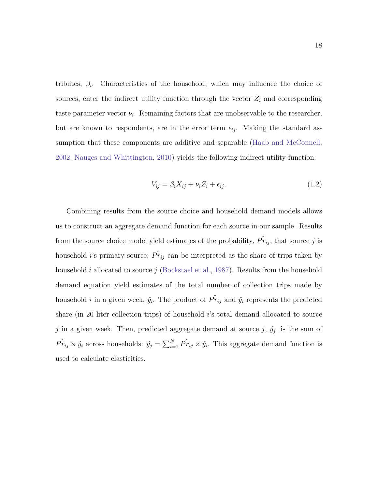tributes,  $\beta_i$ . Characteristics of the household, which may influence the choice of sources, enter the indirect utility function through the vector  $Z_i$  and corresponding taste parameter vector  $\nu_i$ . Remaining factors that are unobservable to the researcher, but are known to respondents, are in the error term  $\epsilon_{ij}$ . Making the standard assumption that these components are additive and separable [\(Haab and McConnell,](#page-98-3) [2002;](#page-98-3) [Nauges and Whittington,](#page-101-3) [2010\)](#page-101-3) yields the following indirect utility function:

$$
V_{ij} = \beta_i X_{ij} + \nu_i Z_i + \epsilon_{ij}.
$$
\n(1.2)

Combining results from the source choice and household demand models allows us to construct an aggregate demand function for each source in our sample. Results from the source choice model yield estimates of the probability,  $\hat{Pr}_{ij}$ , that source j is household *i*'s primary source;  $\hat{Pr}_{ij}$  can be interpreted as the share of trips taken by household i allocated to source j [\(Bockstael et al.,](#page-94-1) [1987\)](#page-94-1). Results from the household demand equation yield estimates of the total number of collection trips made by household *i* in a given week,  $\hat{y}_i$ . The product of  $\hat{Pr}_{ij}$  and  $\hat{y}_i$  represents the predicted share (in 20 liter collection trips) of household i's total demand allocated to source j in a given week. Then, predicted aggregate demand at source  $j, \hat{y}_j$ , is the sum of  $\hat{Pr}_{ij} \times \hat{y}_i$  across households:  $\hat{y}_j = \sum_{i=1}^{N} \hat{Pr}_{ij} \times \hat{y}_i$ . This aggregate demand function is used to calculate elasticities.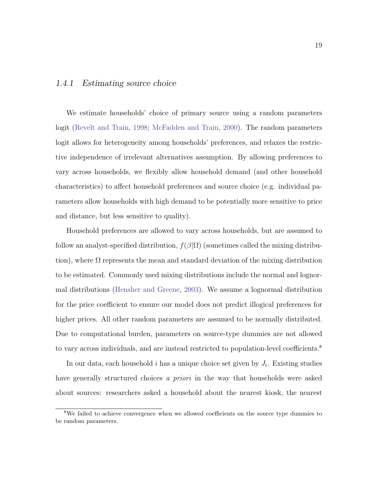#### 1.4.1 Estimating source choice

We estimate households' choice of primary source using a random parameters logit [\(Revelt and Train,](#page-102-3) [1998;](#page-102-3) [McFadden and Train,](#page-100-1) [2000\)](#page-100-1). The random parameters logit allows for heterogeneity among households' preferences, and relaxes the restrictive independence of irrelevant alternatives assumption. By allowing preferences to vary across households, we flexibly allow household demand (and other household characteristics) to affect household preferences and source choice (e.g. individual parameters allow households with high demand to be potentially more sensitive to price and distance, but less sensitive to quality).

Household preferences are allowed to vary across households, but are assumed to follow an analyst-specified distribution,  $f(\beta|\Omega)$  (sometimes called the mixing distribution), where  $\Omega$  represents the mean and standard deviation of the mixing distribution to be estimated. Commonly used mixing distributions include the normal and lognormal distributions [\(Hensher and Greene,](#page-98-4) [2003\)](#page-98-4). We assume a lognormal distribution for the price coefficient to ensure our model does not predict illogical preferences for higher prices. All other random parameters are assumed to be normally distributed. Due to computational burden, parameters on source-type dummies are not allowed to vary across individuals, and are instead restricted to population-level coefficients.<sup>[8](#page-28-0)</sup>

In our data, each household  $i$  has a unique choice set given by  $J_i$ . Existing studies have generally structured choices a priori in the way that households were asked about sources: researchers asked a household about the nearest kiosk, the nearest

<span id="page-28-0"></span><sup>&</sup>lt;sup>8</sup>We failed to achieve convergence when we allowed coefficients on the source type dummies to be random parameters.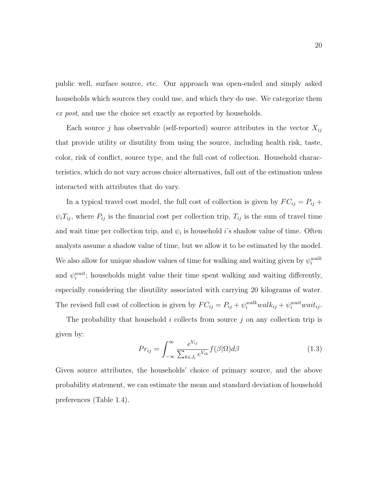public well, surface source, etc. Our approach was open-ended and simply asked households which sources they could use, and which they do use. We categorize them ex post, and use the choice set exactly as reported by households.

Each source j has observable (self-reported) source attributes in the vector  $X_{ij}$ that provide utility or disutility from using the source, including health risk, taste, color, risk of conflict, source type, and the full cost of collection. Household characteristics, which do not vary across choice alternatives, fall out of the estimation unless interacted with attributes that do vary.

In a typical travel cost model, the full cost of collection is given by  $FC_{ij} = P_{ij} +$  $\psi_i T_{ij}$ , where  $P_{ij}$  is the financial cost per collection trip,  $T_{ij}$  is the sum of travel time and wait time per collection trip, and  $\psi_i$  is household *i*'s shadow value of time. Often analysts assume a shadow value of time, but we allow it to be estimated by the model. We also allow for unique shadow values of time for walking and waiting given by  $\psi_i^{walk}$ and  $\psi_i^{wait}$ ; households might value their time spent walking and waiting differently, especially considering the disutility associated with carrying 20 kilograms of water. The revised full cost of collection is given by  $FC_{ij} = P_{ij} + \psi_i^{walk} walk_{ij} + \psi_i^{wait} wait_{ij}$ .

The probability that household i collects from source  $j$  on any collection trip is given by:

<span id="page-29-0"></span>
$$
Pr_{ij} = \int_{-\infty}^{\infty} \frac{e^{V_{ij}}}{\sum_{k \in J_i} e^{V_{ik}}} f(\beta | \Omega) d\beta \qquad (1.3)
$$

Given source attributes, the households' choice of primary source, and the above probability statement, we can estimate the mean and standard deviation of household preferences (Table [1.4\)](#page-30-0).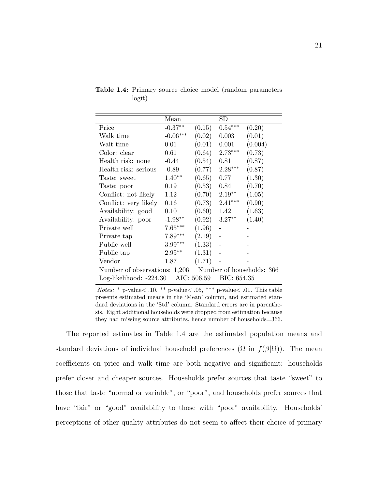|                                                         | Mean       |        | $_{\rm SD}$ |         |  |  |
|---------------------------------------------------------|------------|--------|-------------|---------|--|--|
| Price                                                   | $-0.37**$  | (0.15) | $0.54***$   | (0.20)  |  |  |
| Walk time                                               | $-0.06***$ | (0.02) | 0.003       | (0.01)  |  |  |
| Wait time                                               | 0.01       | (0.01) | 0.001       | (0.004) |  |  |
| Color: clear                                            | 0.61       | (0.64) | $2.73***$   | (0.73)  |  |  |
| Health risk: none                                       | $-0.44$    | (0.54) | 0.81        | (0.87)  |  |  |
| Health risk: serious                                    | $-0.89$    | (0.77) | $2.28***$   | (0.87)  |  |  |
| Taste: sweet                                            | $1.40**$   | (0.65) | 0.77        | (1.30)  |  |  |
| Taste: poor                                             | 0.19       | (0.53) | 0.84        | (0.70)  |  |  |
| Conflict: not likely                                    | 1.12       | (0.70) | $2.19**$    | (1.05)  |  |  |
| Conflict: very likely                                   | 0.16       | (0.73) | $2.41***$   | (0.90)  |  |  |
| Availability: good                                      | 0.10       | (0.60) | 1.42        | (1.63)  |  |  |
| Availability: poor                                      | $-1.98**$  | (0.92) | $3.27**$    | (1.40)  |  |  |
| Private well                                            | $7.65***$  | (1.96) |             |         |  |  |
| Private tap                                             | $7.89***$  | (2.19) |             |         |  |  |
| Public well                                             | $3.99***$  | (1.33) |             |         |  |  |
| Public tap                                              | $2.95***$  | (1.31) |             |         |  |  |
| Vendor                                                  | 1.87       | (1.71) |             |         |  |  |
| Number of observations: 1,206 Number of households: 366 |            |        |             |         |  |  |
| AIC: 506.59<br>BIC: 654.35<br>Log-likelihood: -224.30   |            |        |             |         |  |  |

<span id="page-30-0"></span>Table 1.4: Primary source choice model (random parameters logit)

*Notes:* \* p-value $<$ .10, \*\* p-value $<$ .05, \*\*\* p-value $<$ .01. This table presents estimated means in the 'Mean' column, and estimated standard deviations in the 'Std' column. Standard errors are in parenthesis. Eight additional households were dropped from estimation because they had missing source attributes, hence number of households=366.

The reported estimates in Table [1.4](#page-30-0) are the estimated population means and standard deviations of individual household preferences  $(\Omega$  in  $f(\beta|\Omega))$ . The mean coefficients on price and walk time are both negative and significant: households prefer closer and cheaper sources. Households prefer sources that taste "sweet" to those that taste "normal or variable", or "poor", and households prefer sources that have "fair" or "good" availability to those with "poor" availability. Households' perceptions of other quality attributes do not seem to affect their choice of primary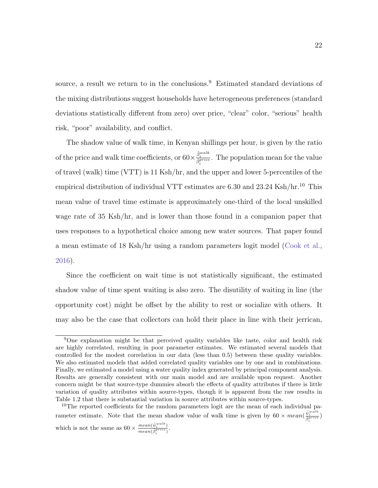source, a result we return to in the conclusions.<sup>[9](#page-31-0)</sup> Estimated standard deviations of the mixing distributions suggest households have heterogeneous preferences (standard deviations statistically different from zero) over price, "clear" color, "serious" health risk, "poor" availability, and conflict.

The shadow value of walk time, in Kenyan shillings per hour, is given by the ratio of the price and walk time coefficients, or  $60 \times \frac{\hat{\beta}_i^{walk}}{\hat{\beta}_i^{price}}$ . The population mean for the value of travel (walk) time (VTT) is 11 Ksh/hr, and the upper and lower 5-percentiles of the empirical distribution of individual VTT estimates are  $6.30$  and  $23.24$  Ksh/hr.<sup>[10](#page-31-1)</sup> This mean value of travel time estimate is approximately one-third of the local unskilled wage rate of 35 Ksh/hr, and is lower than those found in a companion paper that uses responses to a hypothetical choice among new water sources. That paper found a mean estimate of 18 Ksh/hr using a random parameters logit model [\(Cook et al.,](#page-95-4) [2016\)](#page-95-4).

Since the coefficient on wait time is not statistically significant, the estimated shadow value of time spent waiting is also zero. The disutility of waiting in line (the opportunity cost) might be offset by the ability to rest or socialize with others. It may also be the case that collectors can hold their place in line with their jerrican,

<span id="page-31-0"></span><sup>9</sup>One explanation might be that perceived quality variables like taste, color and health risk are highly correlated, resulting in poor parameter estimates. We estimated several models that controlled for the modest correlation in our data (less than 0.5) between these quality variables. We also estimated models that added correlated quality variables one by one and in combinations. Finally, we estimated a model using a water quality index generated by principal component analysis. Results are generally consistent with our main model and are available upon request. Another concern might be that source-type dummies absorb the effects of quality attributes if there is little variation of quality attributes within source-types, though it is apparent from the raw results in Table [1.2](#page-21-0) that there is substantial variation in source attributes within source-types.

<span id="page-31-1"></span><sup>&</sup>lt;sup>10</sup>The reported coefficients for the random parameters logit are the mean of each individual parameter estimate. Note that the mean shadow value of walk time is given by  $60 \times mean(\frac{\hat{\psi}_i^{walk}}{\hat{\beta}_i^{price}})$ which is not the same as  $60 \times \frac{mean(\hat{\psi}_i^{walk})}{mean(\hat{\rho}_i^{price})}$  $\frac{mean(\mathbf{\hat{y}}_i^{price})}{mean(\hat{\beta}_i^{price})}.$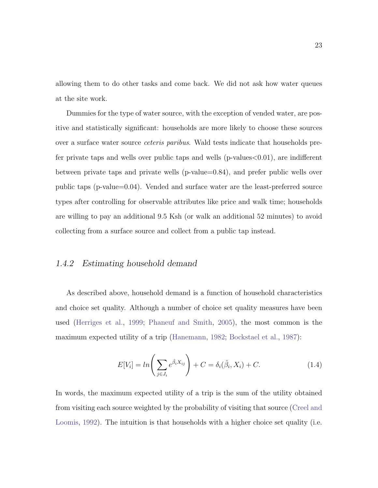allowing them to do other tasks and come back. We did not ask how water queues at the site work.

Dummies for the type of water source, with the exception of vended water, are positive and statistically significant: households are more likely to choose these sources over a surface water source ceteris paribus. Wald tests indicate that households prefer private taps and wells over public taps and wells (p-values<0.01), are indifferent between private taps and private wells (p-value=0.84), and prefer public wells over public taps (p-value=0.04). Vended and surface water are the least-preferred source types after controlling for observable attributes like price and walk time; households are willing to pay an additional 9.5 Ksh (or walk an additional 52 minutes) to avoid collecting from a surface source and collect from a public tap instead.

#### 1.4.2 Estimating household demand

As described above, household demand is a function of household characteristics and choice set quality. Although a number of choice set quality measures have been used [\(Herriges et al.,](#page-98-5) [1999;](#page-98-5) [Phaneuf and Smith,](#page-102-4) [2005\)](#page-102-4), the most common is the maximum expected utility of a trip [\(Hanemann,](#page-98-6) [1982;](#page-98-6) [Bockstael et al.,](#page-94-1) [1987\)](#page-94-1):

$$
E[V_i] = \ln\left(\sum_{j \in J_i} e^{\hat{\beta}_i X_{ij}}\right) + C = \delta_i(\hat{\beta}_i, X_i) + C. \tag{1.4}
$$

In words, the maximum expected utility of a trip is the sum of the utility obtained from visiting each source weighted by the probability of visiting that source [\(Creel and](#page-96-0) [Loomis,](#page-96-0) [1992\)](#page-96-0). The intuition is that households with a higher choice set quality (i.e.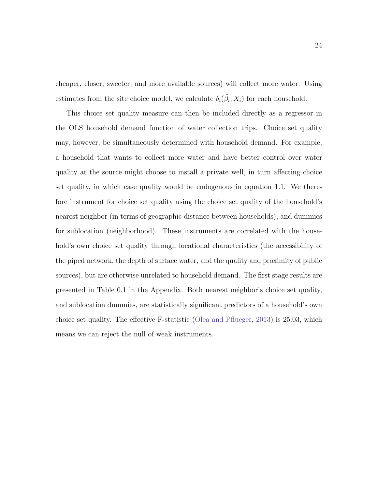cheaper, closer, sweeter, and more available sources) will collect more water. Using estimates from the site choice model, we calculate  $\delta_i(\hat{\beta}_i, X_i)$  for each household.

This choice set quality measure can then be included directly as a regressor in the OLS household demand function of water collection trips. Choice set quality may, however, be simultaneously determined with household demand. For example, a household that wants to collect more water and have better control over water quality at the source might choose to install a private well, in turn affecting choice set quality, in which case quality would be endogenous in equation [1.1.](#page-26-0) We therefore instrument for choice set quality using the choice set quality of the household's nearest neighbor (in terms of geographic distance between households), and dummies for sublocation (neighborhood). These instruments are correlated with the household's own choice set quality through locational characteristics (the accessibility of the piped network, the depth of surface water, and the quality and proximity of public sources), but are otherwise unrelated to household demand. The first stage results are presented in Table [0.1](#page-88-1) in the Appendix. Both nearest neighbor's choice set quality, and sublocation dummies, are statistically significant predictors of a household's own choice set quality. The effective F-statistic [\(Olea and Pflueger,](#page-101-4) [2013\)](#page-101-4) is 25.03, which means we can reject the null of weak instruments.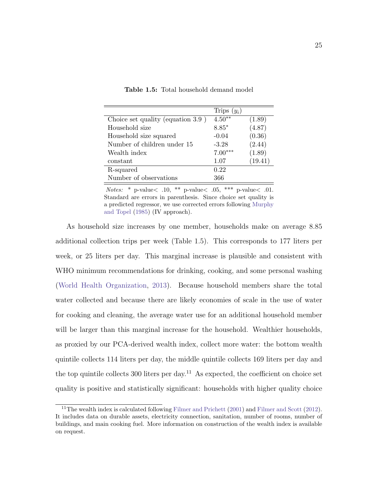|                                   | Trips $(y_i)$ |         |
|-----------------------------------|---------------|---------|
| Choice set quality (equation 3.9) | $4.50**$      | (1.89)  |
| Household size                    | $8.85*$       | (4.87)  |
| Household size squared            | $-0.04$       | (0.36)  |
| Number of children under 15       | $-3.28$       | (2.44)  |
| Wealth index                      | $7.00***$     | (1.89)  |
| constant                          | 1.07          | (19.41) |
| R-squared                         | 0.22          |         |
| Number of observations            | 366           |         |

<span id="page-34-0"></span>Table 1.5: Total household demand model

Notes: \* p-value $\lt$  .10, \*\* p-value $\lt$  .05, \*\*\* p-value $\lt$  .01. Standard are errors in parenthesis. Since choice set quality is a predicted regressor, we use corrected errors following [Murphy](#page-100-2) [and Topel](#page-100-2) [\(1985\)](#page-100-2) (IV approach).

As household size increases by one member, households make on average 8.85 additional collection trips per week (Table [1.5\)](#page-34-0). This corresponds to 177 liters per week, or 25 liters per day. This marginal increase is plausible and consistent with WHO minimum recommendations for drinking, cooking, and some personal washing [\(World Health Organization,](#page-105-3) [2013\)](#page-105-3). Because household members share the total water collected and because there are likely economies of scale in the use of water for cooking and cleaning, the average water use for an additional household member will be larger than this marginal increase for the household. Wealthier households, as proxied by our PCA-derived wealth index, collect more water: the bottom wealth quintile collects 114 liters per day, the middle quintile collects 169 liters per day and the top quintile collects 300 liters per day.<sup>[11](#page-34-1)</sup> As expected, the coefficient on choice set quality is positive and statistically significant: households with higher quality choice

<span id="page-34-1"></span><sup>&</sup>lt;sup>11</sup>The wealth index is calculated following [Filmer and Prichett](#page-97-1) [\(2001\)](#page-97-1) and [Filmer and Scott](#page-97-2) [\(2012\)](#page-97-2). It includes data on durable assets, electricity connection, sanitation, number of rooms, number of buildings, and main cooking fuel. More information on construction of the wealth index is available on request.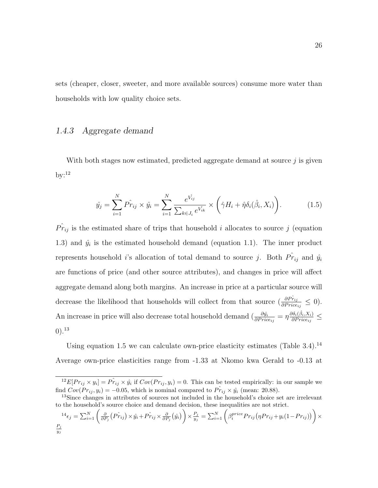sets (cheaper, closer, sweeter, and more available sources) consume more water than households with low quality choice sets.

### 1.4.3 Aggregate demand

With both stages now estimated, predicted aggregate demand at source  $j$  is given  $by:$ <sup>[12](#page-35-0)</sup>

<span id="page-35-2"></span>
$$
\hat{y}_j = \sum_{i=1}^N \hat{Pr}_{ij} \times \hat{y}_i = \sum_{i=1}^N \frac{e^{\hat{V}_{ij}}}{\sum_{k \in J_i} e^{\hat{V}_{ik}}} \times \left(\hat{\gamma} H_i + \hat{\eta} \delta_i(\hat{\beta}_i, X_i)\right).
$$
(1.5)

 $\hat{Pr}_{ij}$  is the estimated share of trips that household i allocates to source j (equation [1.3\)](#page-29-0) and  $\hat{y}_i$  is the estimated household demand (equation [1.1\)](#page-26-0). The inner product represents household *i*'s allocation of total demand to source *j*. Both  $\hat{Pr}_{ij}$  and  $\hat{y}_i$ are functions of price (and other source attributes), and changes in price will affect aggregate demand along both margins. An increase in price at a particular source will decrease the likelihood that households will collect from that source  $\left(\frac{\partial P_{rij}}{\partial Price_{ij}} \leq 0\right)$ . An increase in price will also decrease total household demand  $\left(\frac{\partial \hat{y_i}}{\partial Price_{ij}} = \eta \frac{\partial \delta_i(\hat{\beta_i}, X_i)}{\partial Price_{ij}}\right)$  $\frac{\partial o_i(\beta_i, X_i)}{\partial Price_{ij}} \le$ 0).[13](#page-35-1)

Using equation [1.5](#page-35-2) we can calculate own-price elasticity estimates (Table  $3.4$ ).<sup>[14](#page-35-3)</sup> Average own-price elasticities range from -1.33 at Nkomo kwa Gerald to -0.13 at

<span id="page-35-0"></span><sup>&</sup>lt;sup>12</sup>E[ $Pr_{ij} \times y_i$ ] =  $\hat{Pr}_{ij} \times \hat{y_i}$  if  $Cov(Pr_{ij}, y_i) = 0$ . This can be tested empirically: in our sample we find  $Cov(Pr_{ij}, y_i) = -0.05$ , which is nominal compared to  $\hat{Pr}_{ij} \times \hat{y}_i$  (mean: 20.88).

<span id="page-35-1"></span><sup>&</sup>lt;sup>13</sup>Since changes in attributes of sources not included in the household's choice set are irrelevant to the household's source choice and demand decision, these inequalities are not strict.

<span id="page-35-3"></span> $\mathbf{I}^4 \epsilon_j = \sum_{i=1}^N \left( \frac{\partial}{\partial P_j} \left( \hat{Pr_{ij}} \right) \times \hat{y_i} + \hat{Pr_{ij}} \times \frac{\partial}{\partial P_j} \left( \hat{y_i} \right) \right) \times \frac{P_j}{y_j}$  $\frac{P_j}{y_j} = \sum_{i=1}^N \left( \beta_i^{price} Pr_{ij} \big( \eta Pr_{ij} + y_i(1-Pr_{ij}) \big) \right) \times$  $P_j$  $y_j$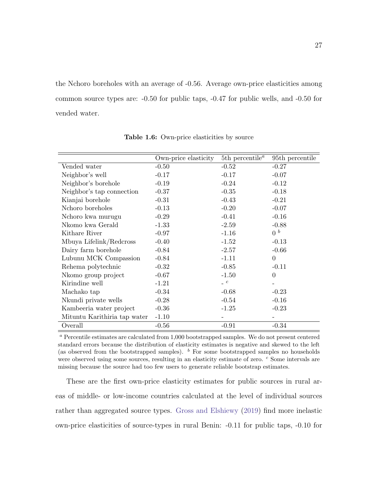the Nchoro boreholes with an average of -0.56. Average own-price elasticities among common source types are: -0.50 for public taps, -0.47 for public wells, and -0.50 for vended water.

|                              | Own-price elasticity | 5th percentile <sup><math>a</math></sup> | 95th percentile |
|------------------------------|----------------------|------------------------------------------|-----------------|
| Vended water                 | $-0.50$              | $-0.52$                                  | $-0.27$         |
| Neighbor's well              | $-0.17$              | $-0.17$                                  | $-0.07$         |
| Neighbor's borehole          | $-0.19$              | $-0.24$                                  | $-0.12$         |
| Neighbor's tap connection    | $-0.37$              | $-0.35$                                  | $-0.18$         |
| Kianjai borehole             | $-0.31$              | $-0.43$                                  | $-0.21$         |
| Nchoro boreholes             | $-0.13$              | $-0.20$                                  | $-0.07$         |
| Nchoro kwa murugu            | $-0.29$              | $-0.41$                                  | $-0.16$         |
| Nkomo kwa Gerald             | $-1.33$              | $-2.59$                                  | $-0.88$         |
| Kithare River                | $-0.97$              | $-1.16$                                  | 0 <sup>b</sup>  |
| Mbuya Lifelink/Redcross      | $-0.40$              | $-1.52$                                  | $-0.13$         |
| Dairy farm borehole          | $-0.84$              | $-2.57$                                  | $-0.66$         |
| Lubunu MCK Compassion        | $-0.84$              | $-1.11$                                  | $\overline{0}$  |
| Rehema polytechnic           | $-0.32$              | $-0.85$                                  | $-0.11$         |
| Nkomo group project          | $-0.67$              | $-1.50$                                  | $\overline{0}$  |
| Kirindine well               | $-1.21$              | $\lrcorner$ c                            |                 |
| Machako tap                  | $-0.34$              | $-0.68$                                  | $-0.23$         |
| Nkundi private wells         | $-0.28$              | $-0.54$                                  | $-0.16$         |
| Kambeeria water project      | $-0.36$              | $-1.25$                                  | $-0.23$         |
| Mituntu Karithiria tap water | $-1.10$              |                                          |                 |
| Overall                      | $-0.56$              | $-0.91$                                  | $-0.34$         |

Table 1.6: Own-price elasticities by source

 $a$  Percentile estimates are calculated from 1,000 bootstrapped samples. We do not present centered standard errors because the distribution of elasticity estimates is negative and skewed to the left (as observed from the bootstrapped samples).  $<sup>b</sup>$  For some bootstrapped samples no households</sup> were observed using some sources, resulting in an elasticity estimate of zero. <sup>c</sup> Some intervals are missing because the source had too few users to generate reliable bootstrap estimates.

These are the first own-price elasticity estimates for public sources in rural areas of middle- or low-income countries calculated at the level of individual sources rather than aggregated source types. [Gross and Elshiewy](#page-97-0) [\(2019\)](#page-97-0) find more inelastic own-price elasticities of source-types in rural Benin: -0.11 for public taps, -0.10 for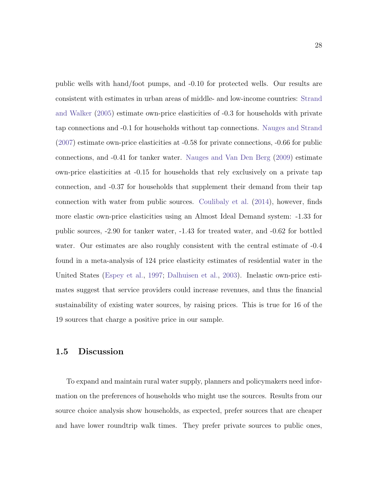public wells with hand/foot pumps, and -0.10 for protected wells. Our results are consistent with estimates in urban areas of middle- and low-income countries: [Strand](#page-103-0) [and Walker](#page-103-0) [\(2005\)](#page-103-0) estimate own-price elasticities of -0.3 for households with private tap connections and -0.1 for households without tap connections. [Nauges and Strand](#page-101-0) [\(2007\)](#page-101-0) estimate own-price elasticities at -0.58 for private connections, -0.66 for public connections, and -0.41 for tanker water. [Nauges and Van Den Berg](#page-101-1) [\(2009\)](#page-101-1) estimate own-price elasticities at -0.15 for households that rely exclusively on a private tap connection, and -0.37 for households that supplement their demand from their tap connection with water from public sources. [Coulibaly et al.](#page-95-0) [\(2014\)](#page-95-0), however, finds more elastic own-price elasticities using an Almost Ideal Demand system: -1.33 for public sources, -2.90 for tanker water, -1.43 for treated water, and -0.62 for bottled water. Our estimates are also roughly consistent with the central estimate of -0.4 found in a meta-analysis of 124 price elasticity estimates of residential water in the United States [\(Espey et al.,](#page-96-0) [1997;](#page-96-0) [Dalhuisen et al.,](#page-96-1) [2003\)](#page-96-1). Inelastic own-price estimates suggest that service providers could increase revenues, and thus the financial sustainability of existing water sources, by raising prices. This is true for 16 of the 19 sources that charge a positive price in our sample.

#### 1.5 Discussion

To expand and maintain rural water supply, planners and policymakers need information on the preferences of households who might use the sources. Results from our source choice analysis show households, as expected, prefer sources that are cheaper and have lower roundtrip walk times. They prefer private sources to public ones,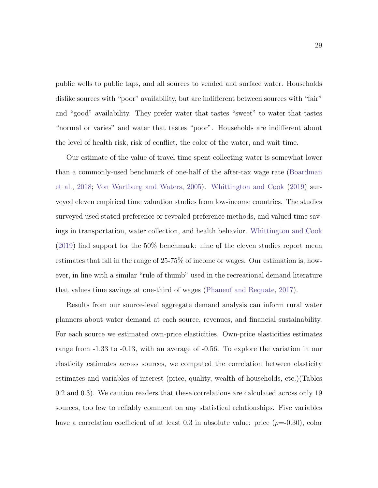public wells to public taps, and all sources to vended and surface water. Households dislike sources with "poor" availability, but are indifferent between sources with "fair" and "good" availability. They prefer water that tastes "sweet" to water that tastes "normal or varies" and water that tastes "poor". Households are indifferent about the level of health risk, risk of conflict, the color of the water, and wait time.

Our estimate of the value of travel time spent collecting water is somewhat lower than a commonly-used benchmark of one-half of the after-tax wage rate [\(Boardman](#page-94-0) [et al.,](#page-94-0) [2018;](#page-94-0) [Von Wartburg and Waters,](#page-104-0) [2005\)](#page-104-0). [Whittington and Cook](#page-104-1) [\(2019\)](#page-104-1) surveyed eleven empirical time valuation studies from low-income countries. The studies surveyed used stated preference or revealed preference methods, and valued time savings in transportation, water collection, and health behavior. [Whittington and Cook](#page-104-1) [\(2019\)](#page-104-1) find support for the 50% benchmark: nine of the eleven studies report mean estimates that fall in the range of 25-75% of income or wages. Our estimation is, however, in line with a similar "rule of thumb" used in the recreational demand literature that values time savings at one-third of wages [\(Phaneuf and Requate,](#page-102-0) [2017\)](#page-102-0).

Results from our source-level aggregate demand analysis can inform rural water planners about water demand at each source, revenues, and financial sustainability. For each source we estimated own-price elasticities. Own-price elasticities estimates range from -1.33 to -0.13, with an average of -0.56. To explore the variation in our elasticity estimates across sources, we computed the correlation between elasticity estimates and variables of interest (price, quality, wealth of households, etc.)(Tables [0.2](#page-89-0) and [0.3\)](#page-90-0). We caution readers that these correlations are calculated across only 19 sources, too few to reliably comment on any statistical relationships. Five variables have a correlation coefficient of at least 0.3 in absolute value: price  $(\rho=0.30)$ , color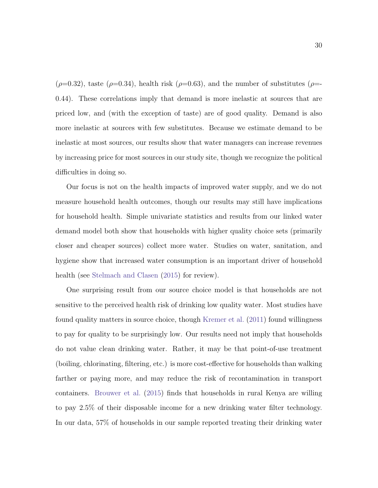$(\rho=0.32)$ , taste  $(\rho=0.34)$ , health risk  $(\rho=0.63)$ , and the number of substitutes  $(\rho=0.53)$ 0.44). These correlations imply that demand is more inelastic at sources that are priced low, and (with the exception of taste) are of good quality. Demand is also more inelastic at sources with few substitutes. Because we estimate demand to be inelastic at most sources, our results show that water managers can increase revenues by increasing price for most sources in our study site, though we recognize the political difficulties in doing so.

Our focus is not on the health impacts of improved water supply, and we do not measure household health outcomes, though our results may still have implications for household health. Simple univariate statistics and results from our linked water demand model both show that households with higher quality choice sets (primarily closer and cheaper sources) collect more water. Studies on water, sanitation, and hygiene show that increased water consumption is an important driver of household health (see [Stelmach and Clasen](#page-103-1) [\(2015\)](#page-103-1) for review).

One surprising result from our source choice model is that households are not sensitive to the perceived health risk of drinking low quality water. Most studies have found quality matters in source choice, though [Kremer et al.](#page-99-0) [\(2011\)](#page-99-0) found willingness to pay for quality to be surprisingly low. Our results need not imply that households do not value clean drinking water. Rather, it may be that point-of-use treatment (boiling, chlorinating, filtering, etc.) is more cost-effective for households than walking farther or paying more, and may reduce the risk of recontamination in transport containers. [Brouwer et al.](#page-95-1) [\(2015\)](#page-95-1) finds that households in rural Kenya are willing to pay 2.5% of their disposable income for a new drinking water filter technology. In our data, 57% of households in our sample reported treating their drinking water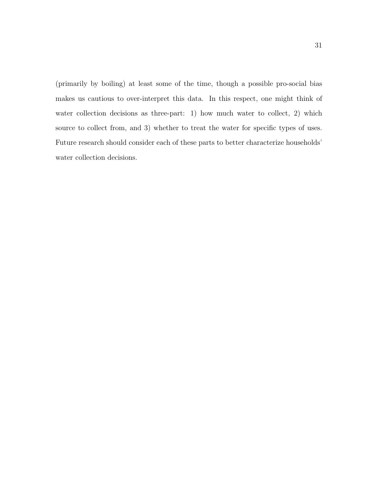(primarily by boiling) at least some of the time, though a possible pro-social bias makes us cautious to over-interpret this data. In this respect, one might think of water collection decisions as three-part: 1) how much water to collect, 2) which source to collect from, and 3) whether to treat the water for specific types of uses. Future research should consider each of these parts to better characterize households' water collection decisions.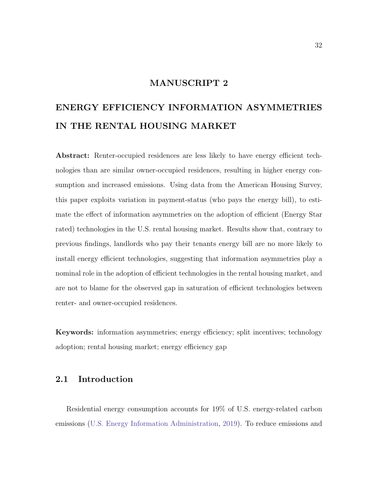#### MANUSCRIPT 2

## ENERGY EFFICIENCY INFORMATION ASYMMETRIES IN THE RENTAL HOUSING MARKET

Abstract: Renter-occupied residences are less likely to have energy efficient technologies than are similar owner-occupied residences, resulting in higher energy consumption and increased emissions. Using data from the American Housing Survey, this paper exploits variation in payment-status (who pays the energy bill), to estimate the effect of information asymmetries on the adoption of efficient (Energy Star rated) technologies in the U.S. rental housing market. Results show that, contrary to previous findings, landlords who pay their tenants energy bill are no more likely to install energy efficient technologies, suggesting that information asymmetries play a nominal role in the adoption of efficient technologies in the rental housing market, and are not to blame for the observed gap in saturation of efficient technologies between renter- and owner-occupied residences.

Keywords: information asymmetries; energy efficiency; split incentives; technology adoption; rental housing market; energy efficiency gap

#### 2.1 Introduction

Residential energy consumption accounts for 19% of U.S. energy-related carbon emissions [\(U.S. Energy Information Administration,](#page-103-2) [2019\)](#page-103-2). To reduce emissions and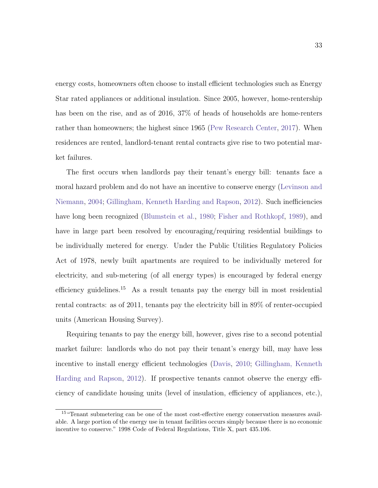energy costs, homeowners often choose to install efficient technologies such as Energy Star rated appliances or additional insulation. Since 2005, however, home-rentership has been on the rise, and as of 2016, 37% of heads of households are home-renters rather than homeowners; the highest since 1965 [\(Pew Research Center,](#page-102-1) [2017\)](#page-102-1). When residences are rented, landlord-tenant rental contracts give rise to two potential market failures.

The first occurs when landlords pay their tenant's energy bill: tenants face a moral hazard problem and do not have an incentive to conserve energy [\(Levinson and](#page-99-1) [Niemann,](#page-99-1) [2004;](#page-99-1) [Gillingham, Kenneth Harding and Rapson,](#page-97-1) [2012\)](#page-97-1). Such inefficiencies have long been recognized [\(Blumstein et al.,](#page-94-1) [1980;](#page-94-1) [Fisher and Rothkopf,](#page-97-2) [1989\)](#page-97-2), and have in large part been resolved by encouraging/requiring residential buildings to be individually metered for energy. Under the Public Utilities Regulatory Policies Act of 1978, newly built apartments are required to be individually metered for electricity, and sub-metering (of all energy types) is encouraged by federal energy efficiency guidelines.[15](#page-42-0) As a result tenants pay the energy bill in most residential rental contracts: as of 2011, tenants pay the electricity bill in 89% of renter-occupied units (American Housing Survey).

Requiring tenants to pay the energy bill, however, gives rise to a second potential market failure: landlords who do not pay their tenant's energy bill, may have less incentive to install energy efficient technologies [\(Davis,](#page-96-2) [2010;](#page-96-2) [Gillingham, Kenneth](#page-97-1) [Harding and Rapson,](#page-97-1) [2012\)](#page-97-1). If prospective tenants cannot observe the energy efficiency of candidate housing units (level of insulation, efficiency of appliances, etc.),

<span id="page-42-0"></span><sup>&</sup>lt;sup>15</sup> "Tenant submetering can be one of the most cost-effective energy conservation measures available. A large portion of the energy use in tenant facilities occurs simply because there is no economic incentive to conserve." 1998 Code of Federal Regulations, Title X, part 435.106.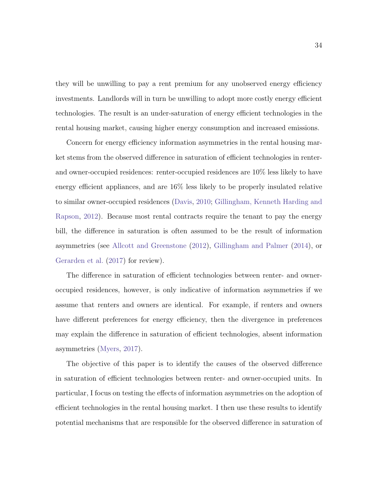they will be unwilling to pay a rent premium for any unobserved energy efficiency investments. Landlords will in turn be unwilling to adopt more costly energy efficient technologies. The result is an under-saturation of energy efficient technologies in the rental housing market, causing higher energy consumption and increased emissions.

Concern for energy efficiency information asymmetries in the rental housing market stems from the observed difference in saturation of efficient technologies in renterand owner-occupied residences: renter-occupied residences are 10% less likely to have energy efficient appliances, and are 16% less likely to be properly insulated relative to similar owner-occupied residences [\(Davis,](#page-96-2) [2010;](#page-96-2) [Gillingham, Kenneth Harding and](#page-97-1) [Rapson,](#page-97-1) [2012\)](#page-97-1). Because most rental contracts require the tenant to pay the energy bill, the difference in saturation is often assumed to be the result of information asymmetries (see [Allcott and Greenstone](#page-93-0) [\(2012\)](#page-93-0), [Gillingham and Palmer](#page-97-3) [\(2014\)](#page-97-3), or [Gerarden et al.](#page-97-4) [\(2017\)](#page-97-4) for review).

The difference in saturation of efficient technologies between renter- and owneroccupied residences, however, is only indicative of information asymmetries if we assume that renters and owners are identical. For example, if renters and owners have different preferences for energy efficiency, then the divergence in preferences may explain the difference in saturation of efficient technologies, absent information asymmetries [\(Myers,](#page-101-2) [2017\)](#page-101-2).

The objective of this paper is to identify the causes of the observed difference in saturation of efficient technologies between renter- and owner-occupied units. In particular, I focus on testing the effects of information asymmetries on the adoption of efficient technologies in the rental housing market. I then use these results to identify potential mechanisms that are responsible for the observed difference in saturation of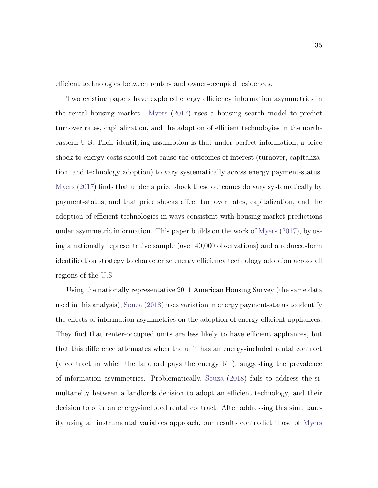efficient technologies between renter- and owner-occupied residences.

Two existing papers have explored energy efficiency information asymmetries in the rental housing market. [Myers](#page-101-2) [\(2017\)](#page-101-2) uses a housing search model to predict turnover rates, capitalization, and the adoption of efficient technologies in the northeastern U.S. Their identifying assumption is that under perfect information, a price shock to energy costs should not cause the outcomes of interest (turnover, capitalization, and technology adoption) to vary systematically across energy payment-status. [Myers](#page-101-2) [\(2017\)](#page-101-2) finds that under a price shock these outcomes do vary systematically by payment-status, and that price shocks affect turnover rates, capitalization, and the adoption of efficient technologies in ways consistent with housing market predictions under asymmetric information. This paper builds on the work of [Myers](#page-101-2) [\(2017\)](#page-101-2), by using a nationally representative sample (over 40,000 observations) and a reduced-form identification strategy to characterize energy efficiency technology adoption across all regions of the U.S.

Using the nationally representative 2011 American Housing Survey (the same data used in this analysis), [Souza](#page-102-2) [\(2018\)](#page-102-2) uses variation in energy payment-status to identify the effects of information asymmetries on the adoption of energy efficient appliances. They find that renter-occupied units are less likely to have efficient appliances, but that this difference attenuates when the unit has an energy-included rental contract (a contract in which the landlord pays the energy bill), suggesting the prevalence of information asymmetries. Problematically, [Souza](#page-102-2) [\(2018\)](#page-102-2) fails to address the simultaneity between a landlords decision to adopt an efficient technology, and their decision to offer an energy-included rental contract. After addressing this simultaneity using an instrumental variables approach, our results contradict those of [Myers](#page-101-2)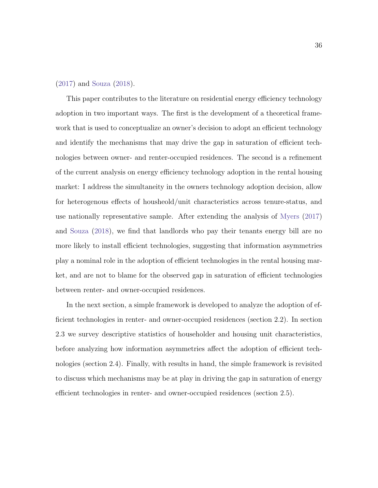#### [\(2017\)](#page-101-2) and [Souza](#page-102-2) [\(2018\)](#page-102-2).

This paper contributes to the literature on residential energy efficiency technology adoption in two important ways. The first is the development of a theoretical framework that is used to conceptualize an owner's decision to adopt an efficient technology and identify the mechanisms that may drive the gap in saturation of efficient technologies between owner- and renter-occupied residences. The second is a refinement of the current analysis on energy efficiency technology adoption in the rental housing market: I address the simultaneity in the owners technology adoption decision, allow for heterogenous effects of housheold/unit characteristics across tenure-status, and use nationally representative sample. After extending the analysis of [Myers](#page-101-2) [\(2017\)](#page-101-2) and [Souza](#page-102-2) [\(2018\)](#page-102-2), we find that landlords who pay their tenants energy bill are no more likely to install efficient technologies, suggesting that information asymmetries play a nominal role in the adoption of efficient technologies in the rental housing market, and are not to blame for the observed gap in saturation of efficient technologies between renter- and owner-occupied residences.

In the next section, a simple framework is developed to analyze the adoption of efficient technologies in renter- and owner-occupied residences (section [2.2\)](#page-46-0). In section [2.3](#page-52-0) we survey descriptive statistics of householder and housing unit characteristics, before analyzing how information asymmetries affect the adoption of efficient technologies (section [2.4\)](#page-58-0). Finally, with results in hand, the simple framework is revisited to discuss which mechanisms may be at play in driving the gap in saturation of energy efficient technologies in renter- and owner-occupied residences (section [2.5\)](#page-65-0).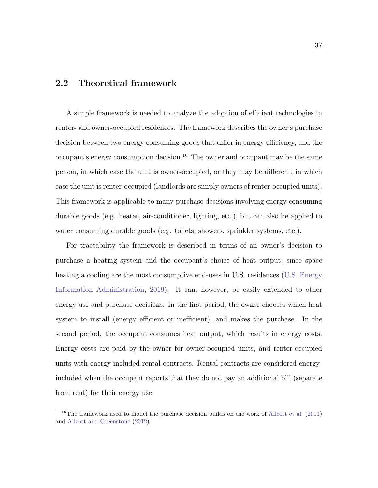#### <span id="page-46-0"></span>2.2 Theoretical framework

A simple framework is needed to analyze the adoption of efficient technologies in renter- and owner-occupied residences. The framework describes the owner's purchase decision between two energy consuming goods that differ in energy efficiency, and the occupant's energy consumption decision.<sup>[16](#page-46-1)</sup> The owner and occupant may be the same person, in which case the unit is owner-occupied, or they may be different, in which case the unit is renter-occupied (landlords are simply owners of renter-occupied units). This framework is applicable to many purchase decisions involving energy consuming durable goods (e.g. heater, air-conditioner, lighting, etc.), but can also be applied to water consuming durable goods (e.g. toilets, showers, sprinkler systems, etc.).

For tractability the framework is described in terms of an owner's decision to purchase a heating system and the occupant's choice of heat output, since space heating a cooling are the most consumptive end-uses in U.S. residences [\(U.S. Energy](#page-103-2) [Information Administration,](#page-103-2) [2019\)](#page-103-2). It can, however, be easily extended to other energy use and purchase decisions. In the first period, the owner chooses which heat system to install (energy efficient or inefficient), and makes the purchase. In the second period, the occupant consumes heat output, which results in energy costs. Energy costs are paid by the owner for owner-occupied units, and renter-occupied units with energy-included rental contracts. Rental contracts are considered energyincluded when the occupant reports that they do not pay an additional bill (separate from rent) for their energy use.

<span id="page-46-1"></span><sup>&</sup>lt;sup>16</sup>The framework used to model the purchase decision builds on the work of [Allcott et al.](#page-93-1)  $(2011)$ and [Allcott and Greenstone](#page-93-0) [\(2012\)](#page-93-0).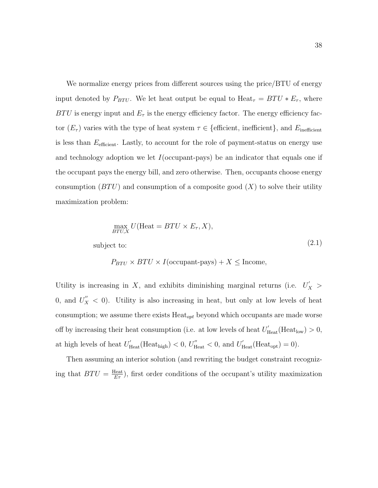We normalize energy prices from different sources using the price/BTU of energy input denoted by  $P_{BTU}$ . We let heat output be equal to  $Heat_{\tau} = BTU * E_{\tau}$ , where  $BTU$  is energy input and  $E_{\tau}$  is the energy efficiency factor. The energy efficiency factor  $(E_{\tau})$  varies with the type of heat system  $\tau \in \{\text{efficient}, \text{ inefficient}\}\,$ , and  $E_{\text{inefficient}}$ is less than  $E_{\text{efficient}}$ . Lastly, to account for the role of payment-status on energy use and technology adoption we let  $I$  (occupant-pays) be an indicator that equals one if the occupant pays the energy bill, and zero otherwise. Then, occupants choose energy consumption ( $BTU$ ) and consumption of a composite good  $(X)$  to solve their utility maximization problem:

$$
\max_{BTU,X} U(\text{Heat} = BTU \times E_{\tau}, X),
$$
\n
$$
\text{subject to:} \tag{2.1}
$$

$$
P_{BTU} \times BTU \times I(\text{occupant-pays}) + X \leq \text{Income},
$$

Utility is increasing in X, and exhibits diminishing marginal returns (i.e.  $U'_X$ ) 0, and  $U''_X < 0$ ). Utility is also increasing in heat, but only at low levels of heat consumption; we assume there exists  $Heat_{opt}$  beyond which occupants are made worse off by increasing their heat consumption (i.e. at low levels of heat  $U'_{\text{Heat}}(\text{Heat}_{\text{low}}) > 0$ , at high levels of heat  $U'_{\text{Heat}}(\text{Heat}_{\text{high}}) < 0, U''_{\text{Heat}} < 0$ , and  $U'_{\text{Heat}}(\text{Heat}_{\text{opt}}) = 0$ .

Then assuming an interior solution (and rewriting the budget constraint recognizing that  $BTU = \frac{Heat}{ET}$ , first order conditions of the occupant's utility maximization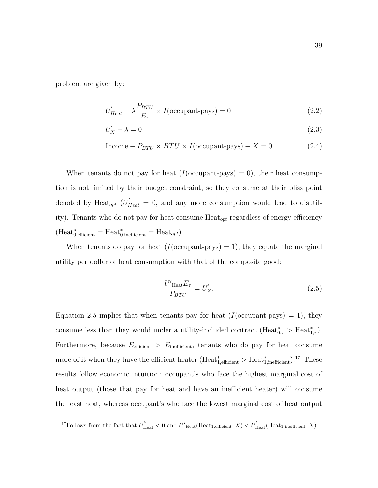problem are given by:

$$
U'_{Heat} - \lambda \frac{P_{BTU}}{E_{\tau}} \times I(\text{occupant-pays}) = 0
$$
\n(2.2)

$$
U'_X - \lambda = 0 \tag{2.3}
$$

$$
Income - P_{BTU} \times BTU \times I(occupant-pays) - X = 0
$$
\n(2.4)

When tenants do not pay for heat  $(I({\rm occupant-pays}) = 0)$ , their heat consumption is not limited by their budget constraint, so they consume at their bliss point denoted by Heat<sub>opt</sub>  $(U'_{Heat} = 0)$ , and any more consumption would lead to disutility). Tenants who do not pay for heat consume  $Heat_{opt}$  regardless of energy efficiency  $(Heat^*_{0,efficient} = Heat^*_{0, inefficient} = Heat_{opt}).$ 

When tenants do pay for heat  $(I({\rm occupant-pays}) = 1)$ , they equate the marginal utility per dollar of heat consumption with that of the composite good:

<span id="page-48-0"></span>
$$
\frac{U'_{\text{Heat}}E_{\tau}}{P_{BTU}} = U'_X. \tag{2.5}
$$

Equation [2.5](#page-48-0) implies that when tenants pay for heat  $(I({\rm occupant-pays}) = 1)$ , they consume less than they would under a utility-included contract  $(Heat^*_{0,\tau} > Heat^*_{1,\tau}).$ Furthermore, because  $E_{\text{efficient}} > E_{\text{inefficient}}$ , tenants who do pay for heat consume more of it when they have the efficient heater (Heat<sup>\*</sup><sub>1,efficient</sub> > Heat<sup>\*</sup><sub>1,inefficient</sub>).<sup>[17](#page-48-1)</sup> These results follow economic intuition: occupant's who face the highest marginal cost of heat output (those that pay for heat and have an inefficient heater) will consume the least heat, whereas occupant's who face the lowest marginal cost of heat output

<span id="page-48-1"></span><sup>&</sup>lt;sup>17</sup>Follows from the fact that  $U''_{\text{Heat}} < 0$  and  $U'_{\text{Heat}}(\text{Heat}_{1,\text{efficient}}, X) < U'_{\text{Heat}}(\text{Heat}_{1,\text{inefficient}}, X)$ .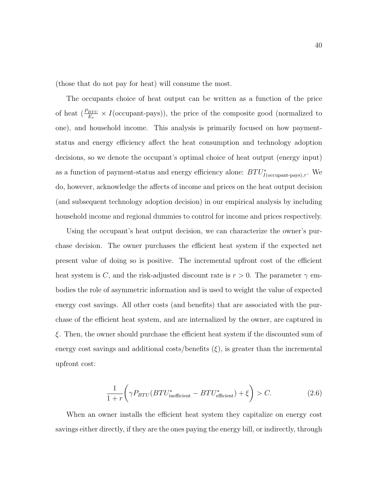(those that do not pay for heat) will consume the most.

The occupants choice of heat output can be written as a function of the price of heat  $(\frac{P_{BTU}}{E_{\tau}} \times I(\text{occupant-pays})),$  the price of the composite good (normalized to one), and household income. This analysis is primarily focused on how paymentstatus and energy efficiency affect the heat consumption and technology adoption decisions, so we denote the occupant's optimal choice of heat output (energy input) as a function of payment-status and energy efficiency alone:  $BTU^*_{I(\text{occupant-pays}),\tau}$ . We do, however, acknowledge the affects of income and prices on the heat output decision (and subsequent technology adoption decision) in our empirical analysis by including household income and regional dummies to control for income and prices respectively.

Using the occupant's heat output decision, we can characterize the owner's purchase decision. The owner purchases the efficient heat system if the expected net present value of doing so is positive. The incremental upfront cost of the efficient heat system is C, and the risk-adjusted discount rate is  $r > 0$ . The parameter  $\gamma$  embodies the role of asymmetric information and is used to weight the value of expected energy cost savings. All other costs (and benefits) that are associated with the purchase of the efficient heat system, and are internalized by the owner, are captured in ξ. Then, the owner should purchase the efficient heat system if the discounted sum of energy cost savings and additional costs/benefits  $(\xi)$ , is greater than the incremental upfront cost:

$$
\frac{1}{1+r} \left( \gamma P_{BTU} (BTU_{\text{inefficient}}^* - BTU_{\text{efficient}}^*) + \xi \right) > C. \tag{2.6}
$$

When an owner installs the efficient heat system they capitalize on energy cost savings either directly, if they are the ones paying the energy bill, or indirectly, through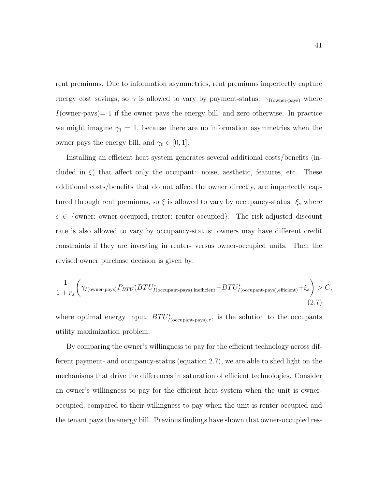rent premiums. Due to information asymmetries, rent premiums imperfectly capture energy cost savings, so  $\gamma$  is allowed to vary by payment-status:  $\gamma_{I(\text{owner-pays})}$  where  $I(\text{owner-pays}) = 1$  if the owner pays the energy bill, and zero otherwise. In practice we might imagine  $\gamma_1 = 1$ , because there are no information asymmetries when the owner pays the energy bill, and  $\gamma_0 \in [0, 1]$ .

Installing an efficient heat system generates several additional costs/benefits (included in  $\xi$ ) that affect only the occupant: noise, aesthetic, features, etc. These additional costs/benefits that do not affect the owner directly, are imperfectly captured through rent premiums, so  $\xi$  is allowed to vary by occupancy-status:<br>  $\xi_s$  where  $s \in \{\text{owner: owner-occupied}, \text{ rather: enter-occupied}\}.$  The risk-adjusted discount rate is also allowed to vary by occupancy-status: owners may have different credit constraints if they are investing in renter- versus owner-occupied units. Then the revised owner purchase decision is given by:

<span id="page-50-0"></span>
$$
\frac{1}{1+r_s} \bigg( \gamma_{I(\text{owner-pays})} P_{BTU} (BTU^*_{I(\text{occupant-pays}), \text{inefficient}} - BTU^*_{I(\text{occupant-pays}), \text{efficient}}) + \xi_s \bigg) > C,
$$
\n(2.7)

where optimal energy input,  $BTU^*_{I(\text{occupant-pays}),\tau}$ , is the solution to the occupants utility maximization problem.

By comparing the owner's willingness to pay for the efficient technology across different payment- and occupancy-status (equation [2.7\)](#page-50-0), we are able to shed light on the mechanisms that drive the differences in saturation of efficient technologies. Consider an owner's willingness to pay for the efficient heat system when the unit is owneroccupied, compared to their willingness to pay when the unit is renter-occupied and the tenant pays the energy bill. Previous findings have shown that owner-occupied res-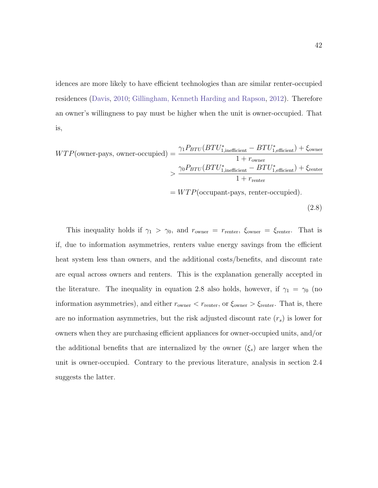idences are more likely to have efficient technologies than are similar renter-occupied residences [\(Davis,](#page-96-2) [2010;](#page-96-2) [Gillingham, Kenneth Harding and Rapson,](#page-97-1) [2012\)](#page-97-1). Therefore an owner's willingness to pay must be higher when the unit is owner-occupied. That is,

<span id="page-51-0"></span>
$$
WTP(\text{owner-pays, owner-occupied}) = \frac{\gamma_1 P_{BTU} (BTU_{1,\text{inefficient}}^* - BTU_{1,\text{efficient}}^*) + \xi_{\text{owner}}}{1 + r_{\text{owner}}} > \frac{\gamma_0 P_{BTU} (BTU_{1,\text{inefficient}}^* - BTU_{1,\text{efficient}}^*) + \xi_{\text{renter}}}{1 + r_{\text{renter}}} = WTP(\text{occupant-pays, renter-occupied}).
$$
\n(2.8)

This inequality holds if  $\gamma_1 > \gamma_0$ , and  $r_{\text{owner}} = r_{\text{renter}}$ ,  $\xi_{\text{owner}} = \xi_{\text{renter}}$ . That is if, due to information asymmetries, renters value energy savings from the efficient heat system less than owners, and the additional costs/benefits, and discount rate are equal across owners and renters. This is the explanation generally accepted in the literature. The inequality in equation [2.8](#page-51-0) also holds, however, if  $\gamma_1 = \gamma_0$  (no information asymmetries), and either  $r_{\text{owner}} < r_{\text{center}}$ , or  $\xi_{\text{owner}} > \xi_{\text{center}}$ . That is, there are no information asymmetries, but the risk adjusted discount rate  $(r_s)$  is lower for owners when they are purchasing efficient appliances for owner-occupied units, and/or the additional benefits that are internalized by the owner  $(\xi_s)$  are larger when the unit is owner-occupied. Contrary to the previous literature, analysis in section [2.4](#page-58-0) suggests the latter.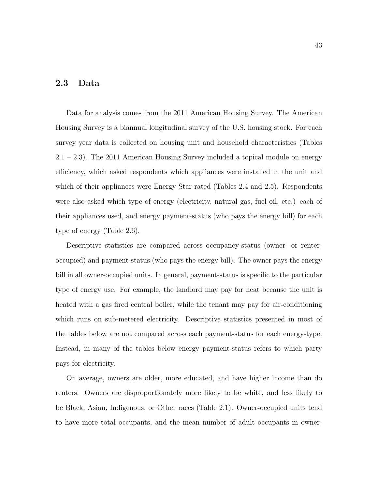### <span id="page-52-0"></span>2.3 Data

Data for analysis comes from the 2011 American Housing Survey. The American Housing Survey is a biannual longitudinal survey of the U.S. housing stock. For each survey year data is collected on housing unit and household characteristics (Tables  $2.1 - 2.3$  $2.1 - 2.3$ . The 2011 American Housing Survey included a topical module on energy efficiency, which asked respondents which appliances were installed in the unit and which of their appliances were Energy Star rated (Tables [2.4](#page-57-0) and [2.5\)](#page-57-1). Respondents were also asked which type of energy (electricity, natural gas, fuel oil, etc.) each of their appliances used, and energy payment-status (who pays the energy bill) for each type of energy (Table [2.6\)](#page-58-1).

Descriptive statistics are compared across occupancy-status (owner- or renteroccupied) and payment-status (who pays the energy bill). The owner pays the energy bill in all owner-occupied units. In general, payment-status is specific to the particular type of energy use. For example, the landlord may pay for heat because the unit is heated with a gas fired central boiler, while the tenant may pay for air-conditioning which runs on sub-metered electricity. Descriptive statistics presented in most of the tables below are not compared across each payment-status for each energy-type. Instead, in many of the tables below energy payment-status refers to which party pays for electricity.

On average, owners are older, more educated, and have higher income than do renters. Owners are disproportionately more likely to be white, and less likely to be Black, Asian, Indigenous, or Other races (Table [2.1\)](#page-53-0). Owner-occupied units tend to have more total occupants, and the mean number of adult occupants in owner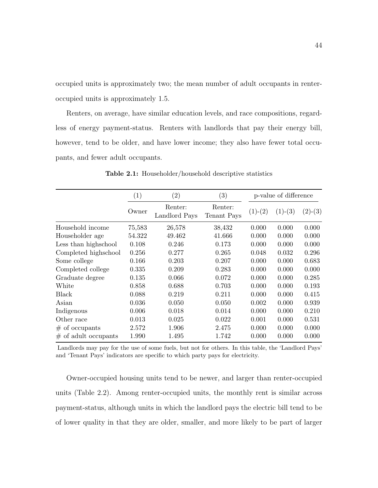occupied units is approximately two; the mean number of adult occupants in renteroccupied units is approximately 1.5.

Renters, on average, have similar education levels, and race compositions, regardless of energy payment-status. Renters with landlords that pay their energy bill, however, tend to be older, and have lower income; they also have fewer total occupants, and fewer adult occupants.

<span id="page-53-0"></span>

|                         | (1)    | $\left( 2\right)$        | $\left( 3\right)$      | p-value of difference |           |           |
|-------------------------|--------|--------------------------|------------------------|-----------------------|-----------|-----------|
|                         | Owner  | Renter:<br>Landlord Pays | Renter:<br>Tenant Pays | $(1)-(2)$             | $(1)-(3)$ | $(2)-(3)$ |
| Household income        | 75,583 | 26,578                   | 38,432                 | 0.000                 | 0.000     | 0.000     |
| Householder age         | 54.322 | 49.462                   | 41.666                 | 0.000                 | 0.000     | 0.000     |
| Less than highs chool   | 0.108  | 0.246                    | 0.173                  | 0.000                 | 0.000     | 0.000     |
| Completed highschool    | 0.256  | 0.277                    | 0.265                  | 0.048                 | 0.032     | 0.296     |
| Some college            | 0.166  | 0.203                    | 0.207                  | 0.000                 | 0.000     | 0.683     |
| Completed college       | 0.335  | 0.209                    | 0.283                  | 0.000                 | 0.000     | 0.000     |
| Graduate degree         | 0.135  | 0.066                    | 0.072                  | 0.000                 | 0.000     | 0.285     |
| White                   | 0.858  | 0.688                    | 0.703                  | 0.000                 | 0.000     | 0.193     |
| Black                   | 0.088  | 0.219                    | 0.211                  | 0.000                 | 0.000     | 0.415     |
| Asian                   | 0.036  | 0.050                    | 0.050                  | 0.002                 | 0.000     | 0.939     |
| Indigenous              | 0.006  | 0.018                    | 0.014                  | 0.000                 | 0.000     | 0.210     |
| Other race              | 0.013  | 0.025                    | 0.022                  | 0.001                 | 0.000     | 0.531     |
| $#$ of occupants        | 2.572  | 1.906                    | 2.475                  | 0.000                 | 0.000     | 0.000     |
| $\#$ of adult occupants | 1.990  | 1.495                    | 1.742                  | 0.000                 | 0.000     | 0.000     |

Table 2.1: Householder/household descriptive statistics

Landlords may pay for the use of some fuels, but not for others. In this table, the 'Landlord Pays' and 'Tenant Pays' indicators are specific to which party pays for electricity.

Owner-occupied housing units tend to be newer, and larger than renter-occupied units (Table [2.2\)](#page-54-0). Among renter-occupied units, the monthly rent is similar across payment-status, although units in which the landlord pays the electric bill tend to be of lower quality in that they are older, smaller, and more likely to be part of larger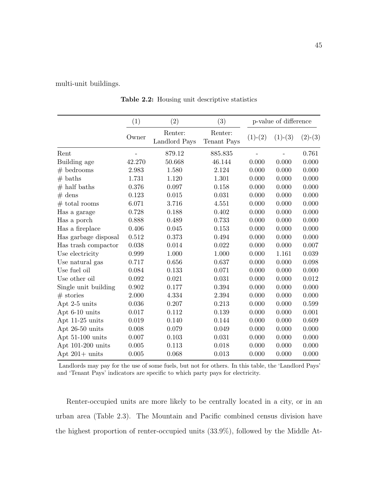<span id="page-54-0"></span>multi-unit buildings.

 $(1)$   $(2)$   $(3)$  p-value of difference Owner Renter: Renter: (1)-(2) (1)-(3) (2)-(3)<br>Landlord Pays Tenant Pays Rent - 879.12 885.835 - 0.761 Building age  $42.270$   $50.668$   $46.144$   $0.000$   $0.000$   $0.000$  $\#$  bedrooms 2.983 1.580 2.124 0.000 0.000 0.000  $\#$  baths 1.731 1.120 1.301 0.000 0.000 0.000  $\#$  half baths  $0.376$   $0.097$   $0.158$   $0.000$   $0.000$   $0.000$  $\#\text{ dens}$  0.123 0.015 0.031 0.000 0.000 0.000  $\#$  total rooms 6.071 3.716 4.551 0.000 0.000 0.000 Has a garage  $0.728$  0.188  $0.402$  0.000 0.000 0.000 Has a porch  $0.888$   $0.489$   $0.733$   $0.000$   $0.000$   $0.000$ Has a fireplace  $0.406$   $0.045$   $0.153$   $0.000$   $0.000$   $0.000$ Has garbage disposal 0.512 0.373 0.494 0.000 0.000 0.000 Has trash compactor 0.038 0.014 0.022 0.000 0.000 0.007 Use electricity  $0.999$   $1.000$   $1.000$   $0.000$   $1.161$   $0.039$ Use natural gas  $0.717$   $0.656$   $0.637$   $0.000$   $0.000$   $0.098$ Use fuel oil  $0.084$  0.133 0.071 0.000 0.000 0.000 Use other oil  $0.092$   $0.021$   $0.031$   $0.000$   $0.000$   $0.012$ Single unit building 0.902 0.177 0.394 0.000 0.000 0.000  $\#$  stories 2.000 4.334 2.394 0.000 0.000 0.000 Apt 2-5 units  $0.036$   $0.207$   $0.213$   $0.000$   $0.000$   $0.599$ Apt 6-10 units 0.017 0.112 0.139 0.000 0.000 0.001 Apt 11-25 units 0.019 0.140 0.144 0.000 0.000 0.609 Apt 26-50 units 0.008 0.079 0.049 0.000 0.000 0.000 Apt 51-100 units 0.007 0.103 0.031 0.000 0.000 0.000 Apt 101-200 units 0.005 0.113 0.018 0.000 0.000 0.000 Apt 201+ units 0.005 0.068 0.013 0.000 0.000 0.000

Table 2.2: Housing unit descriptive statistics

Landlords may pay for the use of some fuels, but not for others. In this table, the 'Landlord Pays' and 'Tenant Pays' indicators are specific to which party pays for electricity.

Renter-occupied units are more likely to be centrally located in a city, or in an urban area (Table [2.3\)](#page-56-0). The Mountain and Pacific combined census division have the highest proportion of renter-occupied units (33.9%), followed by the Middle At-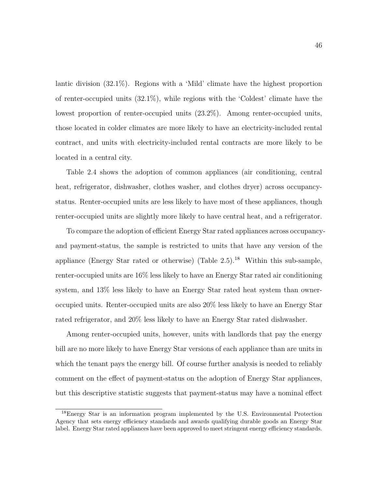lantic division (32.1%). Regions with a 'Mild' climate have the highest proportion of renter-occupied units (32.1%), while regions with the 'Coldest' climate have the lowest proportion of renter-occupied units (23.2%). Among renter-occupied units, those located in colder climates are more likely to have an electricity-included rental contract, and units with electricity-included rental contracts are more likely to be located in a central city.

Table [2.4](#page-57-0) shows the adoption of common appliances (air conditioning, central heat, refrigerator, dishwasher, clothes washer, and clothes dryer) across occupancystatus. Renter-occupied units are less likely to have most of these appliances, though renter-occupied units are slightly more likely to have central heat, and a refrigerator.

To compare the adoption of efficient Energy Star rated appliances across occupancyand payment-status, the sample is restricted to units that have any version of the appliance (Energy Star rated or otherwise) (Table [2.5\)](#page-57-1).<sup>[18](#page-55-0)</sup> Within this sub-sample, renter-occupied units are 16% less likely to have an Energy Star rated air conditioning system, and 13% less likely to have an Energy Star rated heat system than owneroccupied units. Renter-occupied units are also 20% less likely to have an Energy Star rated refrigerator, and 20% less likely to have an Energy Star rated dishwasher.

Among renter-occupied units, however, units with landlords that pay the energy bill are no more likely to have Energy Star versions of each appliance than are units in which the tenant pays the energy bill. Of course further analysis is needed to reliably comment on the effect of payment-status on the adoption of Energy Star appliances, but this descriptive statistic suggests that payment-status may have a nominal effect

<span id="page-55-0"></span><sup>18</sup>Energy Star is an information program implemented by the U.S. Environmental Protection Agency that sets energy efficiency standards and awards qualifying durable goods an Energy Star label. Energy Star rated appliances have been approved to meet stringent energy efficiency standards.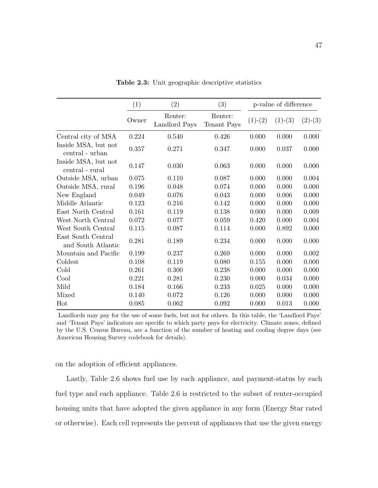<span id="page-56-0"></span>

|                                          | (1)         | (2)                      |                        |           | p-value of difference |           |
|------------------------------------------|-------------|--------------------------|------------------------|-----------|-----------------------|-----------|
|                                          | Owner       | Renter:<br>Landlord Pays | Renter:<br>Tenant Pays | $(1)-(2)$ | $(1)-(3)$             | $(2)-(3)$ |
| Central city of MSA                      | 0.224       | 0.540                    | 0.426                  | 0.000     | 0.000                 | 0.000     |
| Inside MSA, but not<br>central - urban   | 0.357       | 0.271                    | 0.347                  | 0.000     | 0.037                 | 0.000     |
| Inside MSA, but not<br>central - rural   | 0.147       | 0.030                    | 0.063                  | 0.000     | 0.000                 | 0.000     |
| Outside MSA, urban                       | 0.075       | 0.110                    | 0.087                  | 0.000     | 0.000                 | 0.004     |
| Outside MSA, rural                       | 0.196       | 0.048                    | 0.074                  | 0.000     | 0.000                 | 0.000     |
| New England                              | 0.049       | 0.076                    | 0.043                  | 0.000     | 0.006                 | 0.000     |
| Middle Atlantic                          | 0.123       | 0.216                    | 0.142                  | 0.000     | 0.000                 | 0.000     |
| East North Central                       | 0.161       | 0.119                    | 0.138                  | 0.000     | 0.000                 | 0.009     |
| West North Central                       | 0.072       | 0.077                    | 0.059                  | 0.420     | 0.000                 | 0.004     |
| West South Central                       | 0.115       | 0.087                    | 0.114                  | 0.000     | 0.892                 | 0.000     |
| East South Central<br>and South Atlantic | 0.281       | 0.189                    | 0.234                  | 0.000     | 0.000                 | 0.000     |
| Mountain and Pacific                     | 0.199       | 0.237                    | 0.269                  | 0.000     | 0.000                 | 0.002     |
| Coldest                                  | 0.108       | 0.119                    | 0.080                  | 0.155     | 0.000                 | 0.000     |
| Cold                                     | 0.261       | 0.300                    | 0.238                  | 0.000     | 0.000                 | 0.000     |
| Cool                                     | 0.221       | 0.281                    | 0.230                  | 0.000     | 0.034                 | 0.000     |
| Mild                                     | $\,0.184\,$ | 0.166                    | 0.233                  | 0.025     | 0.000                 | 0.000     |
| Mixed                                    | 0.140       | 0.072                    | 0.126                  | 0.000     | 0.000                 | 0.000     |
| Hot                                      | 0.085       | 0.062                    | 0.092                  | 0.000     | 0.013                 | 0.000     |

Table 2.3: Unit geographic descriptive statistics

Landlords may pay for the use of some fuels, but not for others. In this table, the 'Landlord Pays' and 'Tenant Pays' indicators are specific to which party pays for electricity. Climate zones, defined by the U.S. Census Bureau, are a function of the number of heating and cooling degree days (see American Housing Survey codebook for details).

on the adoption of efficient appliances.

Lastly, Table [2.6](#page-58-1) shows fuel use by each appliance, and payment-status by each fuel type and each appliance. Table [2.6](#page-58-1) is restricted to the subset of renter-occupied housing units that have adopted the given appliance in any form (Energy Star rated or otherwise). Each cell represents the percent of appliances that use the given energy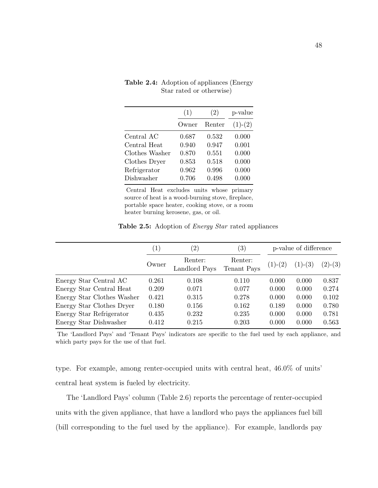|                | (1)   | (2)    | p-value   |
|----------------|-------|--------|-----------|
|                | Owner | Renter | $(1)-(2)$ |
| Central AC     | 0.687 | 0.532  | 0.000     |
| Central Heat   | 0.940 | 0.947  | 0.001     |
| Clothes Washer | 0.870 | 0.551  | 0.000     |
| Clothes Dryer  | 0.853 | 0.518  | 0.000     |
| Refrigerator   | 0.962 | 0.996  | 0.000     |
| Dishwasher     | 0.706 | 0.498  | 0.000     |

<span id="page-57-0"></span>Table 2.4: Adoption of appliances (Energy Star rated or otherwise)

Central Heat excludes units whose primary source of heat is a wood-burning stove, fireplace, portable space heater, cooking stove, or a room heater burning kerosene, gas, or oil.

Table 2.5: Adoption of *Energy Star* rated appliances

<span id="page-57-1"></span>

|                            | $\left(1\right)$ | $\left( 2\right)$        | $\left( 3\right)$      | p-value of difference |           |           |
|----------------------------|------------------|--------------------------|------------------------|-----------------------|-----------|-----------|
|                            | Owner            | Renter:<br>Landlord Pays | Renter:<br>Tenant Pays | $(1)-(2)$             | $(1)-(3)$ | $(2)-(3)$ |
| Energy Star Central AC     | 0.261            | 0.108                    | 0.110                  | 0.000                 | 0.000     | 0.837     |
| Energy Star Central Heat   | 0.209            | 0.071                    | 0.077                  | 0.000                 | 0.000     | 0.274     |
| Energy Star Clothes Washer | 0.421            | 0.315                    | 0.278                  | 0.000                 | 0.000     | 0.102     |
| Energy Star Clothes Dryer  | 0.180            | 0.156                    | 0.162                  | 0.189                 | 0.000     | 0.780     |
| Energy Star Refrigerator   | 0.435            | 0.232                    | 0.235                  | 0.000                 | 0.000     | 0.781     |
| Energy Star Dishwasher     | 0.412            | 0.215                    | 0.203                  | 0.000                 | 0.000     | 0.563     |

The 'Landlord Pays' and 'Tenant Pays' indicators are specific to the fuel used by each appliance, and which party pays for the use of that fuel.

type. For example, among renter-occupied units with central heat, 46.0% of units' central heat system is fueled by electricity.

The 'Landlord Pays' column (Table [2.6\)](#page-58-1) reports the percentage of renter-occupied units with the given appliance, that have a landlord who pays the appliances fuel bill (bill corresponding to the fuel used by the appliance). For example, landlords pay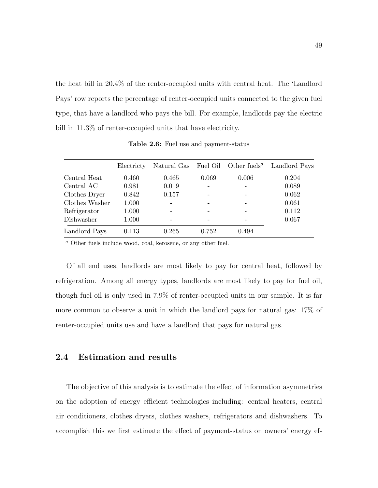the heat bill in 20.4% of the renter-occupied units with central heat. The 'Landlord Pays' row reports the percentage of renter-occupied units connected to the given fuel type, that have a landlord who pays the bill. For example, landlords pay the electric bill in 11.3\% of renter-occupied units that have electricity.

<span id="page-58-1"></span>

|                | Electricty | Natural Gas | Fuel Oil | Other fuels <sup><i>a</i></sup> | Landlord Pays |
|----------------|------------|-------------|----------|---------------------------------|---------------|
| Central Heat   | 0.460      | 0.465       | 0.069    | 0.006                           | 0.204         |
| Central AC     | 0.981      | 0.019       |          |                                 | 0.089         |
| Clothes Dryer  | 0.842      | 0.157       |          |                                 | 0.062         |
| Clothes Washer | 1.000      |             |          |                                 | 0.061         |
| Refrigerator   | 1.000      |             |          |                                 | 0.112         |
| Dishwasher     | 1.000      |             |          |                                 | 0.067         |
| Landlord Pays  | 0.113      | 0.265       | 0.752    | 0.494                           |               |

Table 2.6: Fuel use and payment-status

<sup>a</sup> Other fuels include wood, coal, kerosene, or any other fuel.

Of all end uses, landlords are most likely to pay for central heat, followed by refrigeration. Among all energy types, landlords are most likely to pay for fuel oil, though fuel oil is only used in 7.9% of renter-occupied units in our sample. It is far more common to observe a unit in which the landlord pays for natural gas: 17% of renter-occupied units use and have a landlord that pays for natural gas.

#### <span id="page-58-0"></span>2.4 Estimation and results

The objective of this analysis is to estimate the effect of information asymmetries on the adoption of energy efficient technologies including: central heaters, central air conditioners, clothes dryers, clothes washers, refrigerators and dishwashers. To accomplish this we first estimate the effect of payment-status on owners' energy ef-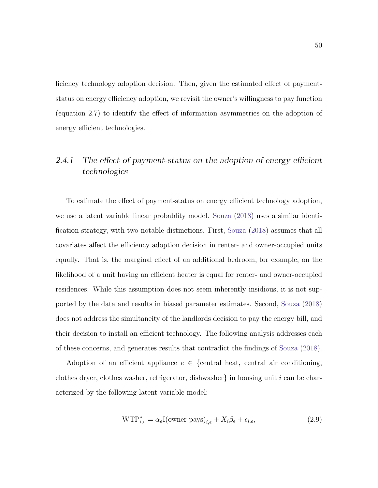ficiency technology adoption decision. Then, given the estimated effect of paymentstatus on energy efficiency adoption, we revisit the owner's willingness to pay function (equation [2.7\)](#page-50-0) to identify the effect of information asymmetries on the adoption of energy efficient technologies.

## 2.4.1 The effect of payment-status on the adoption of energy efficient technologies

To estimate the effect of payment-status on energy efficient technology adoption, we use a latent variable linear probablity model. [Souza](#page-102-2) [\(2018\)](#page-102-2) uses a similar identification strategy, with two notable distinctions. First, [Souza](#page-102-2) [\(2018\)](#page-102-2) assumes that all covariates affect the efficiency adoption decision in renter- and owner-occupied units equally. That is, the marginal effect of an additional bedroom, for example, on the likelihood of a unit having an efficient heater is equal for renter- and owner-occupied residences. While this assumption does not seem inherently insidious, it is not supported by the data and results in biased parameter estimates. Second, [Souza](#page-102-2) [\(2018\)](#page-102-2) does not address the simultaneity of the landlords decision to pay the energy bill, and their decision to install an efficient technology. The following analysis addresses each of these concerns, and generates results that contradict the findings of [Souza](#page-102-2) [\(2018\)](#page-102-2).

Adoption of an efficient appliance  $e \in \{$ central heat, central air conditioning, clothes dryer, clothes washer, refrigerator, dishwasher in housing unit i can be characterized by the following latent variable model:

<span id="page-59-0"></span>
$$
WTP_{i,e}^* = \alpha_e I(\text{owner-pays})_{i,e} + X_i \beta_e + \epsilon_{i,e},\tag{2.9}
$$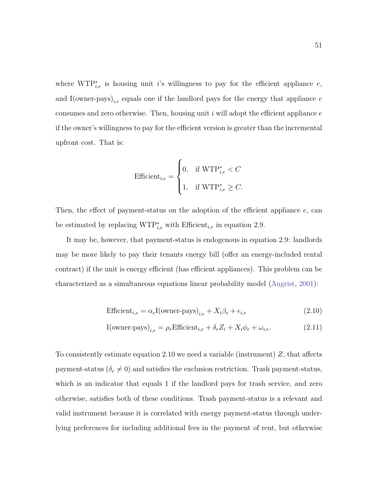where  $WTP_{i,e}^*$  is housing unit i's willingness to pay for the efficient appliance e, and I(owner-pays)<sub>i,e</sub> equals one if the landlord pays for the energy that appliance  $e$ consumes and zero otherwise. Then, housing unit  $i$  will adopt the efficient appliance  $e$ if the owner's willingness to pay for the efficient version is greater than the incremental upfront cost. That is:

$$
\textit{Efficient}_{i,e} = \begin{cases} 0, & \text{if } \text{WTP}^*_{i,e} < C \\ 1, & \text{if } \text{WTP}^*_{i,e} \geq C. \end{cases}
$$

Then, the effect of payment-status on the adoption of the efficient appliance  $e$ , can be estimated by replacing  $WTP_{i,e}^*$  with Efficient<sub>i,e</sub> in equation [2.9.](#page-59-0)

It may be, however, that payment-status is endogenous in equation [2.9:](#page-59-0) landlords may be more likely to pay their tenants energy bill (offer an energy-included rental contract) if the unit is energy efficient (has efficient appliances). This problem can be characterized as a simultaneous equations linear probability model [\(Angrist,](#page-93-2) [2001\)](#page-93-2):

<span id="page-60-0"></span>
$$
\text{Efficient}_{i,e} = \alpha_e \mathcal{I}(\text{owner-pays})_{i,e} + X_i \beta_e + \epsilon_{i,e} \tag{2.10}
$$

$$
I(\text{owner-pays})_{i,e} = \rho_e \text{Efficient}_{i,e} + \delta_e Z_i + X_i \phi_e + \omega_{i,e}.
$$
 (2.11)

To consistently estimate equation [2.10](#page-60-0) we need a variable (instrument)  $Z$ , that affects payment-status ( $\delta_e \neq 0$ ) and satisfies the exclusion restriction. Trash payment-status, which is an indicator that equals 1 if the landlord pays for trash service, and zero otherwise, satisfies both of these conditions. Trash payment-status is a relevant and valid instrument because it is correlated with energy payment-status through underlying preferences for including additional fees in the payment of rent, but otherwise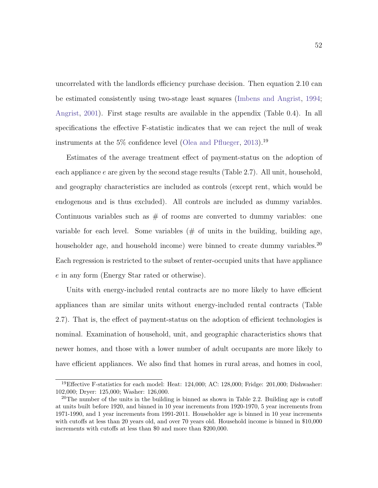uncorrelated with the landlords efficiency purchase decision. Then equation [2.10](#page-60-0) can be estimated consistently using two-stage least squares [\(Imbens and Angrist,](#page-98-0) [1994;](#page-98-0) [Angrist,](#page-93-2) [2001\)](#page-93-2). First stage results are available in the appendix (Table [0.4\)](#page-91-0). In all specifications the effective F-statistic indicates that we can reject the null of weak instruments at the 5\% confidence level [\(Olea and Pflueger,](#page-101-3) [2013\)](#page-101-3).<sup>[19](#page-61-0)</sup>

Estimates of the average treatment effect of payment-status on the adoption of each appliance  $e$  are given by the second stage results (Table [2.7\)](#page-62-0). All unit, household, and geography characteristics are included as controls (except rent, which would be endogenous and is thus excluded). All controls are included as dummy variables. Continuous variables such as  $#$  of rooms are converted to dummy variables: one variable for each level. Some variables  $(\# \text{ of units in the building, building age},$ householder age, and household income) were binned to create dummy variables.<sup>[20](#page-61-1)</sup> Each regression is restricted to the subset of renter-occupied units that have appliance e in any form (Energy Star rated or otherwise).

Units with energy-included rental contracts are no more likely to have efficient appliances than are similar units without energy-included rental contracts (Table [2.7\)](#page-62-0). That is, the effect of payment-status on the adoption of efficient technologies is nominal. Examination of household, unit, and geographic characteristics shows that newer homes, and those with a lower number of adult occupants are more likely to have efficient appliances. We also find that homes in rural areas, and homes in cool,

<span id="page-61-0"></span><sup>19</sup>Effective F-statistics for each model: Heat: 124,000; AC: 128,000; Fridge: 201,000; Dishwasher: 102,000; Dryer: 125,000; Washer: 126,000.

<span id="page-61-1"></span><sup>&</sup>lt;sup>20</sup>The number of the units in the building is binned as shown in Table [2.2.](#page-54-0) Building age is cutoff at units built before 1920, and binned in 10 year increments from 1920-1970, 5 year increments from 1971-1990, and 1 year increments from 1991-2011. Householder age is binned in 10 year increments with cutoffs at less than 20 years old, and over 70 years old. Household income is binned in \$10,000 increments with cutoffs at less than \$0 and more than \$200,000.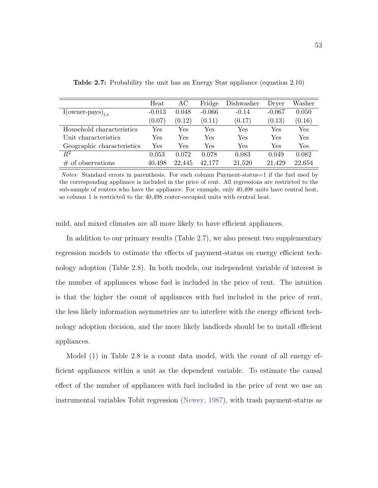|                              | Heat     | AC     | Fridge   | Dishwasher | Dryer    | Washer |
|------------------------------|----------|--------|----------|------------|----------|--------|
| $I(\text{owner-pays})_{i,e}$ | $-0.013$ | 0.048  | $-0.066$ | $-0.14$    | $-0.067$ | 0.050  |
|                              | (0.07)   | (0.12) | (0.11)   | (0.17)     | (0.13)   | (0.16) |
| Household characteristics    | Yes      | Yes    | Yes      | Yes        | Yes      | Yes    |
| Unit characteristics         | Yes      | Yes    | Yes      | Yes        | Yes      | Yes    |
| Geographic characteristics   | Yes      | Yes    | Yes      | Yes        | Yes      | Yes    |
| $\,R^2$                      | 0.053    | 0.072  | 0.078    | 0.083      | 0.049    | 0.082  |
| of observations<br>#         | 40,498   | 22.445 | 42,177   | 21,520     | 21,429   | 22,654 |

<span id="page-62-0"></span>Table 2.7: Probability the unit has an Energy Star appliance (equation [2.10\)](#page-60-0)

mild, and mixed climates are all more likely to have efficient appliances.

In addition to our primary results (Table [2.7\)](#page-62-0), we also present two supplementary regression models to estimate the effects of payment-status on energy efficient technology adoption (Table [2.8\)](#page-63-0). In both models, our independent variable of interest is the number of appliances whose fuel is included in the price of rent. The intuition is that the higher the count of appliances with fuel included in the price of rent, the less likely information asymmetries are to interfere with the energy efficient technology adoption decision, and the more likely landlords should be to install efficient appliances.

Model (1) in Table [2.8](#page-63-0) is a count data model, with the count of all energy efficient appliances within a unit as the dependent variable. To estimate the causal effect of the number of appliances with fuel included in the price of rent we use an instrumental variables Tobit regression [\(Newey,](#page-101-4) [1987\)](#page-101-4), with trash payment-status as

Notes: Standard errors in parenthesis. For each column Payment-status=1 if the fuel used by the corresponding appliance is included in the price of rent. All regressions are restricted to the sub-sample of renters who have the appliance. For example, only 40,498 units have central heat, so column 1 is restricted to the 40,498 renter-occupied units with central heat.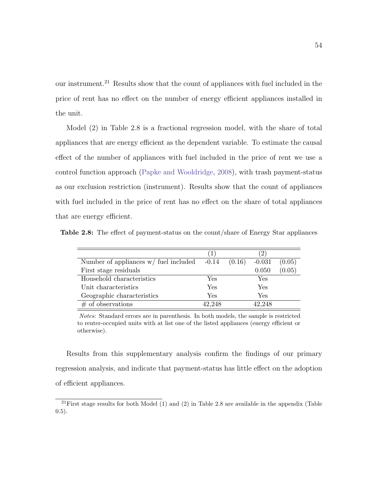our instrument.[21](#page-63-1) Results show that the count of appliances with fuel included in the price of rent has no effect on the number of energy efficient appliances installed in the unit.

Model (2) in Table [2.8](#page-63-0) is a fractional regression model, with the share of total appliances that are energy efficient as the dependent variable. To estimate the causal effect of the number of appliances with fuel included in the price of rent we use a control function approach [\(Papke and Wooldridge,](#page-101-5) [2008\)](#page-101-5), with trash payment-status as our exclusion restriction (instrument). Results show that the count of appliances with fuel included in the price of rent has no effect on the share of total appliances that are energy efficient.

<span id="page-63-0"></span>Table 2.8: The effect of payment-status on the count/share of Energy Star appliances

|                                         | (1)                  |        | (2)      |        |
|-----------------------------------------|----------------------|--------|----------|--------|
| Number of appliances $w/$ fuel included | $-0.14$              | (0.16) | $-0.031$ | (0.05) |
| First stage residuals                   |                      |        | 0.050    | (0.05) |
| Household characteristics               | Yes                  |        | Yes      |        |
| Unit characteristics                    | $\operatorname{Yes}$ |        | Yes      |        |
| Geographic characteristics              | Yes                  |        | Yes      |        |
| $#$ of observations                     | 42,248               |        | 42,248   |        |

Notes: Standard errors are in parenthesis. In both models, the sample is restricted to renter-occupied units with at list one of the listed appliances (energy efficient or otherwise).

Results from this supplementary analysis confirm the findings of our primary regression analysis, and indicate that payment-status has little effect on the adoption of efficient appliances.

<span id="page-63-1"></span><sup>&</sup>lt;sup>21</sup>First stage results for both Model (1) and (2) in Table [2.8](#page-63-0) are available in the appendix (Table  $(0.5)$  $(0.5)$ .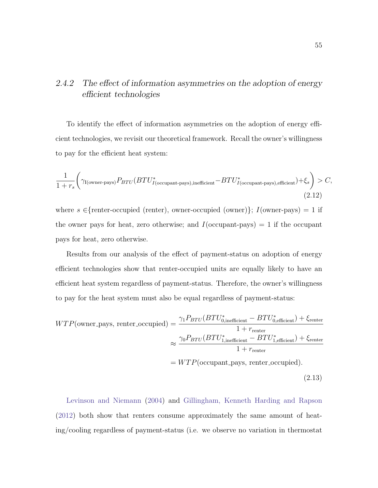## 2.4.2 The effect of information asymmetries on the adoption of energy efficient technologies

To identify the effect of information asymmetries on the adoption of energy efficient technologies, we revisit our theoretical framework. Recall the owner's willingness to pay for the efficient heat system:

$$
\frac{1}{1+r_s} \Biggl( \gamma_{\text{I}(\text{owner-pays})} P_{BTU} (BTU_{I(\text{occupant-pays}), \text{inefficient}}^* - BTU_{I(\text{occupant-pays}), \text{efficient}}^*) + \xi_s \Biggr) > C,
$$
\n(2.12)

where  $s \in$ {renter-occupied (renter), owner-occupied (owner)};  $I(\text{owner-pays}) = 1$  if the owner pays for heat, zero otherwise; and  $I$ (occupant-pays) = 1 if the occupant pays for heat, zero otherwise.

Results from our analysis of the effect of payment-status on adoption of energy efficient technologies show that renter-occupied units are equally likely to have an efficient heat system regardless of payment-status. Therefore, the owner's willingness to pay for the heat system must also be equal regardless of payment-status:

<span id="page-64-0"></span>
$$
WTP(\text{owner}.\text{pays, renter\_occupied}) = \frac{\gamma_1 P_{BTU} (BTU_{0,\text{inefficient}}^* - BTU_{0,\text{efficient}}^*) + \xi_{\text{renter}}}{1 + r_{\text{renter}}}
$$

$$
\approx \frac{\gamma_0 P_{BTU} (BTU_{1,\text{inefficient}}^* - BTU_{1,\text{efficient}}^*) + \xi_{\text{renter}}}{1 + r_{\text{renter}}}
$$

$$
= WTP(\text{occupant}.\text{pays, renter\_occupied}).
$$
(2.13)

[Levinson and Niemann](#page-99-1) [\(2004\)](#page-99-1) and [Gillingham, Kenneth Harding and Rapson](#page-97-1) [\(2012\)](#page-97-1) both show that renters consume approximately the same amount of heating/cooling regardless of payment-status (i.e. we observe no variation in thermostat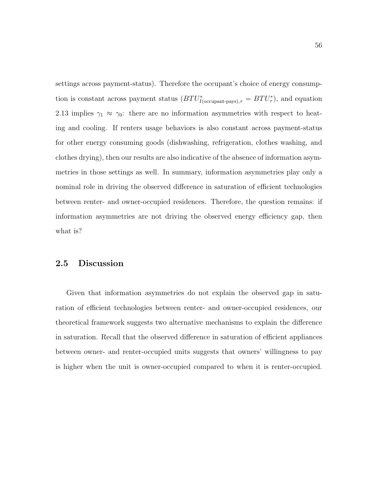settings across payment-status). Therefore the occupant's choice of energy consumption is constant across payment status  $(BTU^*_{I(\text{occupant-pays}),\tau} = BTU^*_{\tau})$ , and equation [2.13](#page-64-0) implies  $\gamma_1 \approx \gamma_0$ : there are no information asymmetries with respect to heating and cooling. If renters usage behaviors is also constant across payment-status for other energy consuming goods (dishwashing, refrigeration, clothes washing, and clothes drying), then our results are also indicative of the absence of information asymmetries in those settings as well. In summary, information asymmetries play only a nominal role in driving the observed difference in saturation of efficient technologies between renter- and owner-occupied residences. Therefore, the question remains: if information asymmetries are not driving the observed energy efficiency gap, then what is?

#### <span id="page-65-0"></span>2.5 Discussion

Given that information asymmetries do not explain the observed gap in saturation of efficient technologies between renter- and owner-occupied residences, our theoretical framework suggests two alternative mechanisms to explain the difference in saturation. Recall that the observed difference in saturation of efficient appliances between owner- and renter-occupied units suggests that owners' willingness to pay is higher when the unit is owner-occupied compared to when it is renter-occupied.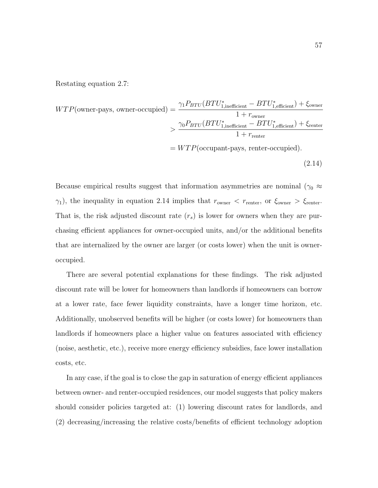Restating equation [2.7:](#page-50-0)

<span id="page-66-0"></span>
$$
WTP(\text{owner-pays, owner-occupied}) = \frac{\gamma_1 P_{BTU} (BTU_{1,\text{inefficient}}^* - BTU_{1,\text{efficient}}^*) + \xi_{\text{owner}}}{1 + r_{\text{owner}}} > \frac{\gamma_0 P_{BTU} (BTU_{1,\text{inefficient}}^* - BTU_{1,\text{efficient}}^*) + \xi_{\text{renter}}}{1 + r_{\text{renter}}} = WTP(\text{occupant-pays, renter-occupied}).
$$
\n(2.14)

Because empirical results suggest that information asymmetries are nominal ( $\gamma_0 \approx$  $\gamma_1$ ), the inequality in equation [2.14](#page-66-0) implies that  $r_{\text{owner}} < r_{\text{renter}}$ , or  $\xi_{\text{owner}} > \xi_{\text{renter}}$ . That is, the risk adjusted discount rate  $(r_s)$  is lower for owners when they are purchasing efficient appliances for owner-occupied units, and/or the additional benefits that are internalized by the owner are larger (or costs lower) when the unit is owneroccupied.

There are several potential explanations for these findings. The risk adjusted discount rate will be lower for homeowners than landlords if homeowners can borrow at a lower rate, face fewer liquidity constraints, have a longer time horizon, etc. Additionally, unobserved benefits will be higher (or costs lower) for homeowners than landlords if homeowners place a higher value on features associated with efficiency (noise, aesthetic, etc.), receive more energy efficiency subsidies, face lower installation costs, etc.

In any case, if the goal is to close the gap in saturation of energy efficient appliances between owner- and renter-occupied residences, our model suggests that policy makers should consider policies targeted at: (1) lowering discount rates for landlords, and (2) decreasing/increasing the relative costs/benefits of efficient technology adoption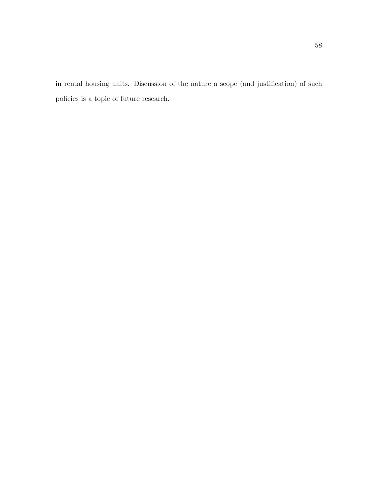in rental housing units. Discussion of the nature a scope (and justification) of such policies is a topic of future research.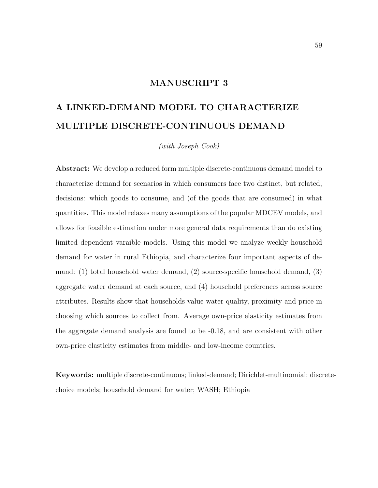#### MANUSCRIPT 3

# A LINKED-DEMAND MODEL TO CHARACTERIZE MULTIPLE DISCRETE-CONTINUOUS DEMAND

(with Joseph Cook)

Abstract: We develop a reduced form multiple discrete-continuous demand model to characterize demand for scenarios in which consumers face two distinct, but related, decisions: which goods to consume, and (of the goods that are consumed) in what quantities. This model relaxes many assumptions of the popular MDCEV models, and allows for feasible estimation under more general data requirements than do existing limited dependent varaible models. Using this model we analyze weekly household demand for water in rural Ethiopia, and characterize four important aspects of demand: (1) total household water demand, (2) source-specific household demand, (3) aggregate water demand at each source, and (4) household preferences across source attributes. Results show that households value water quality, proximity and price in choosing which sources to collect from. Average own-price elasticity estimates from the aggregate demand analysis are found to be -0.18, and are consistent with other own-price elasticity estimates from middle- and low-income countries.

Keywords: multiple discrete-continuous; linked-demand; Dirichlet-multinomial; discretechoice models; household demand for water; WASH; Ethiopia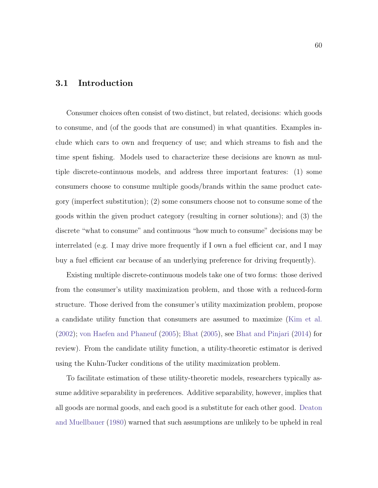#### 3.1 Introduction

Consumer choices often consist of two distinct, but related, decisions: which goods to consume, and (of the goods that are consumed) in what quantities. Examples include which cars to own and frequency of use; and which streams to fish and the time spent fishing. Models used to characterize these decisions are known as multiple discrete-continuous models, and address three important features: (1) some consumers choose to consume multiple goods/brands within the same product category (imperfect substitution); (2) some consumers choose not to consume some of the goods within the given product category (resulting in corner solutions); and (3) the discrete "what to consume" and continuous "how much to consume" decisions may be interrelated (e.g. I may drive more frequently if I own a fuel efficient car, and I may buy a fuel efficient car because of an underlying preference for driving frequently).

Existing multiple discrete-continuous models take one of two forms: those derived from the consumer's utility maximization problem, and those with a reduced-form structure. Those derived from the consumer's utility maximization problem, propose a candidate utility function that consumers are assumed to maximize [\(Kim et al.](#page-98-1) [\(2002\)](#page-98-1); [von Haefen and Phaneuf](#page-104-2) [\(2005\)](#page-104-2); [Bhat](#page-94-2) [\(2005\)](#page-94-2), see [Bhat and Pinjari](#page-93-3) [\(2014\)](#page-93-3) for review). From the candidate utility function, a utility-theoretic estimator is derived using the Kuhn-Tucker conditions of the utility maximization problem.

To facilitate estimation of these utility-theoretic models, researchers typically assume additive separability in preferences. Additive separability, however, implies that all goods are normal goods, and each good is a substitute for each other good. [Deaton](#page-96-3) [and Muellbauer](#page-96-3) [\(1980\)](#page-96-3) warned that such assumptions are unlikely to be upheld in real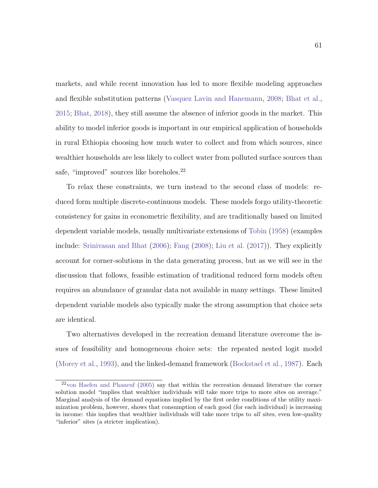markets, and while recent innovation has led to more flexible modeling approaches and flexible substitution patterns [\(Vasquez Lavin and Hanemann,](#page-104-3) [2008;](#page-104-3) [Bhat et al.,](#page-94-3) [2015;](#page-94-3) [Bhat,](#page-94-4) [2018\)](#page-94-4), they still assume the absence of inferior goods in the market. This ability to model inferior goods is important in our empirical application of households in rural Ethiopia choosing how much water to collect and from which sources, since wealthier households are less likely to collect water from polluted surface sources than safe, "improved" sources like boreholes.<sup>[22](#page-70-0)</sup>

To relax these constraints, we turn instead to the second class of models: reduced form multiple discrete-continuous models. These models forgo utility-theoretic consistency for gains in econometric flexibility, and are traditionally based on limited dependent variable models, usually multivariate extensions of [Tobin](#page-103-3) [\(1958\)](#page-103-3) (examples include: [Srinivasan and Bhat](#page-103-4) [\(2006\)](#page-103-4); [Fang](#page-96-4) [\(2008\)](#page-96-4); [Liu et al.](#page-99-2) [\(2017\)](#page-99-2)). They explicitly account for corner-solutions in the data generating process, but as we will see in the discussion that follows, feasible estimation of traditional reduced form models often requires an abundance of granular data not available in many settings. These limited dependent variable models also typically make the strong assumption that choice sets are identical.

Two alternatives developed in the recreation demand literature overcome the issues of feasibility and homogeneous choice sets: the repeated nested logit model [\(Morey et al.,](#page-100-0) [1993\)](#page-100-0), and the linked-demand framework [\(Bockstael et al.,](#page-94-5) [1987\)](#page-94-5). Each

<span id="page-70-0"></span><sup>22</sup>[von Haefen and Phaneuf](#page-104-2) [\(2005\)](#page-104-2) say that within the recreation demand literature the corner solution model "implies that wealthier individuals will take more trips to more sites on average." Marginal analysis of the demand equations implied by the first order conditions of the utility maximization problem, however, shows that consumption of each good (for each individual) is increasing in income: this implies that wealthier individuals will take more trips to all sites, even low-quality "inferior" sites (a stricter implication).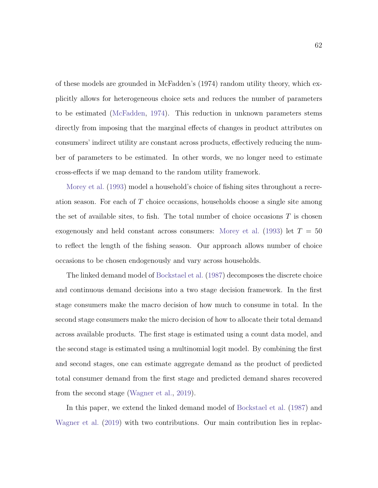of these models are grounded in McFadden's (1974) random utility theory, which explicitly allows for heterogeneous choice sets and reduces the number of parameters to be estimated [\(McFadden,](#page-100-1) [1974\)](#page-100-1). This reduction in unknown parameters stems directly from imposing that the marginal effects of changes in product attributes on consumers' indirect utility are constant across products, effectively reducing the number of parameters to be estimated. In other words, we no longer need to estimate cross-effects if we map demand to the random utility framework.

[Morey et al.](#page-100-0) [\(1993\)](#page-100-0) model a household's choice of fishing sites throughout a recreation season. For each of T choice occasions, households choose a single site among the set of available sites, to fish. The total number of choice occasions  $T$  is chosen exogenously and held constant across consumers: [Morey et al.](#page-100-0) [\(1993\)](#page-100-0) let  $T = 50$ to reflect the length of the fishing season. Our approach allows number of choice occasions to be chosen endogenously and vary across households.

The linked demand model of [Bockstael et al.](#page-94-5) [\(1987\)](#page-94-5) decomposes the discrete choice and continuous demand decisions into a two stage decision framework. In the first stage consumers make the macro decision of how much to consume in total. In the second stage consumers make the micro decision of how to allocate their total demand across available products. The first stage is estimated using a count data model, and the second stage is estimated using a multinomial logit model. By combining the first and second stages, one can estimate aggregate demand as the product of predicted total consumer demand from the first stage and predicted demand shares recovered from the second stage [\(Wagner et al.,](#page-104-4) [2019\)](#page-104-4).

In this paper, we extend the linked demand model of [Bockstael et al.](#page-94-5) [\(1987\)](#page-94-5) and [Wagner et al.](#page-104-4) [\(2019\)](#page-104-4) with two contributions. Our main contribution lies in replac-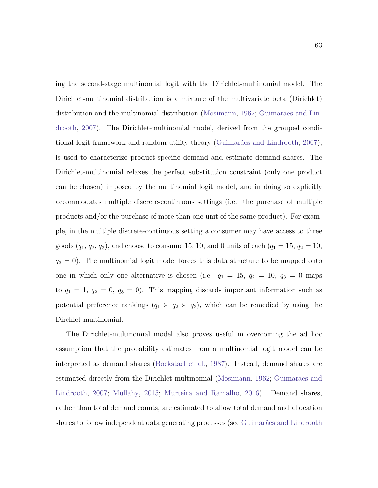ing the second-stage multinomial logit with the Dirichlet-multinomial model. The Dirichlet-multinomial distribution is a mixture of the multivariate beta (Dirichlet) distribution and the multinomial distribution [\(Mosimann,](#page-100-0) [1962;](#page-100-0) Guimarães and Lin[drooth,](#page-97-0) [2007\)](#page-97-0). The Dirichlet-multinomial model, derived from the grouped condi-tional logit framework and random utility theory (Guimarães and Lindrooth, [2007\)](#page-97-0), is used to characterize product-specific demand and estimate demand shares. The Dirichlet-multinomial relaxes the perfect substitution constraint (only one product can be chosen) imposed by the multinomial logit model, and in doing so explicitly accommodates multiple discrete-continuous settings (i.e. the purchase of multiple products and/or the purchase of more than one unit of the same product). For example, in the multiple discrete-continuous setting a consumer may have access to three goods  $(q_1, q_2, q_3)$ , and choose to consume 15, 10, and 0 units of each  $(q_1 = 15, q_2 = 10,$  $q_3 = 0$ ). The multinomial logit model forces this data structure to be mapped onto one in which only one alternative is chosen (i.e.  $q_1 = 15$ ,  $q_2 = 10$ ,  $q_3 = 0$  maps to  $q_1 = 1, q_2 = 0, q_3 = 0$ . This mapping discards important information such as potential preference rankings  $(q_1 \succ q_2 \succ q_3)$ , which can be remedied by using the Dirchlet-multinomial.

The Dirichlet-multinomial model also proves useful in overcoming the ad hoc assumption that the probability estimates from a multinomial logit model can be interpreted as demand shares [\(Bockstael et al.,](#page-94-0) [1987\)](#page-94-0). Instead, demand shares are estimated directly from the Dirichlet-multinomial [\(Mosimann,](#page-100-0) [1962;](#page-100-0) Guimarães and [Lindrooth,](#page-97-0) [2007;](#page-97-0) [Mullahy,](#page-100-1) [2015;](#page-100-1) [Murteira and Ramalho,](#page-100-2) [2016\)](#page-100-2). Demand shares, rather than total demand counts, are estimated to allow total demand and allocation shares to follow independent data generating processes (see Guimarães and Lindrooth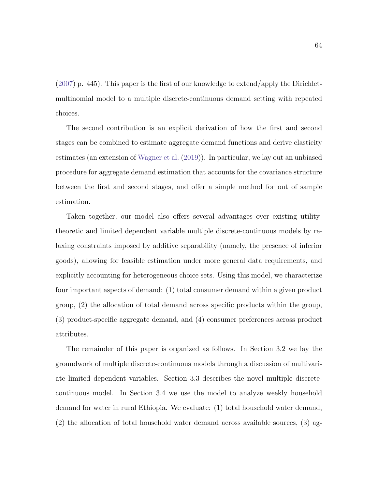$(2007)$  p. 445). This paper is the first of our knowledge to extend/apply the Dirichletmultinomial model to a multiple discrete-continuous demand setting with repeated choices.

The second contribution is an explicit derivation of how the first and second stages can be combined to estimate aggregate demand functions and derive elasticity estimates (an extension of [Wagner et al.](#page-104-0) [\(2019\)](#page-104-0)). In particular, we lay out an unbiased procedure for aggregate demand estimation that accounts for the covariance structure between the first and second stages, and offer a simple method for out of sample estimation.

Taken together, our model also offers several advantages over existing utilitytheoretic and limited dependent variable multiple discrete-continuous models by relaxing constraints imposed by additive separability (namely, the presence of inferior goods), allowing for feasible estimation under more general data requirements, and explicitly accounting for heterogeneous choice sets. Using this model, we characterize four important aspects of demand: (1) total consumer demand within a given product group, (2) the allocation of total demand across specific products within the group, (3) product-specific aggregate demand, and (4) consumer preferences across product attributes.

The remainder of this paper is organized as follows. In Section [3.2](#page-74-0) we lay the groundwork of multiple discrete-continuous models through a discussion of multivariate limited dependent variables. Section [3.3](#page-76-0) describes the novel multiple discretecontinuous model. In Section [3.4](#page-82-0) we use the model to analyze weekly household demand for water in rural Ethiopia. We evaluate: (1) total household water demand, (2) the allocation of total household water demand across available sources, (3) ag-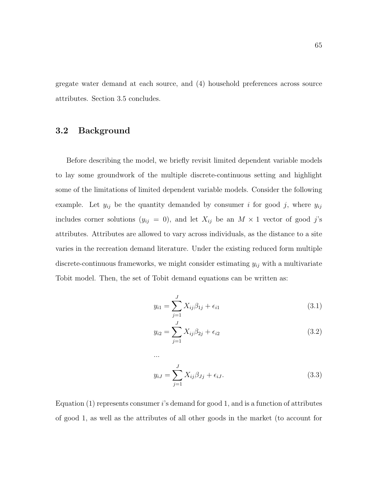gregate water demand at each source, and (4) household preferences across source attributes. Section [3.5](#page-87-0) concludes.

## <span id="page-74-0"></span>3.2 Background

Before describing the model, we briefly revisit limited dependent variable models to lay some groundwork of the multiple discrete-continuous setting and highlight some of the limitations of limited dependent variable models. Consider the following example. Let  $y_{ij}$  be the quantity demanded by consumer i for good j, where  $y_{ij}$ includes corner solutions  $(y_{ij} = 0)$ , and let  $X_{ij}$  be an  $M \times 1$  vector of good j's attributes. Attributes are allowed to vary across individuals, as the distance to a site varies in the recreation demand literature. Under the existing reduced form multiple discrete-continuous frameworks, we might consider estimating  $y_{ij}$  with a multivariate Tobit model. Then, the set of Tobit demand equations can be written as:

$$
y_{i1} = \sum_{j=1}^{J} X_{ij} \beta_{1j} + \epsilon_{i1}
$$
 (3.1)

$$
y_{i2} = \sum_{j=1}^{J} X_{ij} \beta_{2j} + \epsilon_{i2}
$$
 (3.2)

$$
y_{iJ} = \sum_{j=1}^{J} X_{ij} \beta_{Jj} + \epsilon_{iJ}.
$$
 (3.3)

Equation  $(1)$  represents consumer i's demand for good 1, and is a function of attributes of good 1, as well as the attributes of all other goods in the market (to account for

...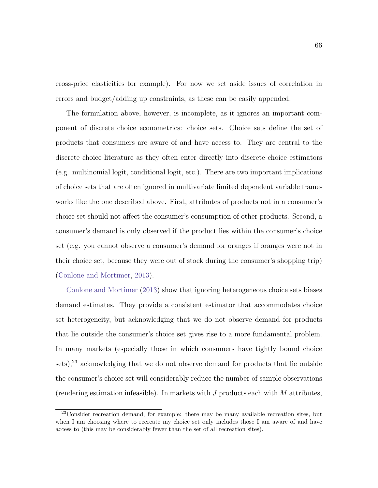cross-price elasticities for example). For now we set aside issues of correlation in errors and budget/adding up constraints, as these can be easily appended.

The formulation above, however, is incomplete, as it ignores an important component of discrete choice econometrics: choice sets. Choice sets define the set of products that consumers are aware of and have access to. They are central to the discrete choice literature as they often enter directly into discrete choice estimators (e.g. multinomial logit, conditional logit, etc.). There are two important implications of choice sets that are often ignored in multivariate limited dependent variable frameworks like the one described above. First, attributes of products not in a consumer's choice set should not affect the consumer's consumption of other products. Second, a consumer's demand is only observed if the product lies within the consumer's choice set (e.g. you cannot observe a consumer's demand for oranges if oranges were not in their choice set, because they were out of stock during the consumer's shopping trip) [\(Conlone and Mortimer,](#page-95-0) [2013\)](#page-95-0).

[Conlone and Mortimer](#page-95-0) [\(2013\)](#page-95-0) show that ignoring heterogeneous choice sets biases demand estimates. They provide a consistent estimator that accommodates choice set heterogeneity, but acknowledging that we do not observe demand for products that lie outside the consumer's choice set gives rise to a more fundamental problem. In many markets (especially those in which consumers have tightly bound choice sets).<sup>[23](#page-75-0)</sup> acknowledging that we do not observe demand for products that lie outside the consumer's choice set will considerably reduce the number of sample observations (rendering estimation infeasible). In markets with  $J$  products each with  $M$  attributes,

<span id="page-75-0"></span><sup>&</sup>lt;sup>23</sup>Consider recreation demand, for example: there may be many available recreation sites, but when I am choosing where to recreate my choice set only includes those I am aware of and have access to (this may be considerably fewer than the set of all recreation sites).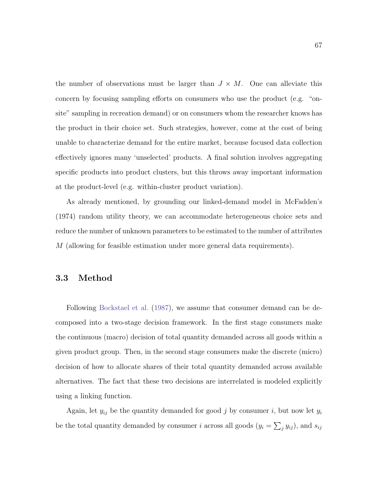the number of observations must be larger than  $J \times M$ . One can alleviate this concern by focusing sampling efforts on consumers who use the product (e.g. "onsite" sampling in recreation demand) or on consumers whom the researcher knows has the product in their choice set. Such strategies, however, come at the cost of being unable to characterize demand for the entire market, because focused data collection effectively ignores many 'unselected' products. A final solution involves aggregating specific products into product clusters, but this throws away important information at the product-level (e.g. within-cluster product variation).

As already mentioned, by grounding our linked-demand model in McFadden's (1974) random utility theory, we can accommodate heterogeneous choice sets and reduce the number of unknown parameters to be estimated to the number of attributes M (allowing for feasible estimation under more general data requirements).

#### <span id="page-76-0"></span>3.3 Method

Following [Bockstael et al.](#page-94-0) [\(1987\)](#page-94-0), we assume that consumer demand can be decomposed into a two-stage decision framework. In the first stage consumers make the continuous (macro) decision of total quantity demanded across all goods within a given product group. Then, in the second stage consumers make the discrete (micro) decision of how to allocate shares of their total quantity demanded across available alternatives. The fact that these two decisions are interrelated is modeled explicitly using a linking function.

Again, let  $y_{ij}$  be the quantity demanded for good j by consumer i, but now let  $y_i$ be the total quantity demanded by consumer *i* across all goods  $(y_i = \sum_j y_{ij})$ , and  $s_{ij}$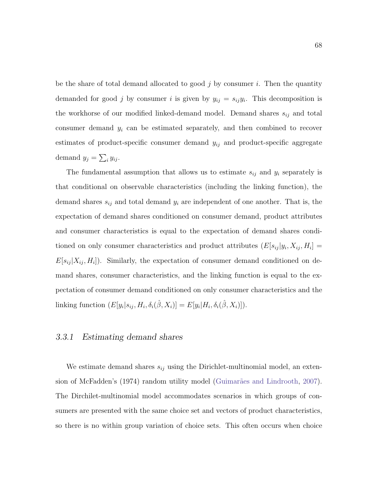be the share of total demand allocated to good  $j$  by consumer  $i$ . Then the quantity demanded for good j by consumer i is given by  $y_{ij} = s_{ij}y_i$ . This decomposition is the workhorse of our modified linked-demand model. Demand shares  $s_{ij}$  and total consumer demand  $y_i$  can be estimated separately, and then combined to recover estimates of product-specific consumer demand  $y_{ij}$  and product-specific aggregate demand  $y_j = \sum_i y_{ij}$ .

The fundamental assumption that allows us to estimate  $s_{ij}$  and  $y_i$  separately is that conditional on observable characteristics (including the linking function), the demand shares  $s_{ij}$  and total demand  $y_i$  are independent of one another. That is, the expectation of demand shares conditioned on consumer demand, product attributes and consumer characteristics is equal to the expectation of demand shares conditioned on only consumer characteristics and product attributes  $(E[s_{ij} | y_i, X_{ij}, H_i] =$  $E[s_{ij} | X_{ij}, H_i]$ ). Similarly, the expectation of consumer demand conditioned on demand shares, consumer characteristics, and the linking function is equal to the expectation of consumer demand conditioned on only consumer characteristics and the linking function  $(E[y_i|s_{ij}, H_i, \delta_i(\hat{\beta}, X_i)] = E[y_i|H_i, \delta_i(\hat{\beta}, X_i)]$ .

#### 3.3.1 Estimating demand shares

We estimate demand shares  $s_{ij}$  using the Dirichlet-multinomial model, an exten-sion of McFadden's (1974) random utility model (Guimarães and Lindrooth, [2007\)](#page-97-0). The Dirchilet-multinomial model accommodates scenarios in which groups of consumers are presented with the same choice set and vectors of product characteristics, so there is no within group variation of choice sets. This often occurs when choice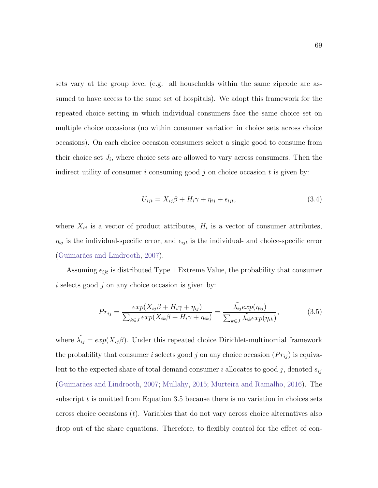sets vary at the group level (e.g. all households within the same zipcode are assumed to have access to the same set of hospitals). We adopt this framework for the repeated choice setting in which individual consumers face the same choice set on multiple choice occasions (no within consumer variation in choice sets across choice occasions). On each choice occasion consumers select a single good to consume from their choice set  $J_i$ , where choice sets are allowed to vary across consumers. Then the indirect utility of consumer i consuming good j on choice occasion t is given by:

<span id="page-78-1"></span>
$$
U_{ijt} = X_{ij}\beta + H_i\gamma + \eta_{ij} + \epsilon_{ijt},\tag{3.4}
$$

where  $X_{ij}$  is a vector of product attributes,  $H_i$  is a vector of consumer attributes,  $\eta_{ij}$  is the individual-specific error, and  $\epsilon_{ijt}$  is the individual- and choice-specific error (Guimarães and Lindrooth, [2007\)](#page-97-0).

Assuming  $\epsilon_{ijt}$  is distributed Type 1 Extreme Value, the probability that consumer i selects good  $j$  on any choice occasion is given by:

<span id="page-78-0"></span>
$$
Pr_{ij} = \frac{exp(X_{ij}\beta + H_i\gamma + \eta_{ij})}{\sum_{k \in J} exp(X_{ik}\beta + H_i\gamma + \eta_{ik})} = \frac{\tilde{\lambda_{ij}} exp(\eta_{ij})}{\sum_{k \in J} \tilde{\lambda_{ik}} exp(\eta_{ik})},
$$
(3.5)

where  $\tilde{\lambda_{ij}} = exp(X_{ij} \beta)$ . Under this repeated choice Dirichlet-multinomial framework the probability that consumer i selects good j on any choice occasion  $(Pr_{ij})$  is equivalent to the expected share of total demand consumer i allocates to good j, denoted  $s_{ij}$ (Guimarães and Lindrooth, [2007;](#page-97-0) [Mullahy,](#page-100-1) [2015;](#page-100-1) [Murteira and Ramalho,](#page-100-2) [2016\)](#page-100-2). The subscript t is omitted from Equation [3.5](#page-78-0) because there is no variation in choices sets across choice occasions  $(t)$ . Variables that do not vary across choice alternatives also drop out of the share equations. Therefore, to flexibly control for the effect of con-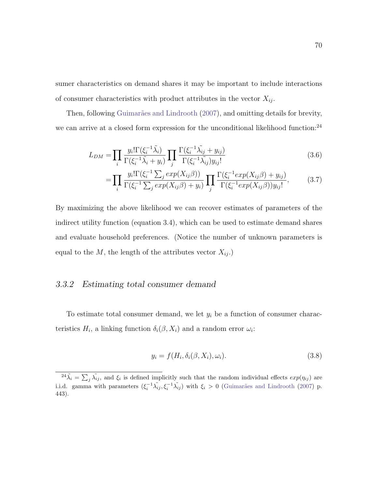sumer characteristics on demand shares it may be important to include interactions of consumer characteristics with product attributes in the vector  $X_{ij}$ .

Then, following Guimarães and Lindrooth [\(2007\)](#page-97-0), and omitting details for brevity, we can arrive at a closed form expression for the unconditional likelihood function:<sup>[24](#page-79-0)</sup>

$$
L_{DM} = \prod_{i} \frac{y_i! \Gamma(\xi_i^{-1} \tilde{\lambda}_i)}{\Gamma(\xi_i^{-1} \tilde{\lambda}_i + y_i)} \prod_{j} \frac{\Gamma(\xi_i^{-1} \tilde{\lambda}_{ij} + y_{ij})}{\Gamma(\xi_i^{-1} \tilde{\lambda}_{ij}) y_{ij}!}
$$
(3.6)

$$
= \prod_{i} \frac{y_i! \Gamma(\xi_i^{-1} \sum_j \exp(X_{ij}\beta))}{\Gamma(\xi_i^{-1} \sum_j \exp(X_{ij}\beta) + y_i)} \prod_{j} \frac{\Gamma(\xi_i^{-1} \exp(X_{ij}\beta) + y_{ij})}{\Gamma(\xi_i^{-1} \exp(X_{ij}\beta))y_{ij}!},
$$
(3.7)

By maximizing the above likelihood we can recover estimates of parameters of the indirect utility function (equation [3.4\)](#page-78-1), which can be used to estimate demand shares and evaluate household preferences. (Notice the number of unknown parameters is equal to the  $M$ , the length of the attributes vector  $X_{ij}$ .)

## 3.3.2 Estimating total consumer demand

To estimate total consumer demand, we let  $y_i$  be a function of consumer characteristics  $H_i$ , a linking function  $\delta_i(\beta, X_i)$  and a random error  $\omega_i$ :

$$
y_i = f(H_i, \delta_i(\beta, X_i), \omega_i). \tag{3.8}
$$

<span id="page-79-0"></span> $e^{24}\tilde{\lambda}_i = \sum_j \tilde{\lambda}_{ij}$ , and  $\xi_i$  is defined implicitly such that the random individual effects  $exp(\eta_{ij})$  are i.i.d. gamma with parameters  $(\xi_i^{-1}\tilde{\lambda_{ij}}, \xi_i^{-1}\tilde{\lambda_{ij}})$  with  $\xi_i > 0$  (Guimarães and Lindrooth [\(2007\)](#page-97-0) p. 443).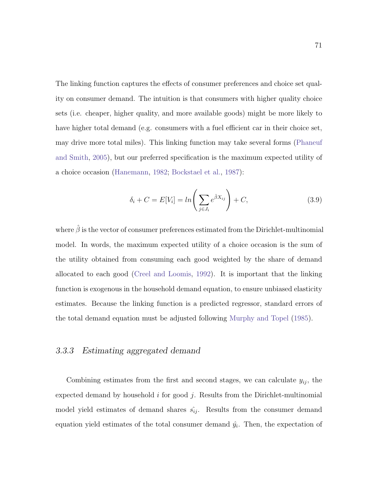The linking function captures the effects of consumer preferences and choice set quality on consumer demand. The intuition is that consumers with higher quality choice sets (i.e. cheaper, higher quality, and more available goods) might be more likely to have higher total demand (e.g. consumers with a fuel efficient car in their choice set, may drive more total miles). This linking function may take several forms [\(Phaneuf](#page-102-0) [and Smith,](#page-102-0) [2005\)](#page-102-0), but our preferred specification is the maximum expected utility of a choice occasion [\(Hanemann,](#page-98-0) [1982;](#page-98-0) [Bockstael et al.,](#page-94-0) [1987\)](#page-94-0):

$$
\delta_i + C = E[V_i] = \ln\left(\sum_{j \in J_i} e^{\hat{\beta} X_{ij}}\right) + C,\tag{3.9}
$$

where  $\hat{\beta}$  is the vector of consumer preferences estimated from the Dirichlet-multinomial model. In words, the maximum expected utility of a choice occasion is the sum of the utility obtained from consuming each good weighted by the share of demand allocated to each good [\(Creel and Loomis,](#page-96-0) [1992\)](#page-96-0). It is important that the linking function is exogenous in the household demand equation, to ensure unbiased elasticity estimates. Because the linking function is a predicted regressor, standard errors of the total demand equation must be adjusted following [Murphy and Topel](#page-100-3) [\(1985\)](#page-100-3).

#### 3.3.3 Estimating aggregated demand

Combining estimates from the first and second stages, we can calculate  $y_{ij}$ , the expected demand by household i for good j. Results from the Dirichlet-multinomial model yield estimates of demand shares  $\hat{s}_{ij}$ . Results from the consumer demand equation yield estimates of the total consumer demand  $\hat{y}_i$ . Then, the expectation of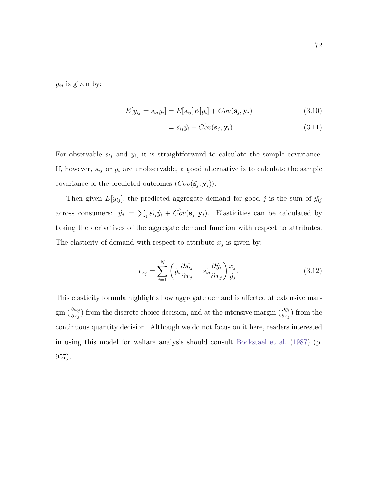$y_{ij}$  is given by:

$$
E[y_{ij} = s_{ij}y_i] = E[s_{ij}]E[y_i] + Cov(\mathbf{s}_j, \mathbf{y}_i)
$$
\n(3.10)

$$
= \hat{s_{ij}}\hat{y_i} + \hat{Cov}(\mathbf{s}_j, \mathbf{y}_i). \tag{3.11}
$$

For observable  $s_{ij}$  and  $y_i$ , it is straightforward to calculate the sample covariance. If, however,  $s_{ij}$  or  $y_i$  are unobservable, a good alternative is to calculate the sample covariance of the predicted outcomes  $(Cov(\hat{s}_j, \hat{y}_i))$ .

Then given  $E[y_{ij}]$ , the predicted aggregate demand for good j is the sum of  $\hat{y_{ij}}$ across consumers:  $\hat{y}_j = \sum_i \hat{s_{ij}} \hat{y}_i + \hat{Cov}(\mathbf{s}_j, \mathbf{y}_i)$ . Elasticities can be calculated by taking the derivatives of the aggregate demand function with respect to attributes. The elasticity of demand with respect to attribute  $x_j$  is given by:

$$
\epsilon_{x_j} = \sum_{i=1}^{N} \left( \hat{y}_i \frac{\partial \hat{s}_{ij}}{\partial x_j} + \hat{s}_{ij} \frac{\partial \hat{y}_i}{\partial x_j} \right) \frac{x_j}{\hat{y}_j}.
$$
\n(3.12)

This elasticity formula highlights how aggregate demand is affected at extensive margin  $(\frac{\partial s_{ij}}{\partial x_j})$  from the discrete choice decision, and at the intensive margin  $(\frac{\partial \hat{y_i}}{\partial x_j})$  from the continuous quantity decision. Although we do not focus on it here, readers interested in using this model for welfare analysis should consult [Bockstael et al.](#page-94-0) [\(1987\)](#page-94-0) (p. 957).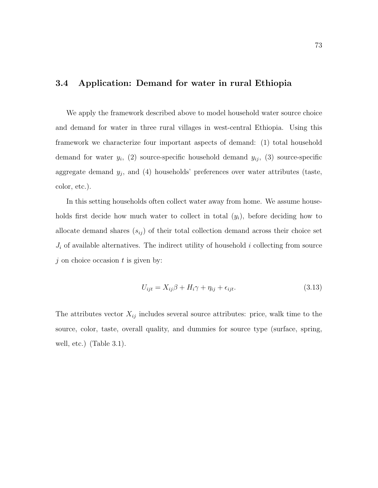## <span id="page-82-0"></span>3.4 Application: Demand for water in rural Ethiopia

We apply the framework described above to model household water source choice and demand for water in three rural villages in west-central Ethiopia. Using this framework we characterize four important aspects of demand: (1) total household demand for water  $y_i$ , (2) source-specific household demand  $y_{ij}$ , (3) source-specific aggregate demand  $y_j$ , and (4) households' preferences over water attributes (taste, color, etc.).

In this setting households often collect water away from home. We assume households first decide how much water to collect in total  $(y_i)$ , before deciding how to allocate demand shares  $(s_{ij})$  of their total collection demand across their choice set  $J_i$  of available alternatives. The indirect utility of household i collecting from source  $j$  on choice occasion  $t$  is given by:

<span id="page-82-1"></span>
$$
U_{ijt} = X_{ij}\beta + H_i\gamma + \eta_{ij} + \epsilon_{ijt}.\tag{3.13}
$$

The attributes vector  $X_{ij}$  includes several source attributes: price, walk time to the source, color, taste, overall quality, and dummies for source type (surface, spring, well, etc.) (Table [3.1\)](#page-83-0).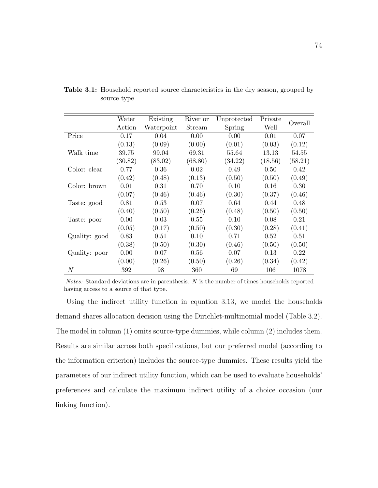|                  | Water   | Existing   | River or | Unprotected | Private | Overall |
|------------------|---------|------------|----------|-------------|---------|---------|
|                  | Action  | Waterpoint | Stream   | Spring      | Well    |         |
| Price            | 0.17    | 0.04       | 0.00     | 0.00        | 0.01    | 0.07    |
|                  | (0.13)  | (0.09)     | (0.00)   | (0.01)      | (0.03)  | (0.12)  |
| Walk time        | 39.75   | 99.04      | 69.31    | 55.64       | 13.13   | 54.55   |
|                  | (30.82) | (83.02)    | (68.80)  | (34.22)     | (18.56) | (58.21) |
| Color: clear     | 0.77    | 0.36       | 0.02     | 0.49        | 0.50    | 0.42    |
|                  | (0.42)  | (0.48)     | (0.13)   | (0.50)      | (0.50)  | (0.49)  |
| Color: brown     | 0.01    | 0.31       | 0.70     | 0.10        | 0.16    | 0.30    |
|                  | (0.07)  | (0.46)     | (0.46)   | (0.30)      | (0.37)  | (0.46)  |
| Taste: good      | 0.81    | 0.53       | 0.07     | 0.64        | 0.44    | 0.48    |
|                  | (0.40)  | (0.50)     | (0.26)   | (0.48)      | (0.50)  | (0.50)  |
| Taste: poor      | 0.00    | 0.03       | 0.55     | 0.10        | 0.08    | 0.21    |
|                  | (0.05)  | (0.17)     | (0.50)   | (0.30)      | (0.28)  | (0.41)  |
| Quality: good    | 0.83    | 0.51       | 0.10     | 0.71        | 0.52    | 0.51    |
|                  | (0.38)  | (0.50)     | (0.30)   | (0.46)      | (0.50)  | (0.50)  |
| Quality: poor    | 0.00    | 0.07       | 0.56     | 0.07        | 0.13    | 0.22    |
|                  | (0.00)  | (0.26)     | (0.50)   | (0.26)      | (0.34)  | (0.42)  |
| $\boldsymbol{N}$ | 392     | 98         | 360      | 69          | 106     | 1078    |

<span id="page-83-0"></span>Table 3.1: Household reported source characteristics in the dry season, grouped by source type

Notes: Standard deviations are in parenthesis. N is the number of times households reported having access to a source of that type.

Using the indirect utility function in equation [3.13,](#page-82-1) we model the households demand shares allocation decision using the Dirichlet-multinomial model (Table [3.2\)](#page-84-0). The model in column (1) omits source-type dummies, while column (2) includes them. Results are similar across both specifications, but our preferred model (according to the information criterion) includes the source-type dummies. These results yield the parameters of our indirect utility function, which can be used to evaluate households' preferences and calculate the maximum indirect utility of a choice occasion (our linking function).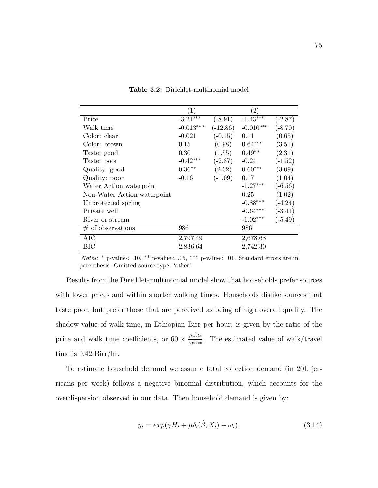|                             | (1)         |            | $\left( 2\right)$ |           |
|-----------------------------|-------------|------------|-------------------|-----------|
| Price                       | $-3.21***$  | $(-8.91)$  | $-1.43***$        | $(-2.87)$ |
| Walk time                   | $-0.013***$ | $(-12.86)$ | $-0.010***$       | $(-8.70)$ |
| Color: clear                | $-0.021$    | $(-0.15)$  | 0.11              | (0.65)    |
| Color: brown                | 0.15        | (0.98)     | $0.64***$         | (3.51)    |
| Taste: good                 | 0.30        | (1.55)     | $0.49**$          | (2.31)    |
| Taste: poor                 | $-0.42***$  | $(-2.87)$  | $-0.24$           | $(-1.52)$ |
| Quality: good               | $0.36**$    | (2.02)     | $0.60***$         | (3.09)    |
| Quality: poor               | $-0.16$     | $(-1.09)$  | 0.17              | (1.04)    |
| Water Action waterpoint     |             |            | $-1.27***$        | $(-6.56)$ |
| Non-Water Action waterpoint |             |            | 0.25              | (1.02)    |
| Unprotected spring          |             |            | $-0.88***$        | $(-4.24)$ |
| Private well                |             |            | $-0.64***$        | $(-3.41)$ |
| River or stream             |             |            | $-1.02***$        | $(-5.49)$ |
| $#$ of observations         | 986         |            | 986               |           |
| $\rm AIC$                   | 2,797.49    |            | 2,678.68          |           |
| ВIС                         | 2,836.64    |            | 2,742.30          |           |

<span id="page-84-0"></span>Table 3.2: Dirichlet-multinomial model

Notes: \* p-value< .10, \*\* p-value< .05, \*\*\* p-value< .01. Standard errors are in parenthesis. Omitted source type: 'other'.

Results from the Dirichlet-multinomial model show that households prefer sources with lower prices and within shorter walking times. Households dislike sources that taste poor, but prefer those that are perceived as being of high overall quality. The shadow value of walk time, in Ethiopian Birr per hour, is given by the ratio of the price and walk time coefficients, or  $60 \times \frac{\beta^{\hat{walk}}}{\beta^{\hat{price}}}$ . The estimated value of walk/travel time is 0.42 Birr/hr.

To estimate household demand we assume total collection demand (in 20L jerricans per week) follows a negative binomial distribution, which accounts for the overdispersion observed in our data. Then household demand is given by:

$$
y_i = exp(\gamma H_i + \mu \delta_i(\hat{\beta}, X_i) + \omega_i). \tag{3.14}
$$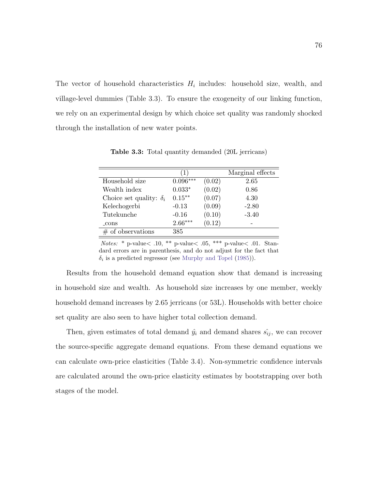The vector of household characteristics  $H_i$  includes: household size, wealth, and village-level dummies (Table [3.3\)](#page-85-0). To ensure the exogeneity of our linking function, we rely on an experimental design by which choice set quality was randomly shocked through the installation of new water points.

|                                | (1)        |        | Marginal effects |
|--------------------------------|------------|--------|------------------|
| Household size                 | $0.096***$ | (0.02) | 2.65             |
| Wealth index                   | $0.033*$   | (0.02) | 0.86             |
| Choice set quality: $\delta_i$ | $0.15***$  | (0.07) | 4.30             |
| Kelechogerbi                   | $-0.13$    | (0.09) | $-2.80$          |
| Tutekunche                     | $-0.16$    | (0.10) | $-3.40$          |
| $_{\rm-cons}$                  | $2.66***$  | (0.12) |                  |
| $#$ of observations            | 385        |        |                  |

<span id="page-85-0"></span>Table 3.3: Total quantity demanded (20L jerricans)

Notes: \* p-value $<$  .10, \*\* p-value $<$  .05, \*\*\* p-value $<$  .01. Standard errors are in parenthesis, and do not adjust for the fact that  $\delta_i$  is a predicted regressor (see [Murphy and Topel](#page-100-3) [\(1985\)](#page-100-3)).

Results from the household demand equation show that demand is increasing in household size and wealth. As household size increases by one member, weekly household demand increases by 2.65 jerricans (or 53L). Households with better choice set quality are also seen to have higher total collection demand.

Then, given estimates of total demand  $\hat{y}_i$  and demand shares  $\hat{s_{ij}}$ , we can recover the source-specific aggregate demand equations. From these demand equations we can calculate own-price elasticities (Table [3.4\)](#page-86-0). Non-symmetric confidence intervals are calculated around the own-price elasticity estimates by bootstrapping over both stages of the model.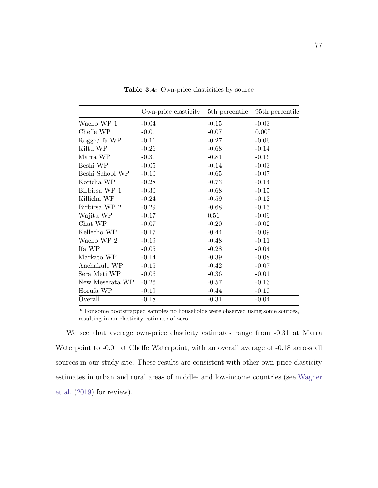|                 | Own-price elasticity | 5 <sup>th</sup> percentile | 95 <sup>th</sup> percentile |
|-----------------|----------------------|----------------------------|-----------------------------|
| Wacho WP 1      | $-0.04$              | $-0.15$                    | $-0.03$                     |
| Cheffe WP       | $-0.01$              | $-0.07$                    | $0.00^a$                    |
| Rogge/Ifa WP    | $-0.11$              | $-0.27$                    | $-0.06$                     |
| Kiltu WP        | $-0.26$              | $-0.68$                    | $-0.14$                     |
| Marra WP        | $-0.31$              | $-0.81$                    | $-0.16$                     |
| Beshi WP        | $-0.05$              | $-0.14$                    | $-0.03$                     |
| Beshi School WP | $-0.10$              | $-0.65$                    | $-0.07$                     |
| Koricha WP      | $-0.28$              | $-0.73$                    | $-0.14$                     |
| Birbirsa WP 1   | $-0.30$              | $-0.68$                    | $-0.15$                     |
| Killicha WP     | $-0.24$              | $-0.59$                    | $-0.12$                     |
| Birbirsa WP 2   | $-0.29$              | $-0.68$                    | $-0.15$                     |
| Wajitu WP       | $-0.17$              | 0.51                       | $-0.09$                     |
| Chat WP         | $-0.07$              | $-0.20$                    | $-0.02$                     |
| Kellecho WP     | $-0.17$              | $-0.44$                    | $-0.09$                     |
| Wacho WP 2      | $-0.19$              | $-0.48$                    | $-0.11$                     |
| Ifa WP          | $-0.05$              | $-0.28$                    | $-0.04$                     |
| Markato WP      | $-0.14$              | $-0.39$                    | $-0.08$                     |
| Anchakule WP    | $-0.15$              | $-0.42$                    | $-0.07$                     |
| Sera Meti WP    | $-0.06$              | $-0.36$                    | $-0.01$                     |
| New Meserata WP | $-0.26$              | $-0.57$                    | $-0.13$                     |
| Horufa WP       | $-0.19$              | $-0.44$                    | $-0.10$                     |
| Overall         | $-0.18$              | $-0.31$                    | $-0.04$                     |

<span id="page-86-0"></span>Table 3.4: Own-price elasticities by source

 $\emph{^a}$  For some bootstrapped samples no households were observed using some sources, resulting in an elasticity estimate of zero.

We see that average own-price elasticity estimates range from -0.31 at Marra Waterpoint to -0.01 at Cheffe Waterpoint, with an overall average of -0.18 across all sources in our study site. These results are consistent with other own-price elasticity estimates in urban and rural areas of middle- and low-income countries (see [Wagner](#page-104-0) [et al.](#page-104-0) [\(2019\)](#page-104-0) for review).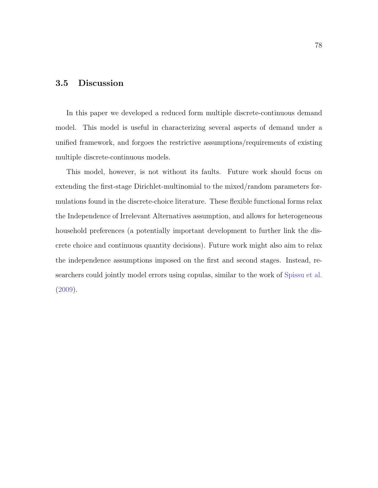## <span id="page-87-0"></span>3.5 Discussion

In this paper we developed a reduced form multiple discrete-continuous demand model. This model is useful in characterizing several aspects of demand under a unified framework, and forgoes the restrictive assumptions/requirements of existing multiple discrete-continuous models.

This model, however, is not without its faults. Future work should focus on extending the first-stage Dirichlet-multinomial to the mixed/random parameters formulations found in the discrete-choice literature. These flexible functional forms relax the Independence of Irrelevant Alternatives assumption, and allows for heterogeneous household preferences (a potentially important development to further link the discrete choice and continuous quantity decisions). Future work might also aim to relax the independence assumptions imposed on the first and second stages. Instead, researchers could jointly model errors using copulas, similar to the work of [Spissu et al.](#page-103-0) [\(2009\)](#page-103-0).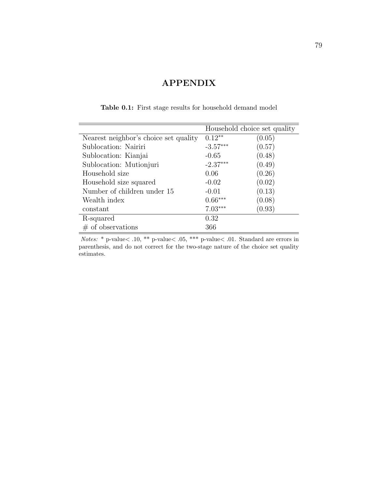# APPENDIX

|                                       | Household choice set quality |        |
|---------------------------------------|------------------------------|--------|
| Nearest neighbor's choice set quality | $0.12**$                     | (0.05) |
| Sublocation: Nairiri                  | $-3.57***$                   | (0.57) |
| Sublocation: Kianjai                  | $-0.65$                      | (0.48) |
| Sublocation: Mutionjuri               | $-2.37***$                   | (0.49) |
| Household size                        | 0.06                         | (0.26) |
| Household size squared                | $-0.02$                      | (0.02) |
| Number of children under 15           | $-0.01$                      | (0.13) |
| Wealth index                          | $0.66***$                    | (0.08) |
| constant                              | $7.03***$                    | (0.93) |
| R-squared                             | 0.32                         |        |
| $\#$ of observations                  | 366                          |        |

Table 0.1: First stage results for household demand model

Notes: \* p-value< .10, \*\* p-value< .05, \*\*\* p-value< .01. Standard are errors in parenthesis, and do not correct for the two-stage nature of the choice set quality estimates.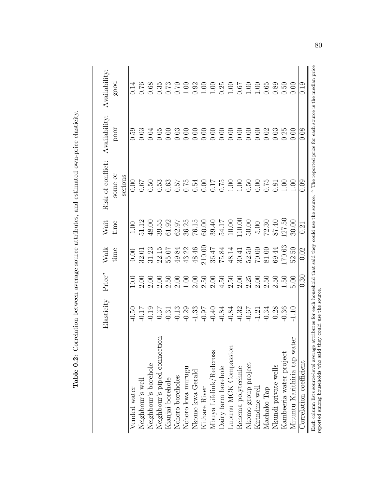|                                                                                                                                                                                                                      | Elasticity                                                         | Price <sup>a</sup>                              | $\ensuremath{\text{Walk}}$                                                         | $\rm Wait$                                                                                                     | Risk of conflict:                          | Availability: | Availability     |
|----------------------------------------------------------------------------------------------------------------------------------------------------------------------------------------------------------------------|--------------------------------------------------------------------|-------------------------------------------------|------------------------------------------------------------------------------------|----------------------------------------------------------------------------------------------------------------|--------------------------------------------|---------------|------------------|
|                                                                                                                                                                                                                      |                                                                    |                                                 | time                                                                               | time                                                                                                           | some or<br>serious                         | poor          | good             |
| Vended water                                                                                                                                                                                                         |                                                                    | 10.0                                            | 0.00                                                                               | $1.0\overline{0}$                                                                                              | 0.00                                       | 0.59          | 0.14             |
| Neighbour's well                                                                                                                                                                                                     | 50<br>0.17<br>0.19<br>0.57<br>0.37<br>0.30<br>0.30<br>0.30<br>0.40 |                                                 | 32.01                                                                              | 51.12                                                                                                          | 0.67                                       |               |                  |
| Neighbour's borehole                                                                                                                                                                                                 |                                                                    | $\frac{0}{2}$<br>$\frac{0}{2}$<br>$\frac{0}{2}$ | 31.23                                                                              | 48.00                                                                                                          | $0.\overline{5}0$                          |               |                  |
| Neighbour's piped connection                                                                                                                                                                                         |                                                                    |                                                 | 22.15                                                                              | 39.55                                                                                                          | 0.53                                       |               |                  |
| Kianjai borehole                                                                                                                                                                                                     |                                                                    | $2.50$<br>$2.00$                                | 55.07                                                                              | 61.92                                                                                                          | 0.63                                       |               |                  |
| Nchoro boreholes                                                                                                                                                                                                     |                                                                    |                                                 | 49.84                                                                              | 62.97                                                                                                          |                                            |               |                  |
| Nchoro kwa murugu                                                                                                                                                                                                    |                                                                    | 00                                              |                                                                                    |                                                                                                                |                                            |               |                  |
| Nkomo kwa Gerald                                                                                                                                                                                                     |                                                                    |                                                 | $43.22$<br>$48.46$                                                                 |                                                                                                                |                                            |               |                  |
| Kithare River                                                                                                                                                                                                        |                                                                    | $\frac{2.00}{2.50}$                             | 210.00                                                                             |                                                                                                                |                                            |               |                  |
| Mbuya Lifelink/Redcross                                                                                                                                                                                              |                                                                    | 2.00                                            |                                                                                    | $\begin{array}{l} 36.25 \\ 76.15 \\ 60.00 \\ 9.41 \\ 11.00 \\ 10.00 \\ 110.00 \\ 50.00 \\ 5.00 \\ \end{array}$ | 5753<br>1575300715000075<br>15763115000750 |               |                  |
| )airy farm borehole                                                                                                                                                                                                  | $-0.84$                                                            | 4.50                                            | $\begin{array}{l} 36.47 \\ 75.84 \\ 48.14 \\ 30.5 \\ 70.00 \\ 81.0 \\ \end{array}$ |                                                                                                                |                                            |               |                  |
| ubunu MCK Compassion                                                                                                                                                                                                 | $-0.84$                                                            | 2.50                                            |                                                                                    |                                                                                                                |                                            |               |                  |
| Rehema polytechnic                                                                                                                                                                                                   | $-0.32$<br>$-0.67$<br>$-1.21$<br>$-0.34$                           |                                                 |                                                                                    |                                                                                                                |                                            |               |                  |
| Nkomo group project                                                                                                                                                                                                  |                                                                    | $2.00$<br>$2.25$                                |                                                                                    |                                                                                                                |                                            |               |                  |
| Kirindine well                                                                                                                                                                                                       |                                                                    | 2.00                                            |                                                                                    |                                                                                                                |                                            |               |                  |
| Machako Tap                                                                                                                                                                                                          |                                                                    | 2.50                                            |                                                                                    | 72.30                                                                                                          |                                            |               |                  |
| Nkundi private wells                                                                                                                                                                                                 | $-0.28$                                                            | 2.50                                            | 69.44                                                                              | 87.40                                                                                                          | 0.81                                       |               | $0.89$<br>$0.50$ |
| Kambeeria water project                                                                                                                                                                                              | 0.36                                                               | 1.50                                            | 170.63                                                                             | 127.50                                                                                                         |                                            |               |                  |
| Mituntu Karithiria tap water                                                                                                                                                                                         |                                                                    | 5.00                                            | 52.50                                                                              | 30.00                                                                                                          | $\frac{00}{00}$                            |               | 0.00             |
| Correlation coefficient                                                                                                                                                                                              |                                                                    | $-30$                                           | $-0.02$                                                                            | 0.21                                                                                                           | 00.<br>C                                   | 0.08          | 0.<br>10         |
| Each column lists source-level average attributes for each household that said they could use the source. $\alpha$ The reported price for each source is the median price<br>reported among households who said they | could use the source                                               |                                                 |                                                                                    |                                                                                                                |                                            |               |                  |

Table 0.2: Correlation between average source attributes, and estimated own-price elasticity. Table 0.2: Correlation between average source attributes, and estimated own-price elasticity.

80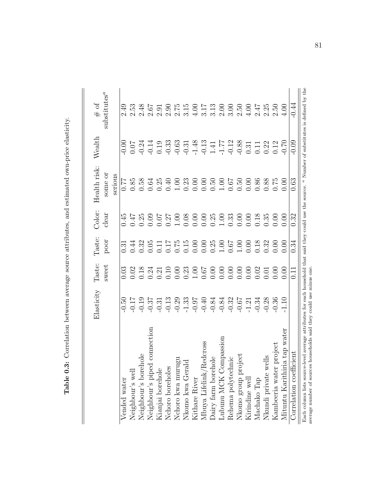|                                                                                                                                                                                                                                   | Elasticity                               | Taste:            | Taste:                                          | Color:           | Health risk:   | Wealth   | $#$ of                   |
|-----------------------------------------------------------------------------------------------------------------------------------------------------------------------------------------------------------------------------------|------------------------------------------|-------------------|-------------------------------------------------|------------------|----------------|----------|--------------------------|
|                                                                                                                                                                                                                                   |                                          | sweet             | poor                                            | clear            | some or        |          | substitutes <sup>a</sup> |
|                                                                                                                                                                                                                                   |                                          |                   |                                                 |                  | serious        |          |                          |
| Vended water                                                                                                                                                                                                                      | 0.50                                     | 0.03              | $\overline{0.31}$                               | 0.45             | 77.0           |          | 2.49                     |
| Neighbour's well                                                                                                                                                                                                                  |                                          |                   | 0.44                                            | 17.0             | 0.85           |          | 2.53                     |
| Neighbour's borehole                                                                                                                                                                                                              |                                          | 0.02              | 0.32                                            | 0.25             | 0.58           |          | 2.48                     |
| connection<br>Neighbour's piped                                                                                                                                                                                                   |                                          | 0.24              | 0.05                                            | 0.09             | 0.64           |          | 2.67                     |
| Kianjai borehole                                                                                                                                                                                                                  | $-0.17$<br>$-0.19$<br>$-0.37$<br>$-0.31$ | 0.21              | 11                                              | 10.07            | 0.25           |          | 2.91                     |
| Nchoro boreholes                                                                                                                                                                                                                  | $0.13\,$                                 | 0.10              |                                                 | $0.27$<br>$1.00$ | 0.40           |          | 06.7                     |
| g<br>Nchoro kwa muru                                                                                                                                                                                                              | $-0.29$<br>$-1.33$<br>$-0.97$            | 0.00              | 1.75                                            |                  | 00.1           |          | 2.75                     |
| $\overline{\mathbf{C}}$<br>Nkomo kwa Geral                                                                                                                                                                                        |                                          | 0.23              | 0.15                                            | 0.08             | 0.23           |          |                          |
| Kithare River                                                                                                                                                                                                                     |                                          |                   | 0.00                                            | 0.00             | 0.00           |          | 00 <sub>1</sub>          |
| edcross<br>Mbuya Lifelink/R                                                                                                                                                                                                       |                                          | $\frac{00}{0.67}$ |                                                 | 0.00             | 0.00           |          | 3.17                     |
| Dairy farm borehole                                                                                                                                                                                                               | $-0.84$                                  |                   |                                                 | 0.25             | 0.50           |          | 3.13                     |
| Lubunu MCK Compassion                                                                                                                                                                                                             | $-0.84$                                  | 0.00              | $0.000$<br>$0.25$<br>$0.05$<br>$0.07$<br>$0.00$ | 1.00             | $1.00\,$       |          | 2.00                     |
| Rehema polytechnic                                                                                                                                                                                                                | $-0.32$                                  |                   |                                                 | 0.33             | $0.50$<br>0.50 |          | 3.00                     |
| Nkomo group project                                                                                                                                                                                                               | $-0.67$                                  |                   |                                                 | 0.00             |                |          | 2.50                     |
| Kirindine well                                                                                                                                                                                                                    | 1.21                                     |                   | 0.00                                            | 0.00             | 0.00           | $\!0.31$ | 4.00                     |
| Machako Tap                                                                                                                                                                                                                       | $-0.34$                                  | 0.02              | 0.18                                            | 0.18             | 0.86           | 0.11     | 247                      |
| Nkundi private wells                                                                                                                                                                                                              | $-0.28$                                  | 0.01              | 0.32                                            | 0.35             | 0.88           | 0.22     | 2.25                     |
| Kambeeria water project                                                                                                                                                                                                           | 0.36                                     | 0.00              | 0.00                                            | 0.00             | 0.75           | 0.12     | 2.50                     |
| Mituntu Karithiria tap water                                                                                                                                                                                                      | 1.10                                     | 00(               | 0.00                                            | 0.00             | 0.00           | 0.70     | 4.00                     |
| Correlation coefficient                                                                                                                                                                                                           |                                          | $\overline{11}$   | 0.34                                            | 0.32             | 0.63           | 0.09     | -0.44                    |
| Each column lists source-level average attributes for each household that said they could use the source. $\alpha$ Number of substitutes is defined by the<br>average number of sources households said they could use minus one. |                                          |                   |                                                 |                  |                |          |                          |

Table 0.3: Correlation between average source attributes, and estimated own-price elasticity. Table 0.3: Correlation between average source attributes, and estimated own-price elasticity.

81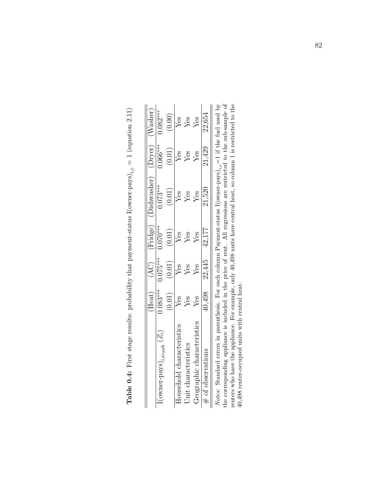|                                             | Heat <sub>.</sub> | $\widetilde{A}$ C) | Fridge)     | )ishwasher) | 'Dryer)    | Vasher)   |
|---------------------------------------------|-------------------|--------------------|-------------|-------------|------------|-----------|
| $!($ owner-pays $)_{i, transh}$ ( $Z_{i}$ ) | $.083***$         | $0.075***$         | $070^{***}$ | $0.073***$  | $0.066***$ | $.082***$ |
|                                             | (0.01)            | (0.01)             | (0.01)      | (0.01)      | (0.01)     | (0.00)    |
| Household characteristics                   | Yes               | Yes                | Yes         | Yes         | Yes        | Yes       |
| Init characteristi                          | res               | Yes                | Yes         | Ýes         | Yes        | Zes       |
| eographic characteristic                    | Yes               | Ýеs                |             | Yes         | Yes        | Zes       |
| $\#$ of observation                         | 40,498            | 22,445             | 42,177      | 21,520      | 21,429     | 22,654    |
|                                             |                   |                    |             |             |            |           |

**Table 0.4:** First stage results: probability that payment-status  $I(\text{owner-pays})_{i,e} = 1$  (equation 2.11) **Table 0.4:** First stage results: probability that payment-status  $I(\text{owner-pays})_{i,\epsilon} = 1$  (equation [2.11\)](#page-60-0)

*Notes:* Standard errors in parenthesis. For each column Payment-status I(owner-pays)<sub>i,e</sub>=1 if the fuel used by the corresponding appliance is included in the price of rent. All regressions are restricted to the sub-samp the corresponding appliance is included in the price of rent. All regressions are restricted to the sub-sample of Notes: Standard errors in parenthesis. For each column Payment-status  $I(\text{owner-pays})_{i,e}=1$  if the fuel used by renters who have the appliance. For example, only 40,498 units have central heat, so column 1 is restricted to the 40,498 renter-occupied units with central heat. 40,498 renter-occupied units with central heat.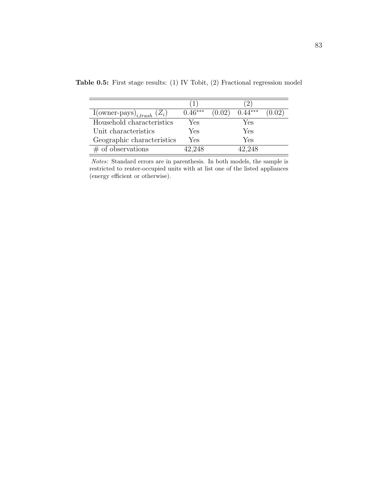| I(owner-pays) <sub>i,trash</sub> $(Z_i)$ | $0.46***$ | (0.02) | ***    | $0.02^{\circ}$ |
|------------------------------------------|-----------|--------|--------|----------------|
| Household characteristics                | Yes       |        | Yes    |                |
| Unit characteristics                     | Yes       |        | Yes    |                |
| Geographic characteristics               | Yes       |        | Yes    |                |
| $#$ of observations                      | 42.248    |        | 42.248 |                |

Table 0.5: First stage results: (1) IV Tobit, (2) Fractional regression model

Notes: Standard errors are in parenthesis. In both models, the sample is restricted to renter-occupied units with at list one of the listed appliances (energy efficient or otherwise).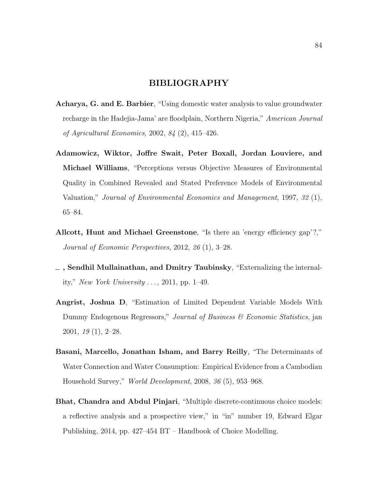### BIBLIOGRAPHY

- Acharya, G. and E. Barbier, "Using domestic water analysis to value groundwater recharge in the Hadejia-Jama' are floodplain, Northern Nigeria," American Journal of Agricultural Economics, 2002, 84 (2), 415–426.
- Adamowicz, Wiktor, Joffre Swait, Peter Boxall, Jordan Louviere, and Michael Williams, "Perceptions versus Objective Measures of Environmental Quality in Combined Revealed and Stated Preference Models of Environmental Valuation," Journal of Environmental Economics and Management, 1997, 32 (1), 65–84.
- Allcott, Hunt and Michael Greenstone, "Is there an 'energy efficiency gap'?," Journal of Economic Perspectives, 2012, 26 (1), 3–28.
- $\equiv$  , Sendhil Mullainathan, and Dmitry Taubinsky, "Externalizing the internality," New York University  $\ldots$ , 2011, pp. 1–49.
- Angrist, Joshua D, "Estimation of Limited Dependent Variable Models With Dummy Endogenous Regressors," Journal of Business & Economic Statistics, jan 2001, 19 (1), 2–28.
- Basani, Marcello, Jonathan Isham, and Barry Reilly, "The Determinants of Water Connection and Water Consumption: Empirical Evidence from a Cambodian Household Survey," World Development, 2008, 36 (5), 953–968.
- Bhat, Chandra and Abdul Pinjari, "Multiple discrete-continuous choice models: a reflective analysis and a prospective view," in "in" number 19, Edward Elgar Publishing, 2014, pp. 427–454 BT – Handbook of Choice Modelling.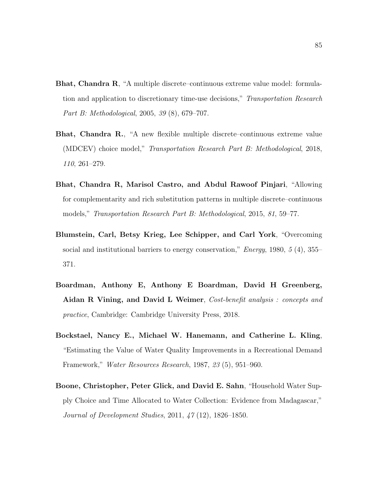- Bhat, Chandra R, "A multiple discrete–continuous extreme value model: formulation and application to discretionary time-use decisions," Transportation Research Part B: Methodological, 2005, 39 (8), 679–707.
- Bhat, Chandra R., "A new flexible multiple discrete–continuous extreme value (MDCEV) choice model," Transportation Research Part B: Methodological, 2018, 110, 261–279.
- Bhat, Chandra R, Marisol Castro, and Abdul Rawoof Pinjari, "Allowing for complementarity and rich substitution patterns in multiple discrete–continuous models," Transportation Research Part B: Methodological, 2015, 81, 59–77.
- Blumstein, Carl, Betsy Krieg, Lee Schipper, and Carl York, "Overcoming social and institutional barriers to energy conservation," *Energy*, 1980, 5 (4), 355– 371.
- Boardman, Anthony E, Anthony E Boardman, David H Greenberg, Aidan R Vining, and David L Weimer, Cost-benefit analysis : concepts and practice, Cambridge: Cambridge University Press, 2018.
- <span id="page-94-0"></span>Bockstael, Nancy E., Michael W. Hanemann, and Catherine L. Kling, "Estimating the Value of Water Quality Improvements in a Recreational Demand Framework," Water Resources Research, 1987, 23 (5), 951–960.
- Boone, Christopher, Peter Glick, and David E. Sahn, "Household Water Supply Choice and Time Allocated to Water Collection: Evidence from Madagascar," Journal of Development Studies, 2011, 47 (12), 1826–1850.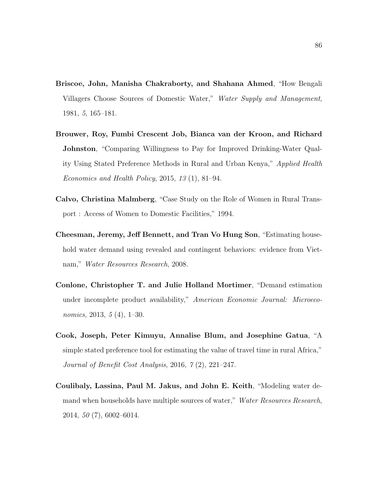- Briscoe, John, Manisha Chakraborty, and Shahana Ahmed, "How Bengali Villagers Choose Sources of Domestic Water," Water Supply and Management, 1981, 5, 165–181.
- Brouwer, Roy, Fumbi Crescent Job, Bianca van der Kroon, and Richard Johnston, "Comparing Willingness to Pay for Improved Drinking-Water Quality Using Stated Preference Methods in Rural and Urban Kenya," Applied Health Economics and Health Policy, 2015, 13 (1), 81–94.
- Calvo, Christina Malmberg, "Case Study on the Role of Women in Rural Transport : Access of Women to Domestic Facilities," 1994.
- Cheesman, Jeremy, Jeff Bennett, and Tran Vo Hung Son, "Estimating household water demand using revealed and contingent behaviors: evidence from Vietnam," Water Resources Research, 2008.
- <span id="page-95-0"></span>Conlone, Christopher T. and Julie Holland Mortimer, "Demand estimation under incomplete product availability," American Economic Journal: Microeconomics, 2013, 5 (4), 1–30.
- Cook, Joseph, Peter Kimuyu, Annalise Blum, and Josephine Gatua, "A simple stated preference tool for estimating the value of travel time in rural Africa," Journal of Benefit Cost Analysis, 2016, 7 (2), 221–247.
- Coulibaly, Lassina, Paul M. Jakus, and John E. Keith, "Modeling water demand when households have multiple sources of water," Water Resources Research, 2014, 50 (7), 6002–6014.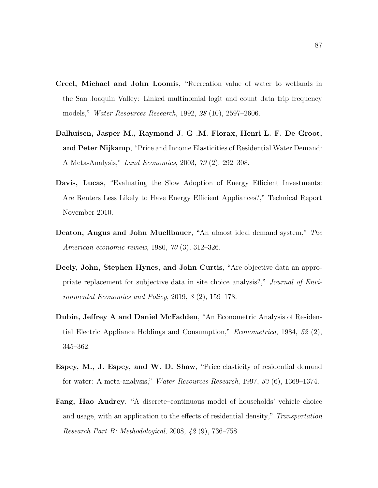- <span id="page-96-0"></span>Creel, Michael and John Loomis, "Recreation value of water to wetlands in the San Joaquin Valley: Linked multinomial logit and count data trip frequency models," Water Resources Research, 1992, 28 (10), 2597–2606.
- Dalhuisen, Jasper M., Raymond J. G .M. Florax, Henri L. F. De Groot, and Peter Nijkamp, "Price and Income Elasticities of Residential Water Demand: A Meta-Analysis," Land Economics, 2003, 79 (2), 292–308.
- Davis, Lucas, "Evaluating the Slow Adoption of Energy Efficient Investments: Are Renters Less Likely to Have Energy Efficient Appliances?," Technical Report November 2010.
- Deaton, Angus and John Muellbauer, "An almost ideal demand system," The American economic review, 1980, 70 (3), 312–326.
- Deely, John, Stephen Hynes, and John Curtis, "Are objective data an appropriate replacement for subjective data in site choice analysis?," Journal of Environmental Economics and Policy, 2019, 8 (2), 159–178.
- Dubin, Jeffrey A and Daniel McFadden, "An Econometric Analysis of Residential Electric Appliance Holdings and Consumption," Econometrica, 1984, 52 (2), 345–362.
- Espey, M., J. Espey, and W. D. Shaw, "Price elasticity of residential demand for water: A meta-analysis," Water Resources Research, 1997, 33 (6), 1369–1374.
- Fang, Hao Audrey, "A discrete–continuous model of households' vehicle choice and usage, with an application to the effects of residential density," Transportation Research Part B: Methodological, 2008, 42 (9), 736–758.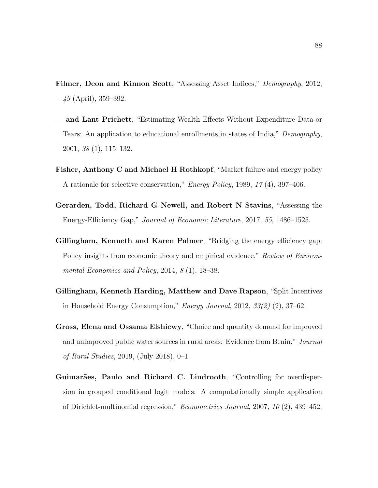- Filmer, Deon and Kinnon Scott, "Assessing Asset Indices," Demography, 2012, 49 (April), 359–392.
- and Lant Prichett, "Estimating Wealth Effects Without Expenditure Data-or Tears: An application to educational enrollments in states of India," Demography, 2001, 38 (1), 115–132.
- Fisher, Anthony C and Michael H Rothkopf, "Market failure and energy policy A rationale for selective conservation," Energy Policy, 1989, 17 (4), 397–406.
- Gerarden, Todd, Richard G Newell, and Robert N Stavins, "Assessing the Energy-Efficiency Gap," Journal of Economic Literature, 2017, 55, 1486–1525.
- Gillingham, Kenneth and Karen Palmer, "Bridging the energy efficiency gap: Policy insights from economic theory and empirical evidence," Review of Environmental Economics and Policy, 2014, 8 (1), 18–38.
- Gillingham, Kenneth Harding, Matthew and Dave Rapson, "Split Incentives in Household Energy Consumption," Energy Journal, 2012, 33(2) (2), 37–62.
- Gross, Elena and Ossama Elshiewy, "Choice and quantity demand for improved and unimproved public water sources in rural areas: Evidence from Benin," Journal of Rural Studies, 2019, (July 2018), 0–1.
- <span id="page-97-0"></span>Guimarães, Paulo and Richard C. Lindrooth, "Controlling for overdispersion in grouped conditional logit models: A computationally simple application of Dirichlet-multinomial regression," Econometrics Journal, 2007, 10 (2), 439–452.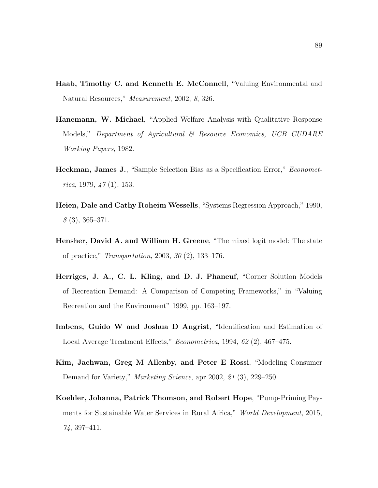- Haab, Timothy C. and Kenneth E. McConnell, "Valuing Environmental and Natural Resources," Measurement, 2002, 8, 326.
- <span id="page-98-0"></span>Hanemann, W. Michael, "Applied Welfare Analysis with Qualitative Response Models," Department of Agricultural  $\mathscr B$  Resource Economics, UCB CUDARE Working Papers, 1982.
- Heckman, James J., "Sample Selection Bias as a Specification Error," Econometrica, 1979,  $\frac{1}{7}(1)$ , 153.
- Heien, Dale and Cathy Roheim Wessells, "Systems Regression Approach," 1990, 8 (3), 365–371.
- Hensher, David A. and William H. Greene, "The mixed logit model: The state of practice," Transportation, 2003, 30 (2), 133–176.
- Herriges, J. A., C. L. Kling, and D. J. Phaneuf, "Corner Solution Models of Recreation Demand: A Comparison of Competing Frameworks," in "Valuing Recreation and the Environment" 1999, pp. 163–197.
- Imbens, Guido W and Joshua D Angrist, "Identification and Estimation of Local Average Treatment Effects," Econometrica, 1994, 62 (2), 467–475.
- Kim, Jaehwan, Greg M Allenby, and Peter E Rossi, "Modeling Consumer Demand for Variety," *Marketing Science*, apr 2002, 21 (3), 229–250.
- Koehler, Johanna, Patrick Thomson, and Robert Hope, "Pump-Priming Payments for Sustainable Water Services in Rural Africa," World Development, 2015, 74, 397–411.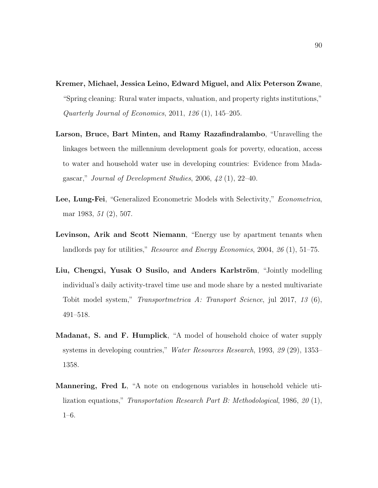- Kremer, Michael, Jessica Leino, Edward Miguel, and Alix Peterson Zwane, "Spring cleaning: Rural water impacts, valuation, and property rights institutions," Quarterly Journal of Economics, 2011, 126 (1), 145–205.
- Larson, Bruce, Bart Minten, and Ramy Razafindralambo, "Unravelling the linkages between the millennium development goals for poverty, education, access to water and household water use in developing countries: Evidence from Madagascar," Journal of Development Studies, 2006, 42 (1), 22–40.
- Lee, Lung-Fei, "Generalized Econometric Models with Selectivity," *Econometrica*, mar 1983, 51 (2), 507.
- Levinson, Arik and Scott Niemann, "Energy use by apartment tenants when landlords pay for utilities," Resource and Energy Economics, 2004, 26 (1), 51–75.
- Liu, Chengxi, Yusak O Susilo, and Anders Karlström, "Jointly modelling individual's daily activity-travel time use and mode share by a nested multivariate Tobit model system," Transportmetrica A: Transport Science, jul 2017, 13 (6), 491–518.
- Madanat, S. and F. Humplick, "A model of household choice of water supply systems in developing countries," Water Resources Research, 1993, 29 (29), 1353– 1358.
- Mannering, Fred L, "A note on endogenous variables in household vehicle utilization equations," Transportation Research Part B: Methodological, 1986, 20 (1), 1–6.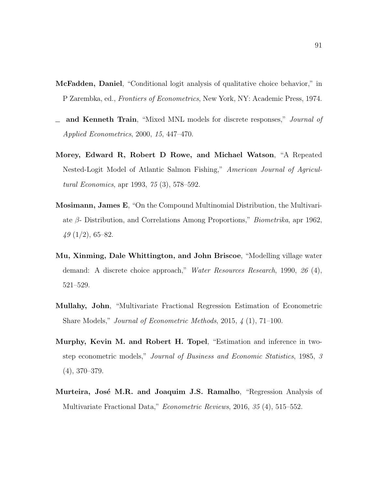- McFadden, Daniel, "Conditional logit analysis of qualitative choice behavior," in P Zarembka, ed., Frontiers of Econometrics, New York, NY: Academic Press, 1974.
- and Kenneth Train, "Mixed MNL models for discrete responses," Journal of  $\equiv$ Applied Econometrics, 2000, 15, 447–470.
- Morey, Edward R, Robert D Rowe, and Michael Watson, "A Repeated Nested-Logit Model of Atlantic Salmon Fishing," American Journal of Agricultural Economics, apr 1993, 75 (3), 578–592.
- <span id="page-100-0"></span>Mosimann, James E, "On the Compound Multinomial Distribution, the Multivariate  $\beta$ - Distribution, and Correlations Among Proportions," *Biometrika*, apr 1962,  $49(1/2), 65-82.$
- Mu, Xinming, Dale Whittington, and John Briscoe, "Modelling village water demand: A discrete choice approach," Water Resources Research, 1990, 26 (4), 521–529.
- <span id="page-100-1"></span>Mullahy, John, "Multivariate Fractional Regression Estimation of Econometric Share Models," Journal of Econometric Methods, 2015, 4 (1), 71–100.
- <span id="page-100-3"></span>Murphy, Kevin M. and Robert H. Topel, "Estimation and inference in twostep econometric models," Journal of Business and Economic Statistics, 1985, 3 (4), 370–379.
- <span id="page-100-2"></span>Murteira, José M.R. and Joaquim J.S. Ramalho, "Regression Analysis of Multivariate Fractional Data," Econometric Reviews, 2016, 35 (4), 515–552.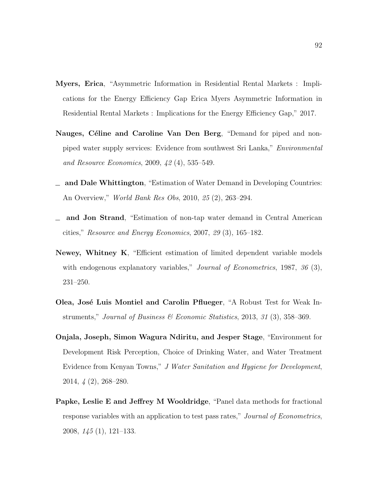- Myers, Erica, "Asymmetric Information in Residential Rental Markets : Implications for the Energy Efficiency Gap Erica Myers Asymmetric Information in Residential Rental Markets : Implications for the Energy Efficiency Gap," 2017.
- Nauges, Céline and Caroline Van Den Berg, "Demand for piped and nonpiped water supply services: Evidence from southwest Sri Lanka," Environmental and Resource Economics, 2009, 42 (4), 535–549.
- $\Delta$  and Dale Whittington, "Estimation of Water Demand in Developing Countries: An Overview," World Bank Res Obs, 2010, 25 (2), 263–294.
- and Jon Strand, "Estimation of non-tap water demand in Central American cities," Resource and Energy Economics, 2007, 29 (3), 165–182.
- Newey, Whitney K, "Efficient estimation of limited dependent variable models with endogenous explanatory variables," *Journal of Econometrics*, 1987, 36 (3), 231–250.
- Olea, José Luis Montiel and Carolin Pflueger, "A Robust Test for Weak Instruments," Journal of Business & Economic Statistics, 2013, 31 (3), 358–369.
- Onjala, Joseph, Simon Wagura Ndiritu, and Jesper Stage, "Environment for Development Risk Perception, Choice of Drinking Water, and Water Treatment Evidence from Kenyan Towns," J Water Sanitation and Hygiene for Development, 2014, 4 (2), 268–280.
- Papke, Leslie E and Jeffrey M Wooldridge, "Panel data methods for fractional response variables with an application to test pass rates," Journal of Econometrics, 2008, 145 (1), 121–133.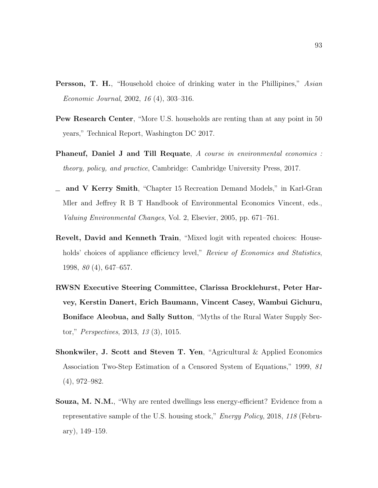- **Persson, T. H.**, "Household choice of drinking water in the Phillipines," Asian Economic Journal, 2002, 16 (4), 303–316.
- Pew Research Center, "More U.S. households are renting than at any point in 50 years," Technical Report, Washington DC 2017.
- Phaneuf, Daniel J and Till Requate, A course in environmental economics : theory, policy, and practice, Cambridge: Cambridge University Press, 2017.
- <span id="page-102-0"></span> $\equiv$  and V Kerry Smith, "Chapter 15 Recreation Demand Models," in Karl-Gran Mler and Jeffrey R B T Handbook of Environmental Economics Vincent, eds., Valuing Environmental Changes, Vol. 2, Elsevier, 2005, pp. 671–761.
- Revelt, David and Kenneth Train, "Mixed logit with repeated choices: Households' choices of appliance efficiency level," Review of Economics and Statistics, 1998, 80 (4), 647–657.
- RWSN Executive Steering Committee, Clarissa Brocklehurst, Peter Harvey, Kerstin Danert, Erich Baumann, Vincent Casey, Wambui Gichuru, Boniface Aleobua, and Sally Sutton, "Myths of the Rural Water Supply Sector," Perspectives, 2013, 13 (3), 1015.
- Shonkwiler, J. Scott and Steven T. Yen, "Agricultural & Applied Economics Association Two-Step Estimation of a Censored System of Equations," 1999, 81 (4), 972–982.
- Souza, M. N.M., "Why are rented dwellings less energy-efficient? Evidence from a representative sample of the U.S. housing stock," Energy Policy, 2018, 118 (February), 149–159.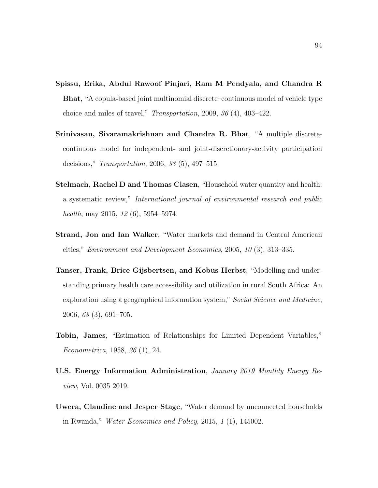- <span id="page-103-0"></span>Spissu, Erika, Abdul Rawoof Pinjari, Ram M Pendyala, and Chandra R Bhat, "A copula-based joint multinomial discrete–continuous model of vehicle type choice and miles of travel," Transportation, 2009, 36 (4), 403–422.
- Srinivasan, Sivaramakrishnan and Chandra R. Bhat, "A multiple discretecontinuous model for independent- and joint-discretionary-activity participation decisions," Transportation, 2006, 33 (5), 497–515.
- Stelmach, Rachel D and Thomas Clasen, "Household water quantity and health: a systematic review," International journal of environmental research and public health, may 2015, 12 (6), 5954–5974.
- Strand, Jon and Ian Walker, "Water markets and demand in Central American cities," Environment and Development Economics, 2005, 10 (3), 313–335.
- Tanser, Frank, Brice Gijsbertsen, and Kobus Herbst, "Modelling and understanding primary health care accessibility and utilization in rural South Africa: An exploration using a geographical information system," Social Science and Medicine, 2006, 63 (3), 691–705.
- Tobin, James, "Estimation of Relationships for Limited Dependent Variables," Econometrica, 1958, 26 (1), 24.
- U.S. Energy Information Administration, January 2019 Monthly Energy Review, Vol. 0035 2019.
- Uwera, Claudine and Jesper Stage, "Water demand by unconnected households in Rwanda," Water Economics and Policy, 2015, 1 (1), 145002.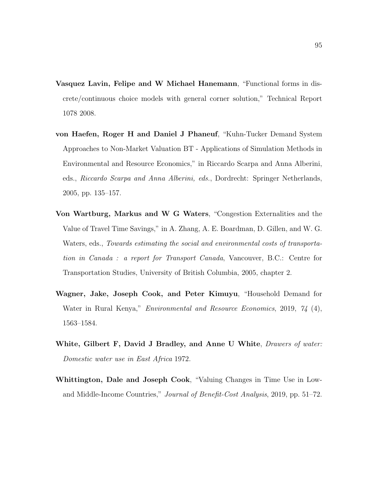- Vasquez Lavin, Felipe and W Michael Hanemann, "Functional forms in discrete/continuous choice models with general corner solution," Technical Report 1078 2008.
- von Haefen, Roger H and Daniel J Phaneuf, "Kuhn-Tucker Demand System Approaches to Non-Market Valuation BT - Applications of Simulation Methods in Environmental and Resource Economics," in Riccardo Scarpa and Anna Alberini, eds., Riccardo Scarpa and Anna Alberini, eds., Dordrecht: Springer Netherlands, 2005, pp. 135–157.
- Von Wartburg, Markus and W G Waters, "Congestion Externalities and the Value of Travel Time Savings," in A. Zhang, A. E. Boardman, D. Gillen, and W. G. Waters, eds., Towards estimating the social and environmental costs of transportation in Canada : a report for Transport Canada, Vancouver, B.C.: Centre for Transportation Studies, University of British Columbia, 2005, chapter 2.
- <span id="page-104-0"></span>Wagner, Jake, Joseph Cook, and Peter Kimuyu, "Household Demand for Water in Rural Kenya," *Environmental and Resource Economics*, 2019, 74 (4), 1563–1584.
- White, Gilbert F, David J Bradley, and Anne U White, *Drawers of water:* Domestic water use in East Africa 1972.
- Whittington, Dale and Joseph Cook, "Valuing Changes in Time Use in Lowand Middle-Income Countries," Journal of Benefit-Cost Analysis, 2019, pp. 51–72.